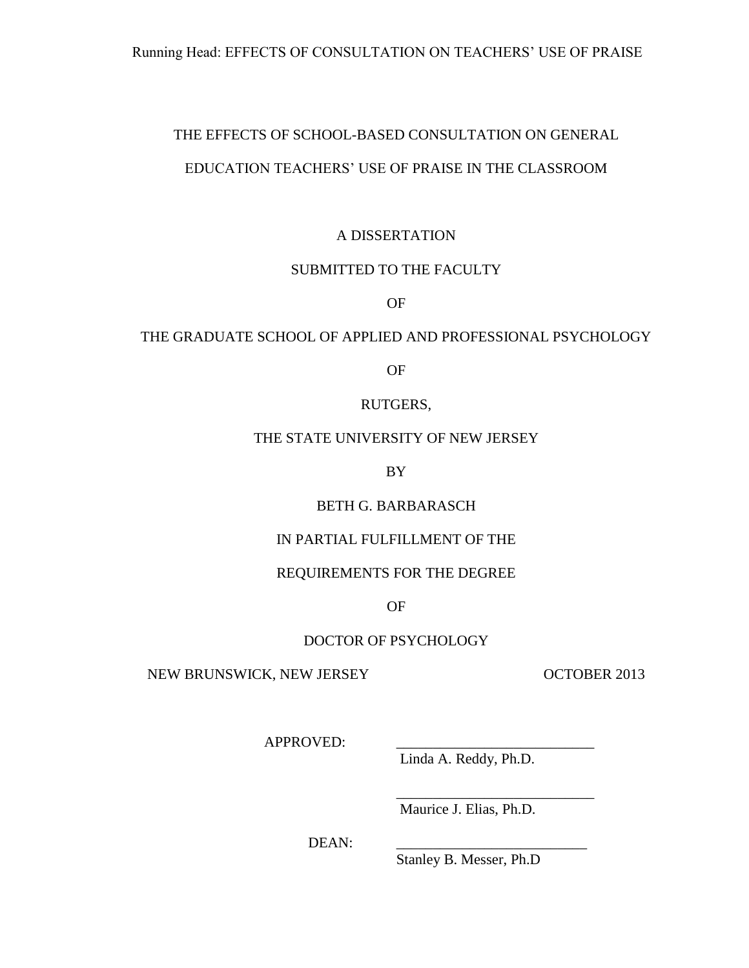# THE EFFECTS OF SCHOOL-BASED CONSULTATION ON GENERAL

## EDUCATION TEACHERS' USE OF PRAISE IN THE CLASSROOM

# A DISSERTATION

### SUBMITTED TO THE FACULTY

OF

# THE GRADUATE SCHOOL OF APPLIED AND PROFESSIONAL PSYCHOLOGY

OF

### RUTGERS,

## THE STATE UNIVERSITY OF NEW JERSEY

BY

# BETH G. BARBARASCH

### IN PARTIAL FULFILLMENT OF THE

### REQUIREMENTS FOR THE DEGREE

OF

### DOCTOR OF PSYCHOLOGY

NEW BRUNSWICK, NEW JERSEY OCTOBER 2013

APPROVED:

Linda A. Reddy, Ph.D.

Maurice J. Elias, Ph.D.

\_\_\_\_\_\_\_\_\_\_\_\_\_\_\_\_\_\_\_\_\_\_\_\_\_\_\_

DEAN:

Stanley B. Messer, Ph.D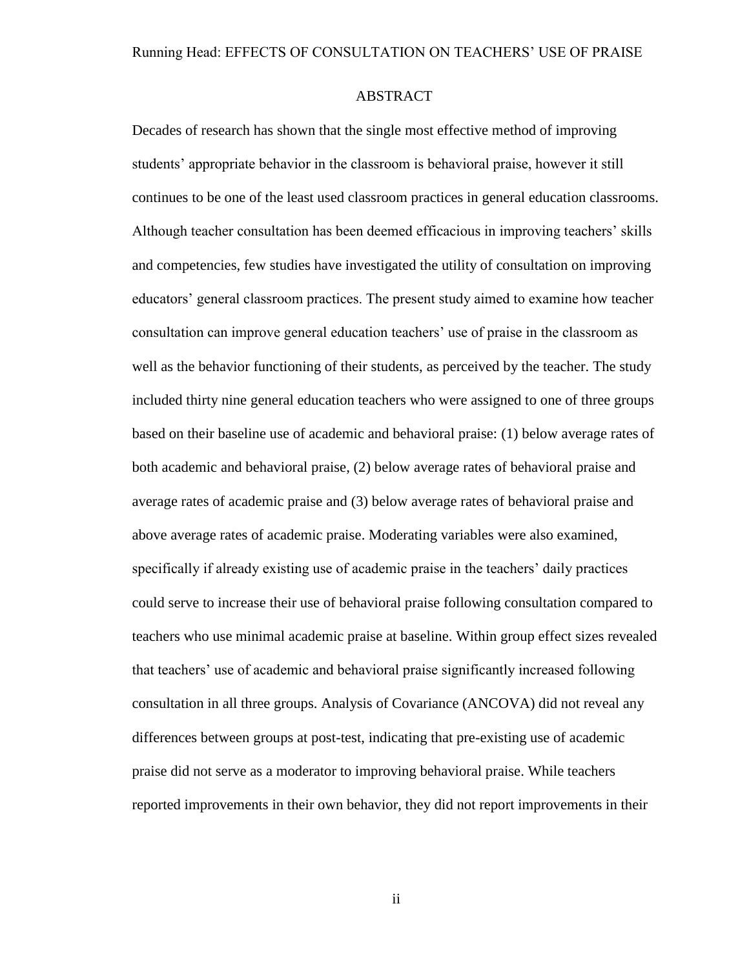### ABSTRACT

Decades of research has shown that the single most effective method of improving students' appropriate behavior in the classroom is behavioral praise, however it still continues to be one of the least used classroom practices in general education classrooms. Although teacher consultation has been deemed efficacious in improving teachers' skills and competencies, few studies have investigated the utility of consultation on improving educators' general classroom practices. The present study aimed to examine how teacher consultation can improve general education teachers' use of praise in the classroom as well as the behavior functioning of their students, as perceived by the teacher. The study included thirty nine general education teachers who were assigned to one of three groups based on their baseline use of academic and behavioral praise: (1) below average rates of both academic and behavioral praise, (2) below average rates of behavioral praise and average rates of academic praise and (3) below average rates of behavioral praise and above average rates of academic praise. Moderating variables were also examined, specifically if already existing use of academic praise in the teachers' daily practices could serve to increase their use of behavioral praise following consultation compared to teachers who use minimal academic praise at baseline. Within group effect sizes revealed that teachers' use of academic and behavioral praise significantly increased following consultation in all three groups. Analysis of Covariance (ANCOVA) did not reveal any differences between groups at post-test, indicating that pre-existing use of academic praise did not serve as a moderator to improving behavioral praise. While teachers reported improvements in their own behavior, they did not report improvements in their

ii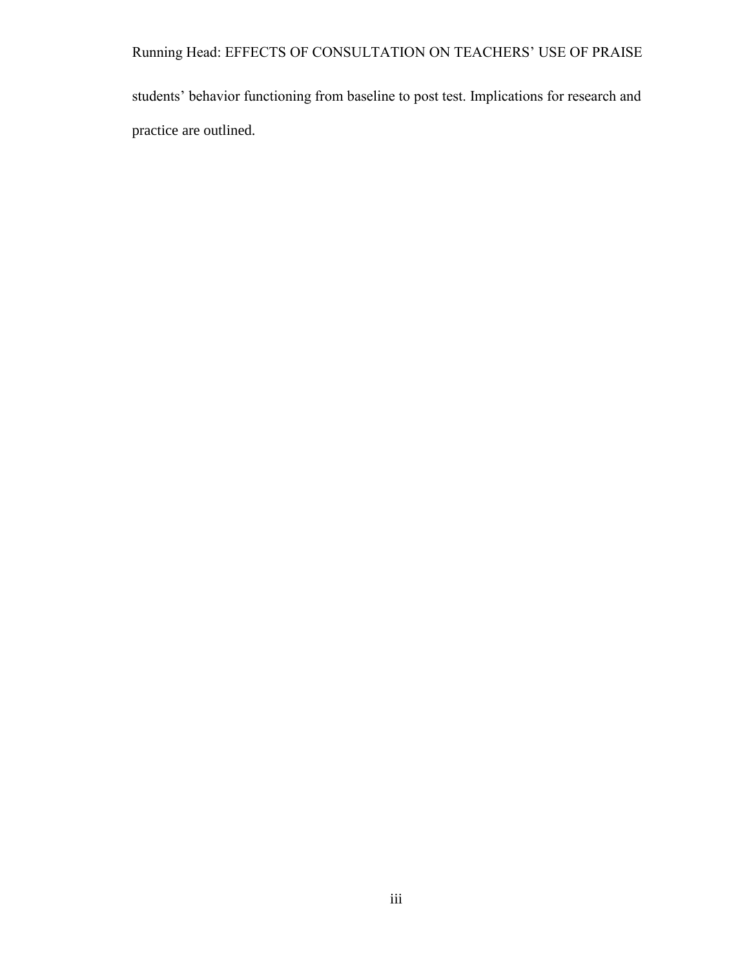Running Head: EFFECTS OF CONSULTATION ON TEACHERS' USE OF PRAISE

students' behavior functioning from baseline to post test. Implications for research and practice are outlined.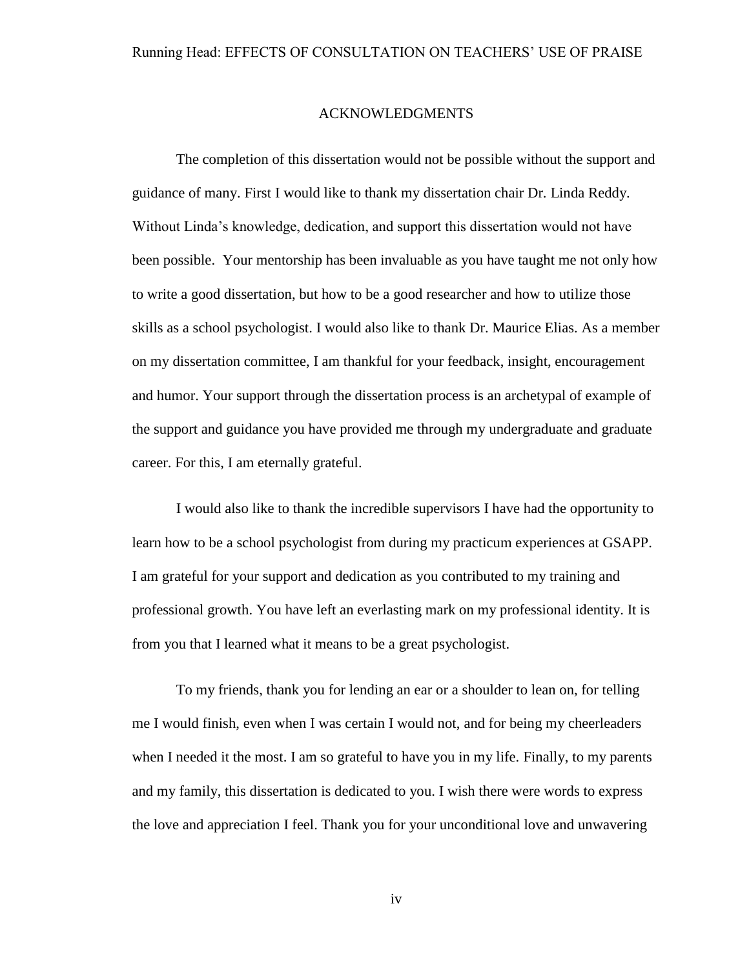### ACKNOWLEDGMENTS

The completion of this dissertation would not be possible without the support and guidance of many. First I would like to thank my dissertation chair Dr. Linda Reddy. Without Linda's knowledge, dedication, and support this dissertation would not have been possible. Your mentorship has been invaluable as you have taught me not only how to write a good dissertation, but how to be a good researcher and how to utilize those skills as a school psychologist. I would also like to thank Dr. Maurice Elias. As a member on my dissertation committee, I am thankful for your feedback, insight, encouragement and humor. Your support through the dissertation process is an archetypal of example of the support and guidance you have provided me through my undergraduate and graduate career. For this, I am eternally grateful.

I would also like to thank the incredible supervisors I have had the opportunity to learn how to be a school psychologist from during my practicum experiences at GSAPP. I am grateful for your support and dedication as you contributed to my training and professional growth. You have left an everlasting mark on my professional identity. It is from you that I learned what it means to be a great psychologist.

To my friends, thank you for lending an ear or a shoulder to lean on, for telling me I would finish, even when I was certain I would not, and for being my cheerleaders when I needed it the most. I am so grateful to have you in my life. Finally, to my parents and my family, this dissertation is dedicated to you. I wish there were words to express the love and appreciation I feel. Thank you for your unconditional love and unwavering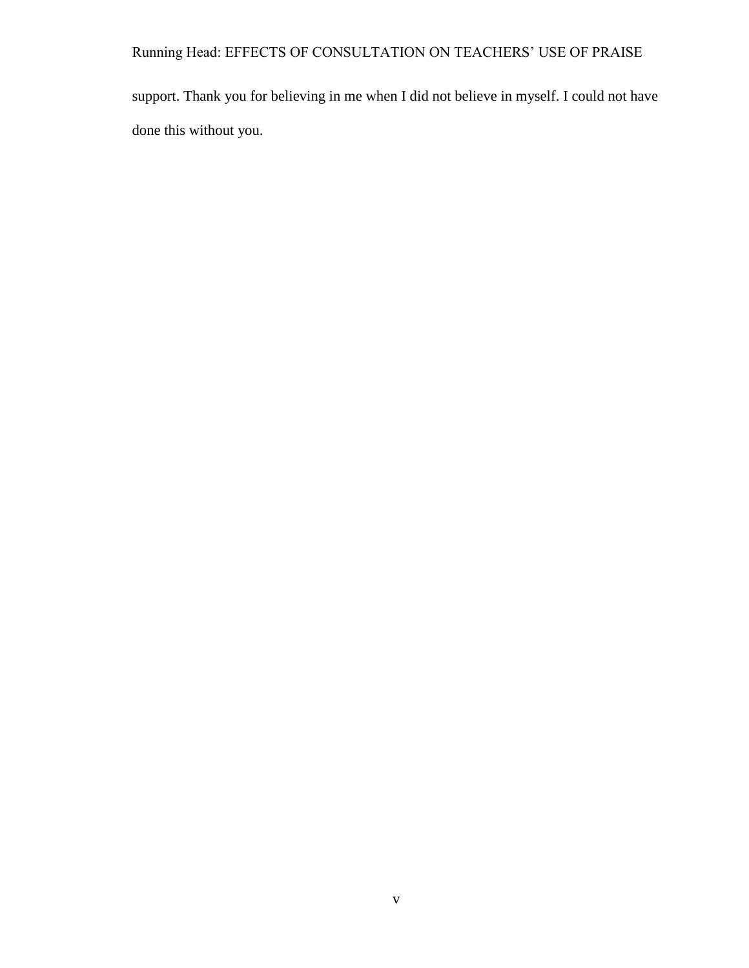Running Head: EFFECTS OF CONSULTATION ON TEACHERS' USE OF PRAISE

support. Thank you for believing in me when I did not believe in myself. I could not have done this without you.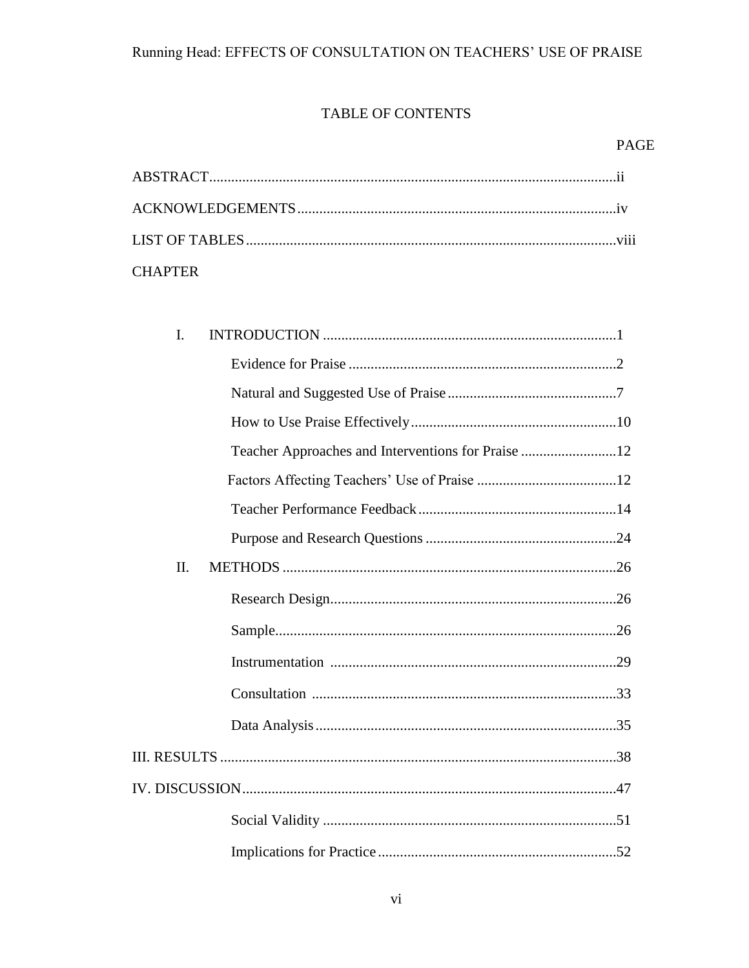# TABLE OF CONTENTS

| <b>CHAPTER</b> |  |
|----------------|--|

| I.  |                                                    |  |
|-----|----------------------------------------------------|--|
|     |                                                    |  |
|     |                                                    |  |
|     |                                                    |  |
|     | Teacher Approaches and Interventions for Praise 12 |  |
|     |                                                    |  |
|     |                                                    |  |
|     |                                                    |  |
| II. |                                                    |  |
|     |                                                    |  |
|     |                                                    |  |
|     |                                                    |  |
|     |                                                    |  |
|     |                                                    |  |
|     |                                                    |  |
|     |                                                    |  |
|     |                                                    |  |
|     |                                                    |  |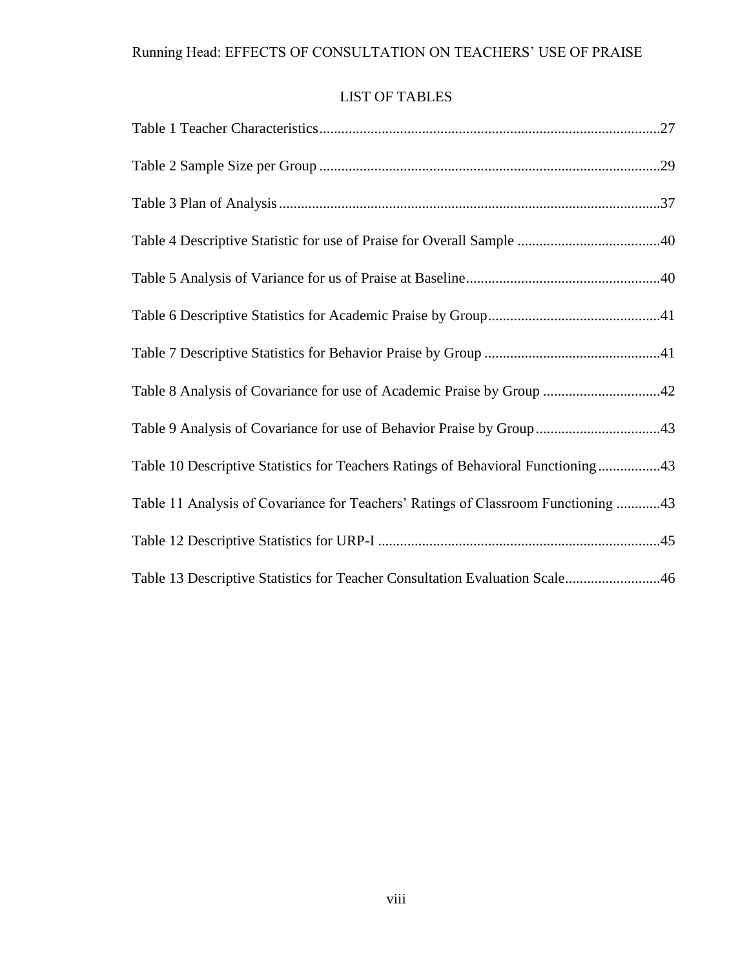# LIST OF TABLES

| Table 8 Analysis of Covariance for use of Academic Praise by Group 42             |
|-----------------------------------------------------------------------------------|
| Table 9 Analysis of Covariance for use of Behavior Praise by Group43              |
| Table 10 Descriptive Statistics for Teachers Ratings of Behavioral Functioning43  |
| Table 11 Analysis of Covariance for Teachers' Ratings of Classroom Functioning 43 |
|                                                                                   |
| Table 13 Descriptive Statistics for Teacher Consultation Evaluation Scale46       |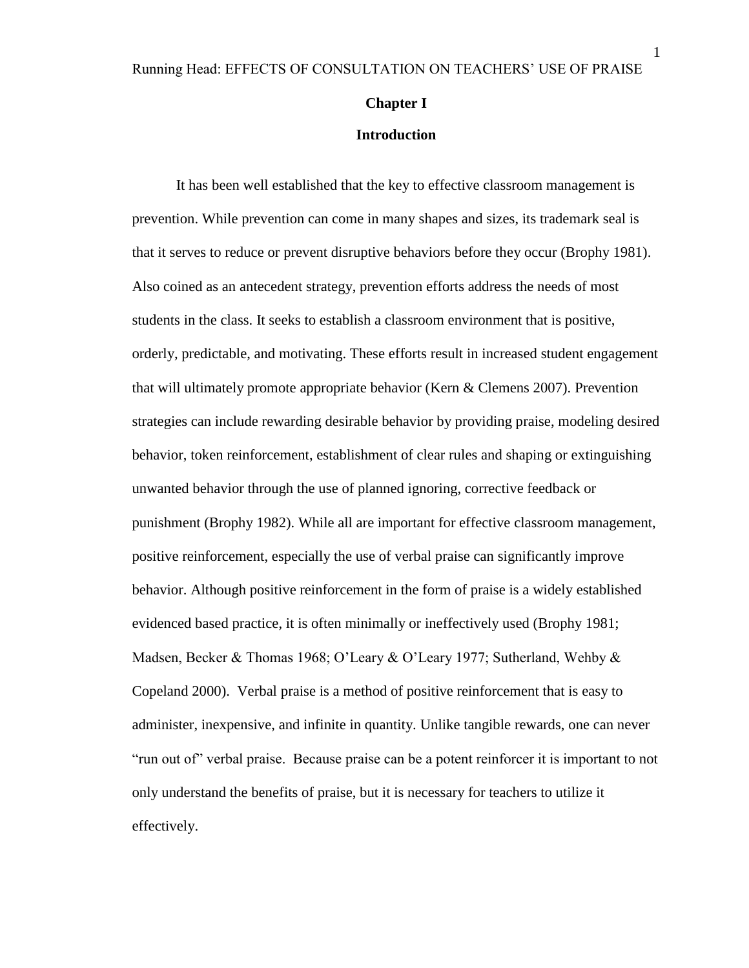### **Chapter I**

#### **Introduction**

It has been well established that the key to effective classroom management is prevention. While prevention can come in many shapes and sizes, its trademark seal is that it serves to reduce or prevent disruptive behaviors before they occur (Brophy 1981). Also coined as an antecedent strategy, prevention efforts address the needs of most students in the class. It seeks to establish a classroom environment that is positive, orderly, predictable, and motivating. These efforts result in increased student engagement that will ultimately promote appropriate behavior (Kern & Clemens 2007). Prevention strategies can include rewarding desirable behavior by providing praise, modeling desired behavior, token reinforcement, establishment of clear rules and shaping or extinguishing unwanted behavior through the use of planned ignoring, corrective feedback or punishment (Brophy 1982). While all are important for effective classroom management, positive reinforcement, especially the use of verbal praise can significantly improve behavior. Although positive reinforcement in the form of praise is a widely established evidenced based practice, it is often minimally or ineffectively used (Brophy 1981; Madsen, Becker & Thomas 1968; O'Leary & O'Leary 1977; Sutherland, Wehby & Copeland 2000). Verbal praise is a method of positive reinforcement that is easy to administer, inexpensive, and infinite in quantity. Unlike tangible rewards, one can never "run out of" verbal praise. Because praise can be a potent reinforcer it is important to not only understand the benefits of praise, but it is necessary for teachers to utilize it effectively.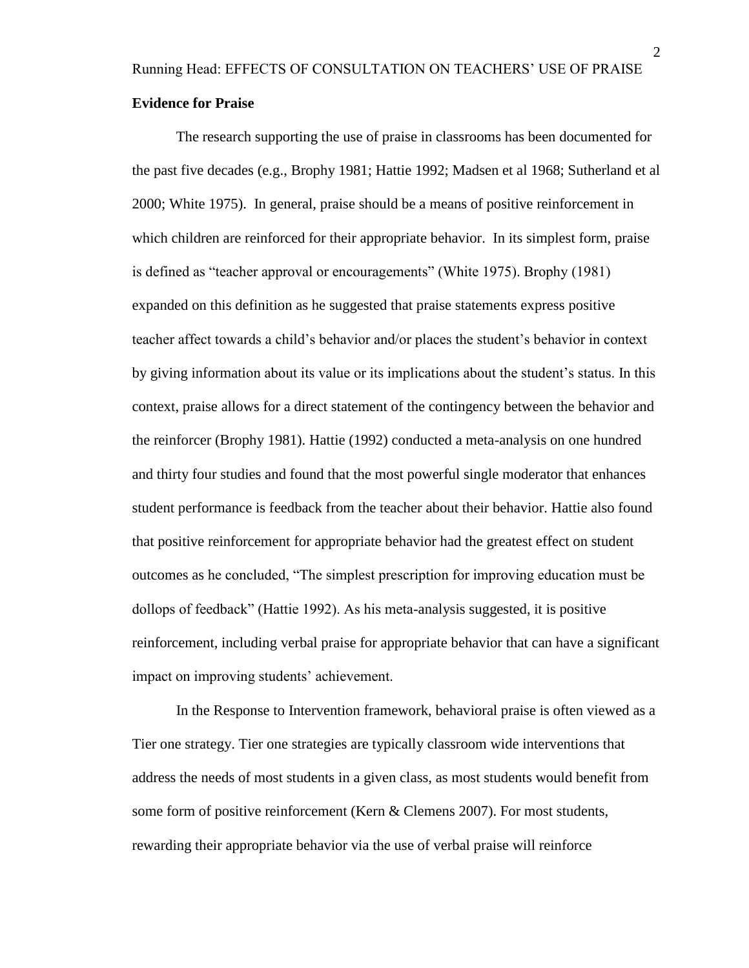### **Evidence for Praise**

The research supporting the use of praise in classrooms has been documented for the past five decades (e.g., Brophy 1981; Hattie 1992; Madsen et al 1968; Sutherland et al 2000; White 1975). In general, praise should be a means of positive reinforcement in which children are reinforced for their appropriate behavior. In its simplest form, praise is defined as "teacher approval or encouragements" (White 1975). Brophy (1981) expanded on this definition as he suggested that praise statements express positive teacher affect towards a child's behavior and/or places the student's behavior in context by giving information about its value or its implications about the student's status. In this context, praise allows for a direct statement of the contingency between the behavior and the reinforcer (Brophy 1981). Hattie (1992) conducted a meta-analysis on one hundred and thirty four studies and found that the most powerful single moderator that enhances student performance is feedback from the teacher about their behavior. Hattie also found that positive reinforcement for appropriate behavior had the greatest effect on student outcomes as he concluded, "The simplest prescription for improving education must be dollops of feedback" (Hattie 1992). As his meta-analysis suggested, it is positive reinforcement, including verbal praise for appropriate behavior that can have a significant impact on improving students' achievement.

In the Response to Intervention framework, behavioral praise is often viewed as a Tier one strategy. Tier one strategies are typically classroom wide interventions that address the needs of most students in a given class, as most students would benefit from some form of positive reinforcement (Kern & Clemens 2007). For most students, rewarding their appropriate behavior via the use of verbal praise will reinforce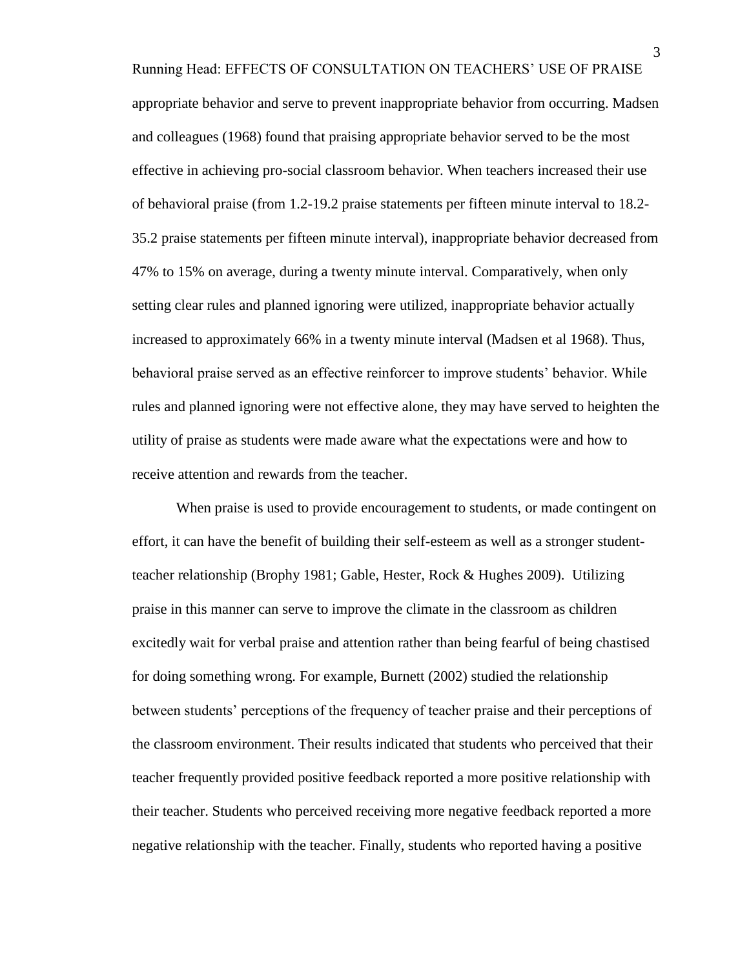Running Head: EFFECTS OF CONSULTATION ON TEACHERS' USE OF PRAISE appropriate behavior and serve to prevent inappropriate behavior from occurring. Madsen and colleagues (1968) found that praising appropriate behavior served to be the most effective in achieving pro-social classroom behavior. When teachers increased their use of behavioral praise (from 1.2-19.2 praise statements per fifteen minute interval to 18.2- 35.2 praise statements per fifteen minute interval), inappropriate behavior decreased from 47% to 15% on average, during a twenty minute interval. Comparatively, when only setting clear rules and planned ignoring were utilized, inappropriate behavior actually increased to approximately 66% in a twenty minute interval (Madsen et al 1968). Thus, behavioral praise served as an effective reinforcer to improve students' behavior. While rules and planned ignoring were not effective alone, they may have served to heighten the utility of praise as students were made aware what the expectations were and how to receive attention and rewards from the teacher.

When praise is used to provide encouragement to students, or made contingent on effort, it can have the benefit of building their self-esteem as well as a stronger studentteacher relationship (Brophy 1981; Gable, Hester, Rock & Hughes 2009). Utilizing praise in this manner can serve to improve the climate in the classroom as children excitedly wait for verbal praise and attention rather than being fearful of being chastised for doing something wrong. For example, Burnett (2002) studied the relationship between students' perceptions of the frequency of teacher praise and their perceptions of the classroom environment. Their results indicated that students who perceived that their teacher frequently provided positive feedback reported a more positive relationship with their teacher. Students who perceived receiving more negative feedback reported a more negative relationship with the teacher. Finally, students who reported having a positive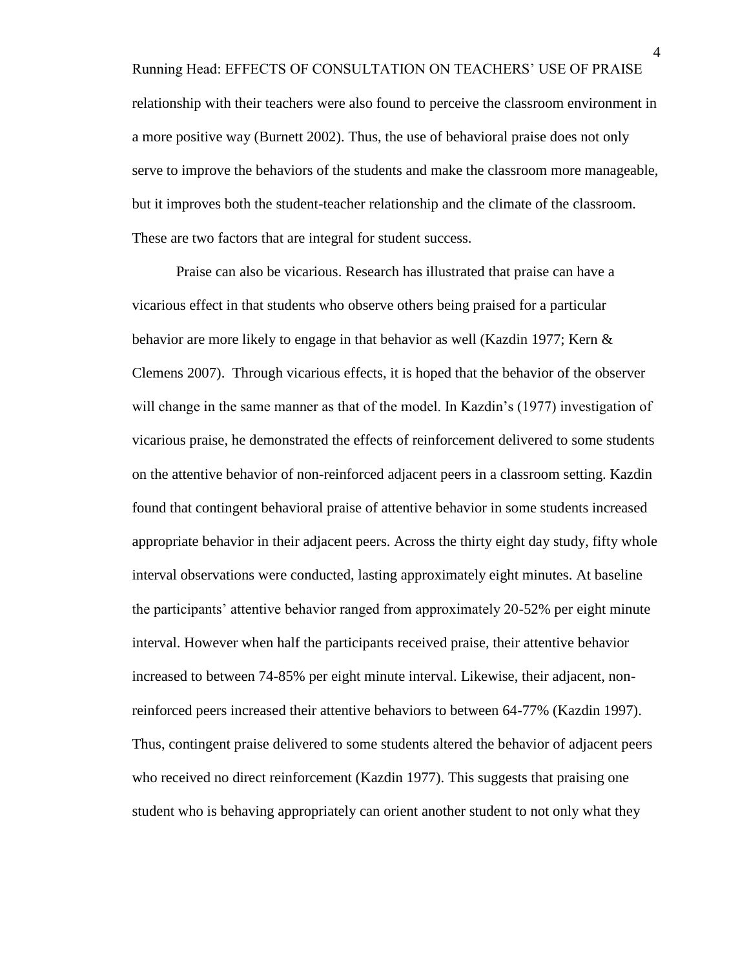Running Head: EFFECTS OF CONSULTATION ON TEACHERS' USE OF PRAISE relationship with their teachers were also found to perceive the classroom environment in a more positive way (Burnett 2002). Thus, the use of behavioral praise does not only serve to improve the behaviors of the students and make the classroom more manageable, but it improves both the student-teacher relationship and the climate of the classroom. These are two factors that are integral for student success.

Praise can also be vicarious. Research has illustrated that praise can have a vicarious effect in that students who observe others being praised for a particular behavior are more likely to engage in that behavior as well (Kazdin 1977; Kern & Clemens 2007). Through vicarious effects, it is hoped that the behavior of the observer will change in the same manner as that of the model. In Kazdin's (1977) investigation of vicarious praise, he demonstrated the effects of reinforcement delivered to some students on the attentive behavior of non-reinforced adjacent peers in a classroom setting. Kazdin found that contingent behavioral praise of attentive behavior in some students increased appropriate behavior in their adjacent peers. Across the thirty eight day study, fifty whole interval observations were conducted, lasting approximately eight minutes. At baseline the participants' attentive behavior ranged from approximately 20-52% per eight minute interval. However when half the participants received praise, their attentive behavior increased to between 74-85% per eight minute interval. Likewise, their adjacent, nonreinforced peers increased their attentive behaviors to between 64-77% (Kazdin 1997). Thus, contingent praise delivered to some students altered the behavior of adjacent peers who received no direct reinforcement (Kazdin 1977). This suggests that praising one student who is behaving appropriately can orient another student to not only what they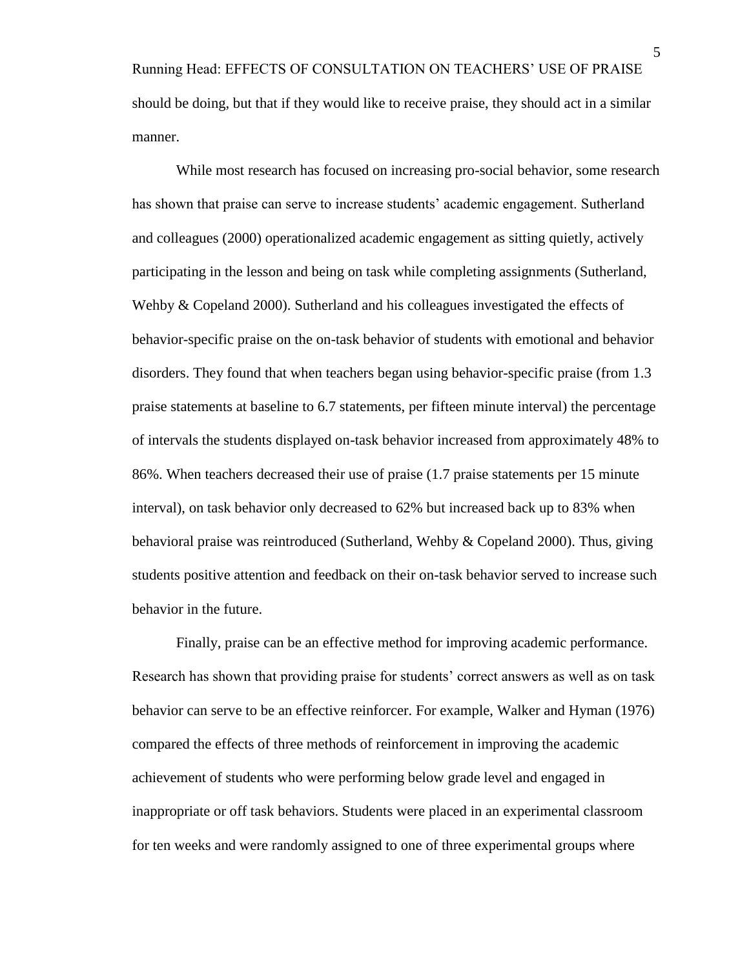Running Head: EFFECTS OF CONSULTATION ON TEACHERS' USE OF PRAISE should be doing, but that if they would like to receive praise, they should act in a similar manner.

While most research has focused on increasing pro-social behavior, some research has shown that praise can serve to increase students' academic engagement. Sutherland and colleagues (2000) operationalized academic engagement as sitting quietly, actively participating in the lesson and being on task while completing assignments (Sutherland, Wehby & Copeland 2000). Sutherland and his colleagues investigated the effects of behavior-specific praise on the on-task behavior of students with emotional and behavior disorders. They found that when teachers began using behavior-specific praise (from 1.3 praise statements at baseline to 6.7 statements, per fifteen minute interval) the percentage of intervals the students displayed on-task behavior increased from approximately 48% to 86%. When teachers decreased their use of praise (1.7 praise statements per 15 minute interval), on task behavior only decreased to 62% but increased back up to 83% when behavioral praise was reintroduced (Sutherland, Wehby & Copeland 2000). Thus, giving students positive attention and feedback on their on-task behavior served to increase such behavior in the future.

Finally, praise can be an effective method for improving academic performance. Research has shown that providing praise for students' correct answers as well as on task behavior can serve to be an effective reinforcer. For example, Walker and Hyman (1976) compared the effects of three methods of reinforcement in improving the academic achievement of students who were performing below grade level and engaged in inappropriate or off task behaviors. Students were placed in an experimental classroom for ten weeks and were randomly assigned to one of three experimental groups where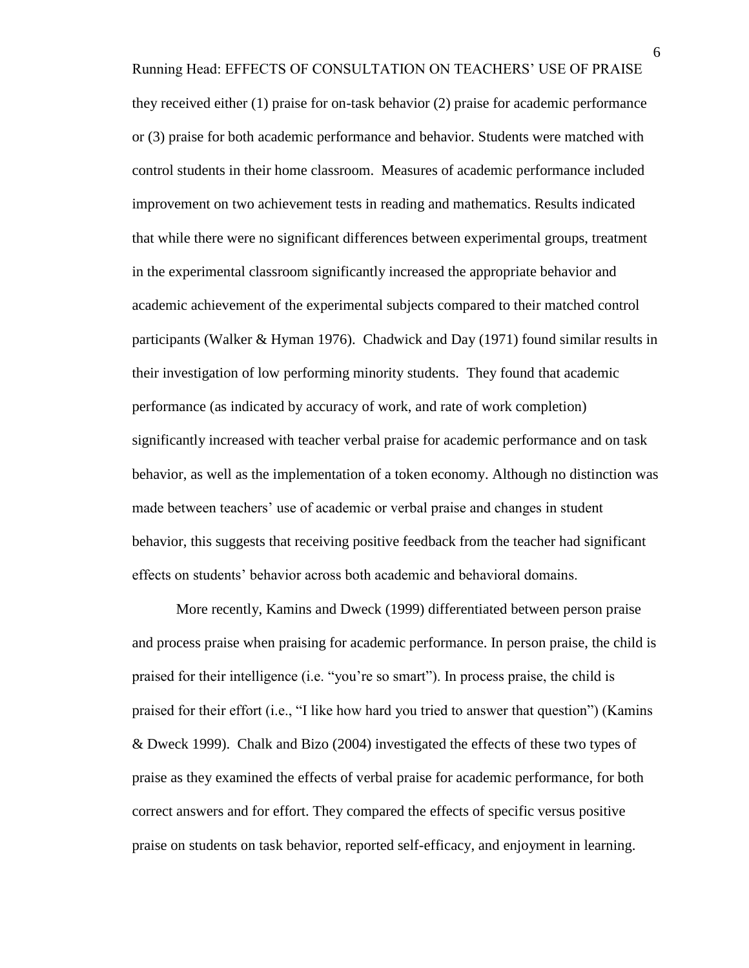Running Head: EFFECTS OF CONSULTATION ON TEACHERS' USE OF PRAISE they received either (1) praise for on-task behavior (2) praise for academic performance or (3) praise for both academic performance and behavior. Students were matched with control students in their home classroom. Measures of academic performance included improvement on two achievement tests in reading and mathematics. Results indicated that while there were no significant differences between experimental groups, treatment in the experimental classroom significantly increased the appropriate behavior and academic achievement of the experimental subjects compared to their matched control participants (Walker & Hyman 1976). Chadwick and Day (1971) found similar results in their investigation of low performing minority students. They found that academic performance (as indicated by accuracy of work, and rate of work completion) significantly increased with teacher verbal praise for academic performance and on task behavior, as well as the implementation of a token economy. Although no distinction was made between teachers' use of academic or verbal praise and changes in student behavior, this suggests that receiving positive feedback from the teacher had significant effects on students' behavior across both academic and behavioral domains.

More recently, Kamins and Dweck (1999) differentiated between person praise and process praise when praising for academic performance. In person praise, the child is praised for their intelligence (i.e. "you're so smart"). In process praise, the child is praised for their effort (i.e., "I like how hard you tried to answer that question") (Kamins & Dweck 1999). Chalk and Bizo (2004) investigated the effects of these two types of praise as they examined the effects of verbal praise for academic performance, for both correct answers and for effort. They compared the effects of specific versus positive praise on students on task behavior, reported self-efficacy, and enjoyment in learning.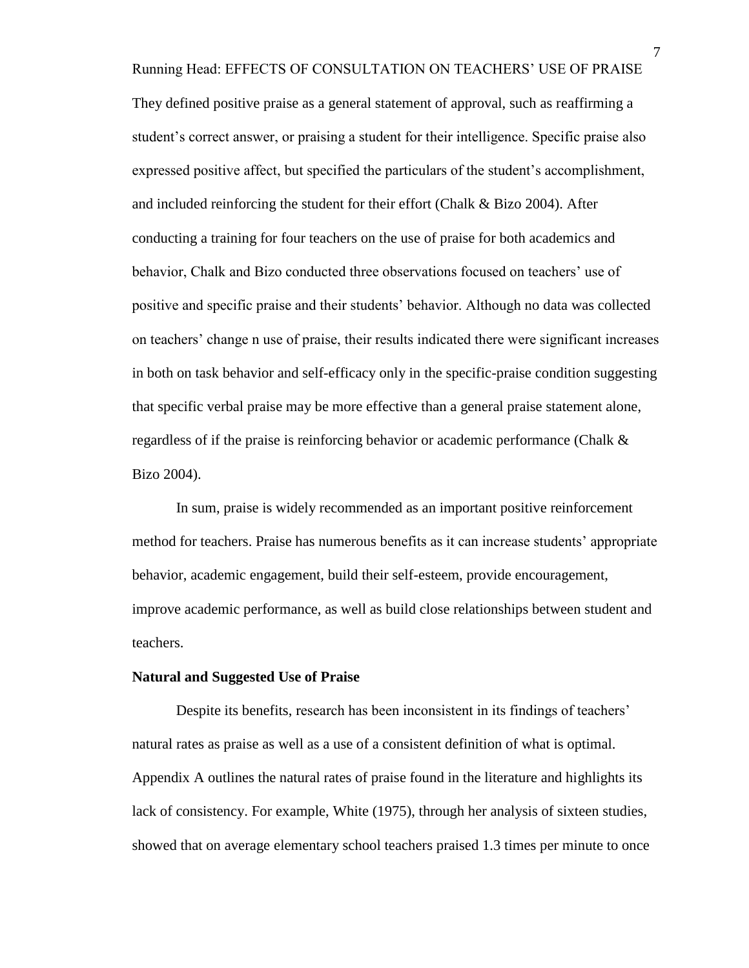Running Head: EFFECTS OF CONSULTATION ON TEACHERS' USE OF PRAISE

They defined positive praise as a general statement of approval, such as reaffirming a student's correct answer, or praising a student for their intelligence. Specific praise also expressed positive affect, but specified the particulars of the student's accomplishment, and included reinforcing the student for their effort (Chalk & Bizo 2004). After conducting a training for four teachers on the use of praise for both academics and behavior, Chalk and Bizo conducted three observations focused on teachers' use of positive and specific praise and their students' behavior. Although no data was collected on teachers' change n use of praise, their results indicated there were significant increases in both on task behavior and self-efficacy only in the specific-praise condition suggesting that specific verbal praise may be more effective than a general praise statement alone, regardless of if the praise is reinforcing behavior or academic performance (Chalk & Bizo 2004).

In sum, praise is widely recommended as an important positive reinforcement method for teachers. Praise has numerous benefits as it can increase students' appropriate behavior, academic engagement, build their self-esteem, provide encouragement, improve academic performance, as well as build close relationships between student and teachers.

#### **Natural and Suggested Use of Praise**

Despite its benefits, research has been inconsistent in its findings of teachers' natural rates as praise as well as a use of a consistent definition of what is optimal. Appendix A outlines the natural rates of praise found in the literature and highlights its lack of consistency. For example, White (1975), through her analysis of sixteen studies, showed that on average elementary school teachers praised 1.3 times per minute to once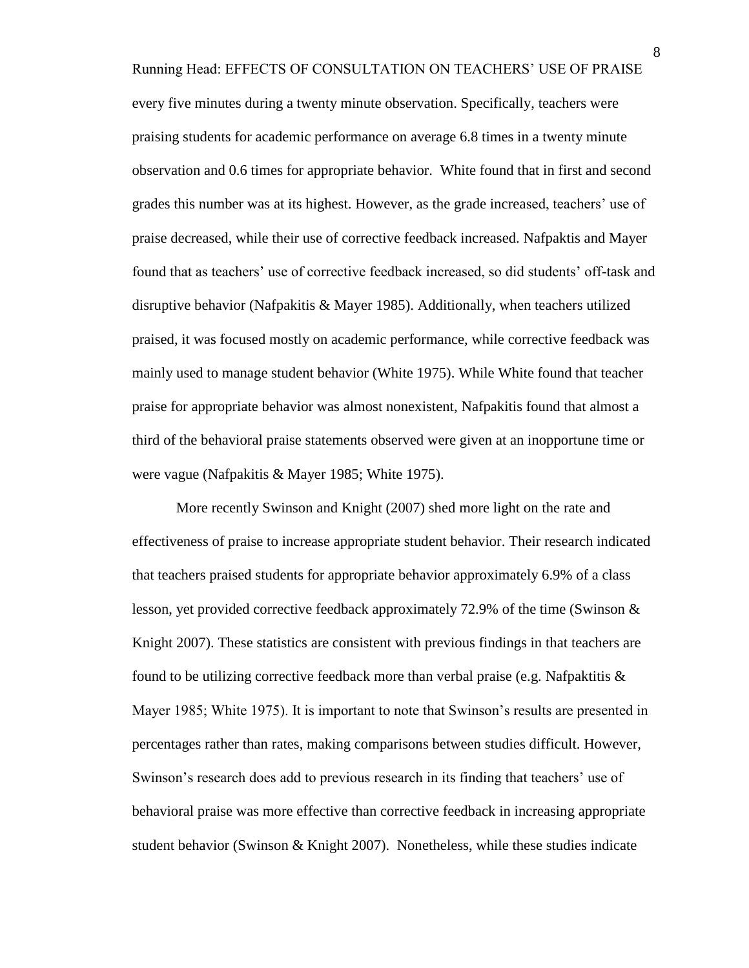Running Head: EFFECTS OF CONSULTATION ON TEACHERS' USE OF PRAISE every five minutes during a twenty minute observation. Specifically, teachers were praising students for academic performance on average 6.8 times in a twenty minute observation and 0.6 times for appropriate behavior. White found that in first and second grades this number was at its highest. However, as the grade increased, teachers' use of praise decreased, while their use of corrective feedback increased. Nafpaktis and Mayer found that as teachers' use of corrective feedback increased, so did students' off-task and disruptive behavior (Nafpakitis & Mayer 1985). Additionally, when teachers utilized praised, it was focused mostly on academic performance, while corrective feedback was mainly used to manage student behavior (White 1975). While White found that teacher praise for appropriate behavior was almost nonexistent, Nafpakitis found that almost a third of the behavioral praise statements observed were given at an inopportune time or were vague (Nafpakitis & Mayer 1985; White 1975).

More recently Swinson and Knight (2007) shed more light on the rate and effectiveness of praise to increase appropriate student behavior. Their research indicated that teachers praised students for appropriate behavior approximately 6.9% of a class lesson, yet provided corrective feedback approximately 72.9% of the time (Swinson  $\&$ Knight 2007). These statistics are consistent with previous findings in that teachers are found to be utilizing corrective feedback more than verbal praise (e.g. Nafpaktitis  $\&$ Mayer 1985; White 1975). It is important to note that Swinson's results are presented in percentages rather than rates, making comparisons between studies difficult. However, Swinson's research does add to previous research in its finding that teachers' use of behavioral praise was more effective than corrective feedback in increasing appropriate student behavior (Swinson & Knight 2007). Nonetheless, while these studies indicate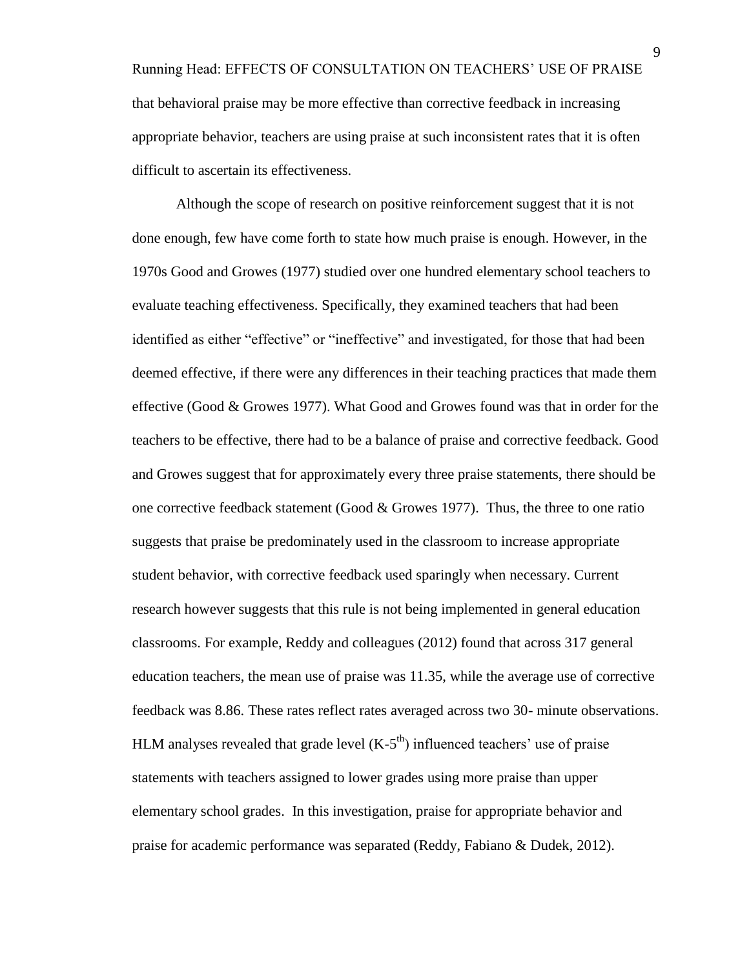Running Head: EFFECTS OF CONSULTATION ON TEACHERS' USE OF PRAISE that behavioral praise may be more effective than corrective feedback in increasing appropriate behavior, teachers are using praise at such inconsistent rates that it is often difficult to ascertain its effectiveness.

Although the scope of research on positive reinforcement suggest that it is not done enough, few have come forth to state how much praise is enough. However, in the 1970s Good and Growes (1977) studied over one hundred elementary school teachers to evaluate teaching effectiveness. Specifically, they examined teachers that had been identified as either "effective" or "ineffective" and investigated, for those that had been deemed effective, if there were any differences in their teaching practices that made them effective (Good & Growes 1977). What Good and Growes found was that in order for the teachers to be effective, there had to be a balance of praise and corrective feedback. Good and Growes suggest that for approximately every three praise statements, there should be one corrective feedback statement (Good & Growes 1977). Thus, the three to one ratio suggests that praise be predominately used in the classroom to increase appropriate student behavior, with corrective feedback used sparingly when necessary. Current research however suggests that this rule is not being implemented in general education classrooms. For example, Reddy and colleagues (2012) found that across 317 general education teachers, the mean use of praise was 11.35, while the average use of corrective feedback was 8.86. These rates reflect rates averaged across two 30- minute observations. HLM analyses revealed that grade level  $(K-5<sup>th</sup>)$  influenced teachers' use of praise statements with teachers assigned to lower grades using more praise than upper elementary school grades. In this investigation, praise for appropriate behavior and praise for academic performance was separated (Reddy, Fabiano & Dudek, 2012).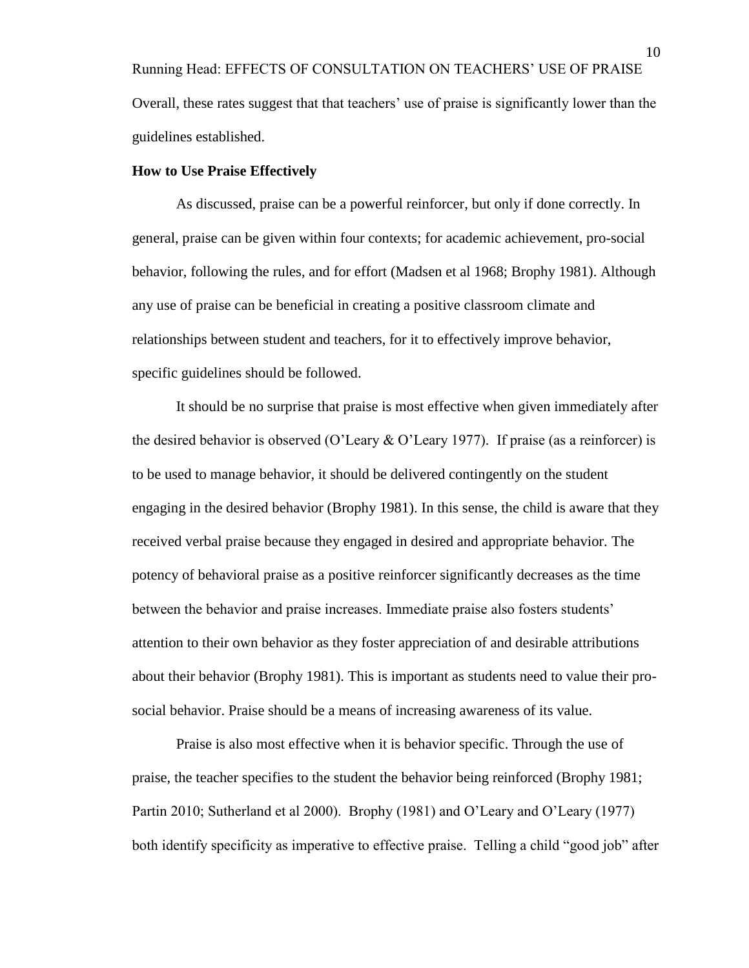Running Head: EFFECTS OF CONSULTATION ON TEACHERS' USE OF PRAISE Overall, these rates suggest that that teachers' use of praise is significantly lower than the guidelines established.

### **How to Use Praise Effectively**

As discussed, praise can be a powerful reinforcer, but only if done correctly. In general, praise can be given within four contexts; for academic achievement, pro-social behavior, following the rules, and for effort (Madsen et al 1968; Brophy 1981). Although any use of praise can be beneficial in creating a positive classroom climate and relationships between student and teachers, for it to effectively improve behavior, specific guidelines should be followed.

It should be no surprise that praise is most effective when given immediately after the desired behavior is observed (O'Leary & O'Leary 1977). If praise (as a reinforcer) is to be used to manage behavior, it should be delivered contingently on the student engaging in the desired behavior (Brophy 1981). In this sense, the child is aware that they received verbal praise because they engaged in desired and appropriate behavior. The potency of behavioral praise as a positive reinforcer significantly decreases as the time between the behavior and praise increases. Immediate praise also fosters students' attention to their own behavior as they foster appreciation of and desirable attributions about their behavior (Brophy 1981). This is important as students need to value their prosocial behavior. Praise should be a means of increasing awareness of its value.

Praise is also most effective when it is behavior specific. Through the use of praise, the teacher specifies to the student the behavior being reinforced (Brophy 1981; Partin 2010; Sutherland et al 2000). Brophy (1981) and O'Leary and O'Leary (1977) both identify specificity as imperative to effective praise. Telling a child "good job" after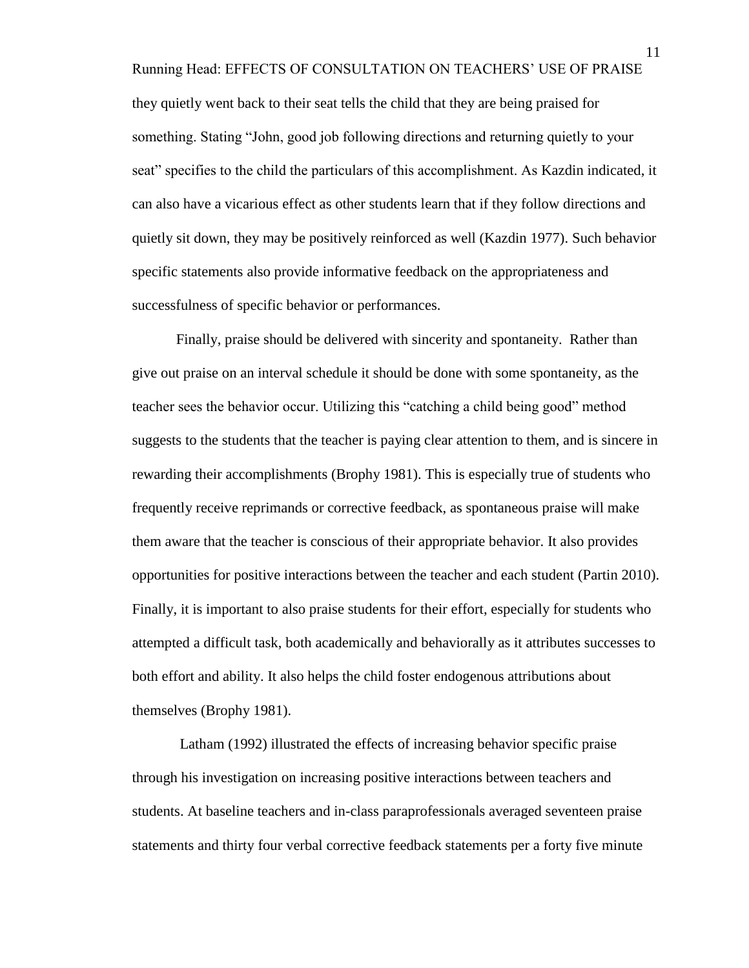Running Head: EFFECTS OF CONSULTATION ON TEACHERS' USE OF PRAISE they quietly went back to their seat tells the child that they are being praised for something. Stating "John, good job following directions and returning quietly to your seat" specifies to the child the particulars of this accomplishment. As Kazdin indicated, it can also have a vicarious effect as other students learn that if they follow directions and quietly sit down, they may be positively reinforced as well (Kazdin 1977). Such behavior specific statements also provide informative feedback on the appropriateness and successfulness of specific behavior or performances.

Finally, praise should be delivered with sincerity and spontaneity. Rather than give out praise on an interval schedule it should be done with some spontaneity, as the teacher sees the behavior occur. Utilizing this "catching a child being good" method suggests to the students that the teacher is paying clear attention to them, and is sincere in rewarding their accomplishments (Brophy 1981). This is especially true of students who frequently receive reprimands or corrective feedback, as spontaneous praise will make them aware that the teacher is conscious of their appropriate behavior. It also provides opportunities for positive interactions between the teacher and each student (Partin 2010). Finally, it is important to also praise students for their effort, especially for students who attempted a difficult task, both academically and behaviorally as it attributes successes to both effort and ability. It also helps the child foster endogenous attributions about themselves (Brophy 1981).

Latham (1992) illustrated the effects of increasing behavior specific praise through his investigation on increasing positive interactions between teachers and students. At baseline teachers and in-class paraprofessionals averaged seventeen praise statements and thirty four verbal corrective feedback statements per a forty five minute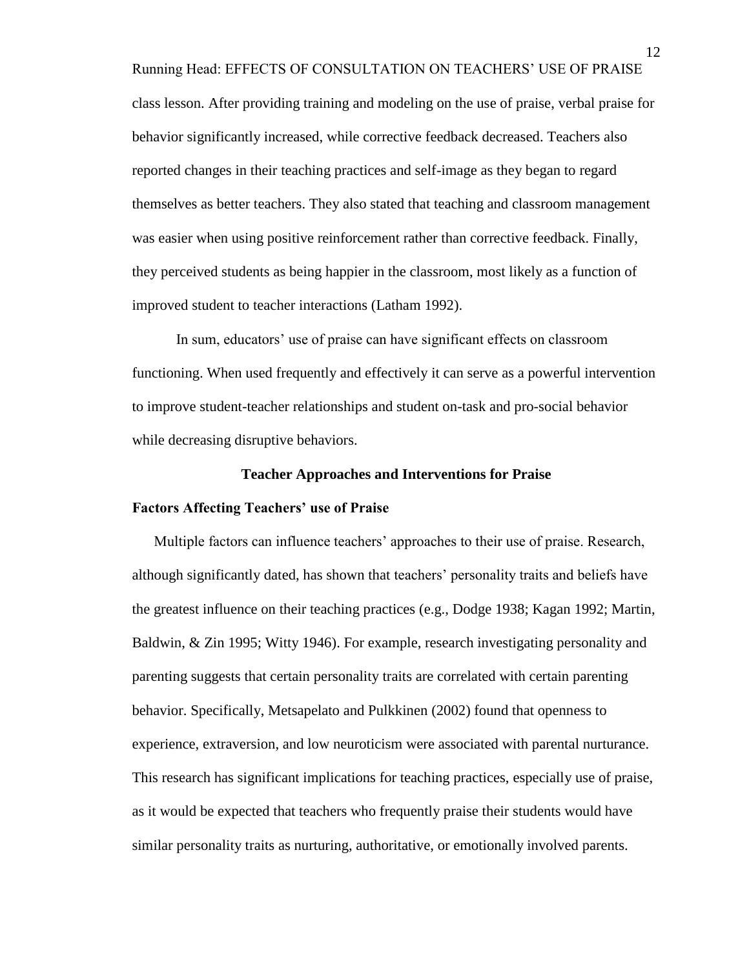Running Head: EFFECTS OF CONSULTATION ON TEACHERS' USE OF PRAISE class lesson. After providing training and modeling on the use of praise, verbal praise for behavior significantly increased, while corrective feedback decreased. Teachers also reported changes in their teaching practices and self-image as they began to regard themselves as better teachers. They also stated that teaching and classroom management was easier when using positive reinforcement rather than corrective feedback. Finally, they perceived students as being happier in the classroom, most likely as a function of improved student to teacher interactions (Latham 1992).

In sum, educators' use of praise can have significant effects on classroom functioning. When used frequently and effectively it can serve as a powerful intervention to improve student-teacher relationships and student on-task and pro-social behavior while decreasing disruptive behaviors.

#### **Teacher Approaches and Interventions for Praise**

#### **Factors Affecting Teachers' use of Praise**

Multiple factors can influence teachers' approaches to their use of praise. Research, although significantly dated, has shown that teachers' personality traits and beliefs have the greatest influence on their teaching practices (e.g., Dodge 1938; Kagan 1992; Martin, Baldwin, & Zin 1995; Witty 1946). For example, research investigating personality and parenting suggests that certain personality traits are correlated with certain parenting behavior. Specifically, Metsapelato and Pulkkinen (2002) found that openness to experience, extraversion, and low neuroticism were associated with parental nurturance. This research has significant implications for teaching practices, especially use of praise, as it would be expected that teachers who frequently praise their students would have similar personality traits as nurturing, authoritative, or emotionally involved parents.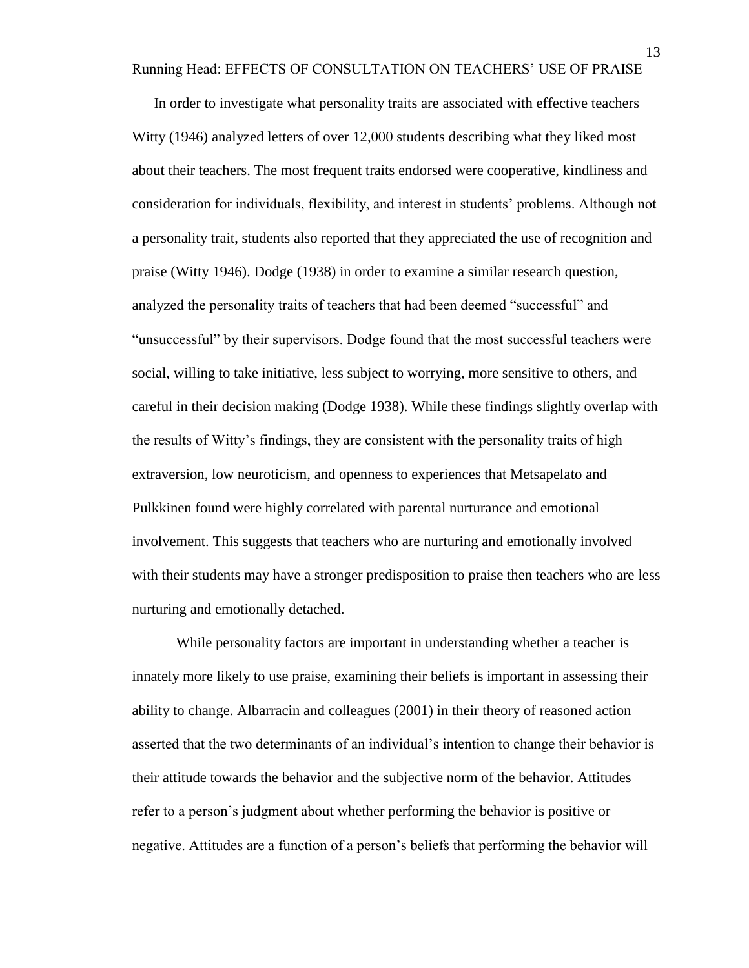Running Head: EFFECTS OF CONSULTATION ON TEACHERS' USE OF PRAISE

In order to investigate what personality traits are associated with effective teachers Witty (1946) analyzed letters of over 12,000 students describing what they liked most about their teachers. The most frequent traits endorsed were cooperative, kindliness and consideration for individuals, flexibility, and interest in students' problems. Although not a personality trait, students also reported that they appreciated the use of recognition and praise (Witty 1946). Dodge (1938) in order to examine a similar research question, analyzed the personality traits of teachers that had been deemed "successful" and "unsuccessful" by their supervisors. Dodge found that the most successful teachers were social, willing to take initiative, less subject to worrying, more sensitive to others, and careful in their decision making (Dodge 1938). While these findings slightly overlap with the results of Witty's findings, they are consistent with the personality traits of high extraversion, low neuroticism, and openness to experiences that Metsapelato and Pulkkinen found were highly correlated with parental nurturance and emotional involvement. This suggests that teachers who are nurturing and emotionally involved with their students may have a stronger predisposition to praise then teachers who are less nurturing and emotionally detached.

While personality factors are important in understanding whether a teacher is innately more likely to use praise, examining their beliefs is important in assessing their ability to change. Albarracin and colleagues (2001) in their theory of reasoned action asserted that the two determinants of an individual's intention to change their behavior is their attitude towards the behavior and the subjective norm of the behavior. Attitudes refer to a person's judgment about whether performing the behavior is positive or negative. Attitudes are a function of a person's beliefs that performing the behavior will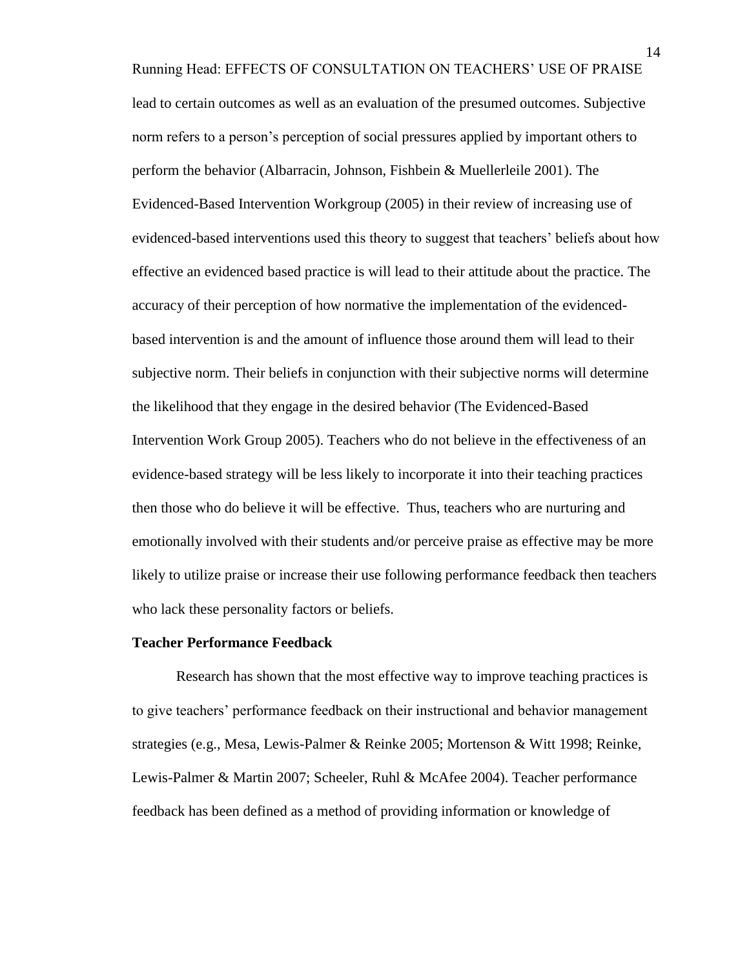Running Head: EFFECTS OF CONSULTATION ON TEACHERS' USE OF PRAISE lead to certain outcomes as well as an evaluation of the presumed outcomes. Subjective norm refers to a person's perception of social pressures applied by important others to perform the behavior (Albarracin, Johnson, Fishbein & Muellerleile 2001). The Evidenced-Based Intervention Workgroup (2005) in their review of increasing use of evidenced-based interventions used this theory to suggest that teachers' beliefs about how effective an evidenced based practice is will lead to their attitude about the practice. The accuracy of their perception of how normative the implementation of the evidencedbased intervention is and the amount of influence those around them will lead to their subjective norm. Their beliefs in conjunction with their subjective norms will determine the likelihood that they engage in the desired behavior (The Evidenced-Based Intervention Work Group 2005). Teachers who do not believe in the effectiveness of an evidence-based strategy will be less likely to incorporate it into their teaching practices then those who do believe it will be effective. Thus, teachers who are nurturing and emotionally involved with their students and/or perceive praise as effective may be more likely to utilize praise or increase their use following performance feedback then teachers who lack these personality factors or beliefs.

#### **Teacher Performance Feedback**

Research has shown that the most effective way to improve teaching practices is to give teachers' performance feedback on their instructional and behavior management strategies (e.g., Mesa, Lewis-Palmer & Reinke 2005; Mortenson & Witt 1998; Reinke, Lewis-Palmer & Martin 2007; Scheeler, Ruhl & McAfee 2004). Teacher performance feedback has been defined as a method of providing information or knowledge of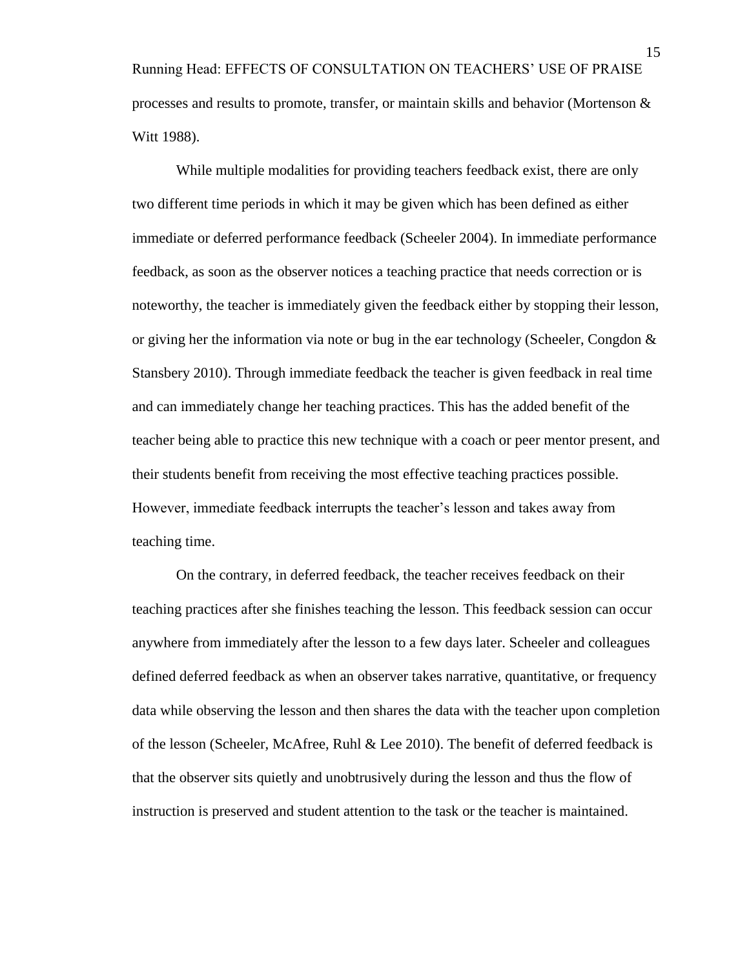Running Head: EFFECTS OF CONSULTATION ON TEACHERS' USE OF PRAISE processes and results to promote, transfer, or maintain skills and behavior (Mortenson  $\&$ Witt 1988).

While multiple modalities for providing teachers feedback exist, there are only two different time periods in which it may be given which has been defined as either immediate or deferred performance feedback (Scheeler 2004). In immediate performance feedback, as soon as the observer notices a teaching practice that needs correction or is noteworthy, the teacher is immediately given the feedback either by stopping their lesson, or giving her the information via note or bug in the ear technology (Scheeler, Congdon & Stansbery 2010). Through immediate feedback the teacher is given feedback in real time and can immediately change her teaching practices. This has the added benefit of the teacher being able to practice this new technique with a coach or peer mentor present, and their students benefit from receiving the most effective teaching practices possible. However, immediate feedback interrupts the teacher's lesson and takes away from teaching time.

On the contrary, in deferred feedback, the teacher receives feedback on their teaching practices after she finishes teaching the lesson. This feedback session can occur anywhere from immediately after the lesson to a few days later. Scheeler and colleagues defined deferred feedback as when an observer takes narrative, quantitative, or frequency data while observing the lesson and then shares the data with the teacher upon completion of the lesson (Scheeler, McAfree, Ruhl & Lee 2010). The benefit of deferred feedback is that the observer sits quietly and unobtrusively during the lesson and thus the flow of instruction is preserved and student attention to the task or the teacher is maintained.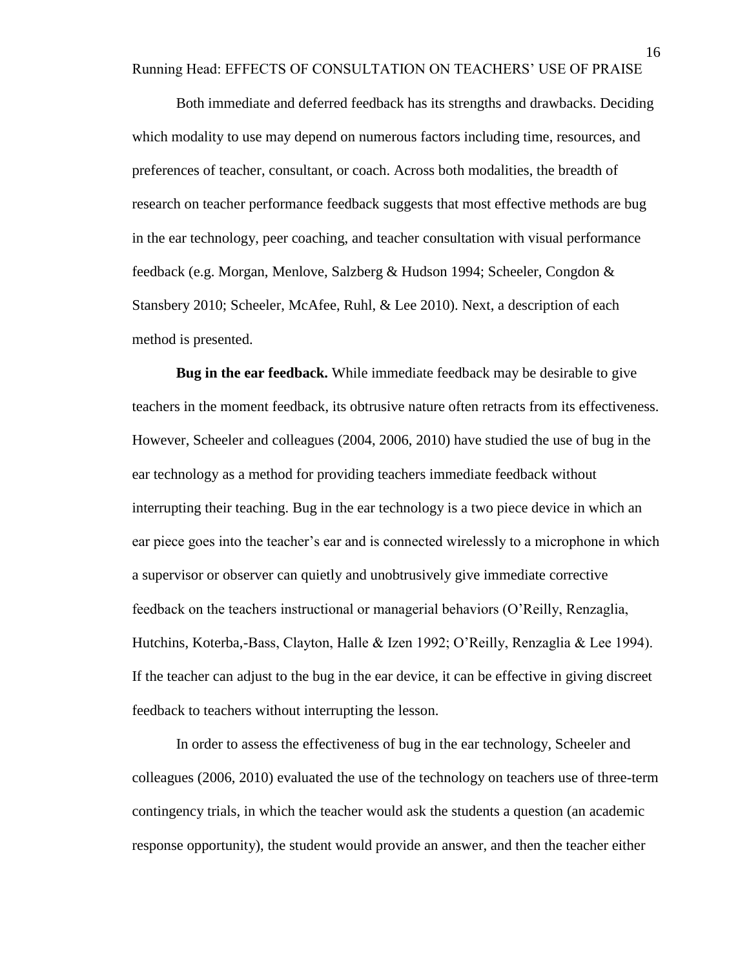Running Head: EFFECTS OF CONSULTATION ON TEACHERS' USE OF PRAISE

Both immediate and deferred feedback has its strengths and drawbacks. Deciding which modality to use may depend on numerous factors including time, resources, and preferences of teacher, consultant, or coach. Across both modalities, the breadth of research on teacher performance feedback suggests that most effective methods are bug in the ear technology, peer coaching, and teacher consultation with visual performance feedback (e.g. Morgan, Menlove, Salzberg & Hudson 1994; Scheeler, Congdon & Stansbery 2010; Scheeler, McAfee, Ruhl, & Lee 2010). Next, a description of each method is presented.

**Bug in the ear feedback.** While immediate feedback may be desirable to give teachers in the moment feedback, its obtrusive nature often retracts from its effectiveness. However, Scheeler and colleagues (2004, 2006, 2010) have studied the use of bug in the ear technology as a method for providing teachers immediate feedback without interrupting their teaching. Bug in the ear technology is a two piece device in which an ear piece goes into the teacher's ear and is connected wirelessly to a microphone in which a supervisor or observer can quietly and unobtrusively give immediate corrective feedback on the teachers instructional or managerial behaviors (O'Reilly, Renzaglia, Hutchins, Koterba,-Bass, Clayton, Halle & Izen 1992; O'Reilly, Renzaglia & Lee 1994). If the teacher can adjust to the bug in the ear device, it can be effective in giving discreet feedback to teachers without interrupting the lesson.

In order to assess the effectiveness of bug in the ear technology, Scheeler and colleagues (2006, 2010) evaluated the use of the technology on teachers use of three-term contingency trials, in which the teacher would ask the students a question (an academic response opportunity), the student would provide an answer, and then the teacher either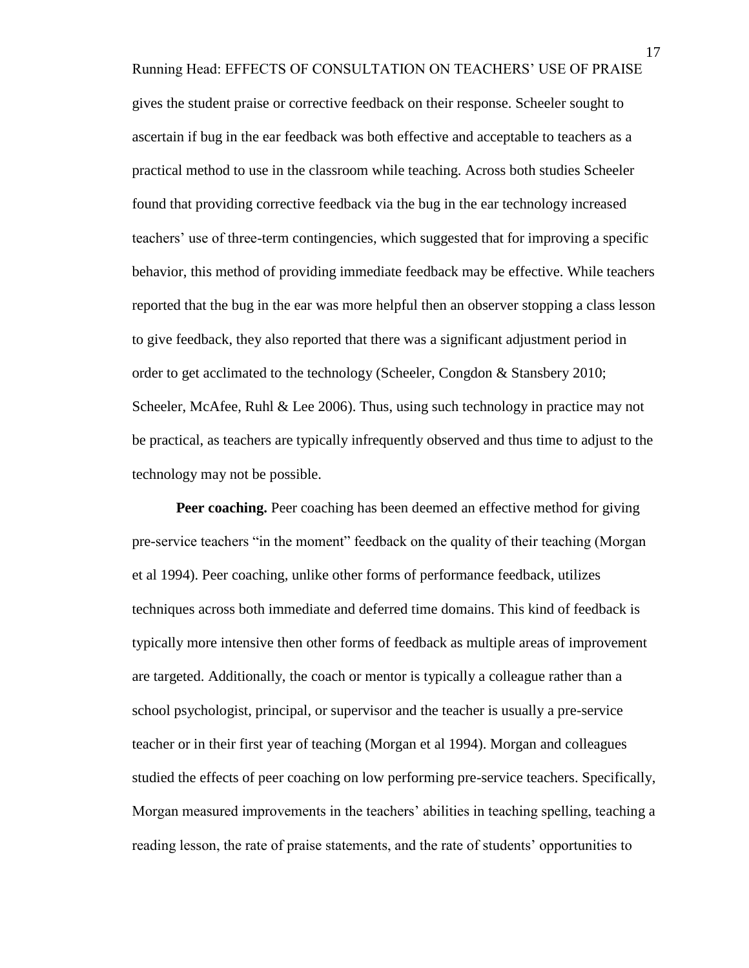Running Head: EFFECTS OF CONSULTATION ON TEACHERS' USE OF PRAISE gives the student praise or corrective feedback on their response. Scheeler sought to ascertain if bug in the ear feedback was both effective and acceptable to teachers as a practical method to use in the classroom while teaching. Across both studies Scheeler found that providing corrective feedback via the bug in the ear technology increased teachers' use of three-term contingencies, which suggested that for improving a specific behavior, this method of providing immediate feedback may be effective. While teachers reported that the bug in the ear was more helpful then an observer stopping a class lesson to give feedback, they also reported that there was a significant adjustment period in order to get acclimated to the technology (Scheeler, Congdon & Stansbery 2010; Scheeler, McAfee, Ruhl  $\&$  Lee 2006). Thus, using such technology in practice may not be practical, as teachers are typically infrequently observed and thus time to adjust to the technology may not be possible.

**Peer coaching.** Peer coaching has been deemed an effective method for giving pre-service teachers "in the moment" feedback on the quality of their teaching (Morgan et al 1994). Peer coaching, unlike other forms of performance feedback, utilizes techniques across both immediate and deferred time domains. This kind of feedback is typically more intensive then other forms of feedback as multiple areas of improvement are targeted. Additionally, the coach or mentor is typically a colleague rather than a school psychologist, principal, or supervisor and the teacher is usually a pre-service teacher or in their first year of teaching (Morgan et al 1994). Morgan and colleagues studied the effects of peer coaching on low performing pre-service teachers. Specifically, Morgan measured improvements in the teachers' abilities in teaching spelling, teaching a reading lesson, the rate of praise statements, and the rate of students' opportunities to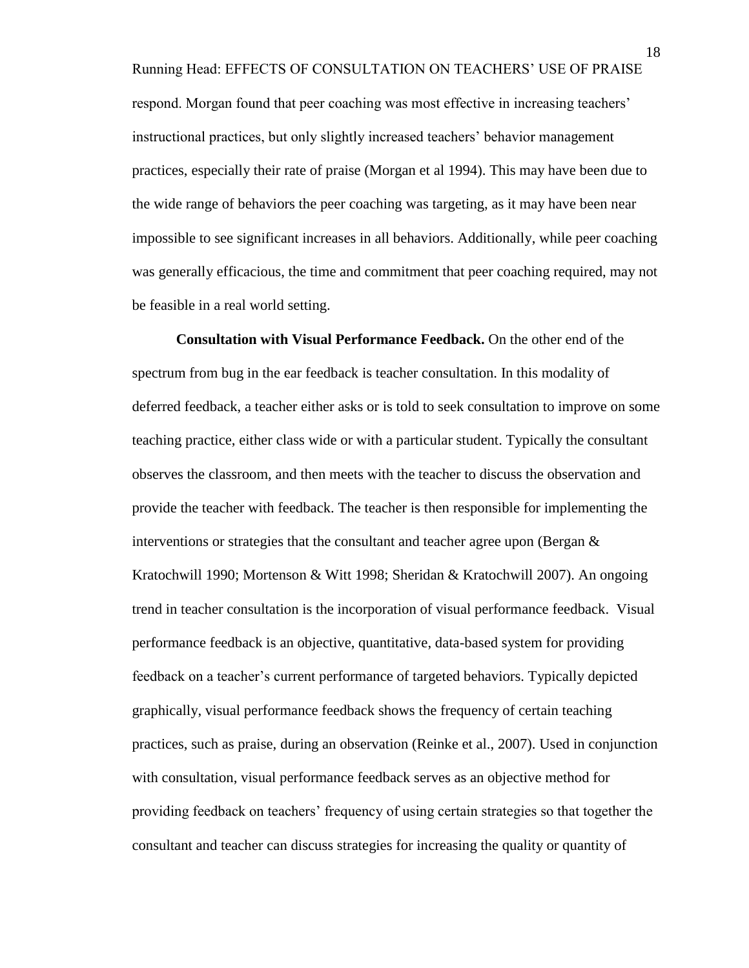Running Head: EFFECTS OF CONSULTATION ON TEACHERS' USE OF PRAISE respond. Morgan found that peer coaching was most effective in increasing teachers' instructional practices, but only slightly increased teachers' behavior management practices, especially their rate of praise (Morgan et al 1994). This may have been due to the wide range of behaviors the peer coaching was targeting, as it may have been near impossible to see significant increases in all behaviors. Additionally, while peer coaching was generally efficacious, the time and commitment that peer coaching required, may not be feasible in a real world setting.

**Consultation with Visual Performance Feedback.** On the other end of the spectrum from bug in the ear feedback is teacher consultation. In this modality of deferred feedback, a teacher either asks or is told to seek consultation to improve on some teaching practice, either class wide or with a particular student. Typically the consultant observes the classroom, and then meets with the teacher to discuss the observation and provide the teacher with feedback. The teacher is then responsible for implementing the interventions or strategies that the consultant and teacher agree upon (Bergan  $\&$ Kratochwill 1990; Mortenson & Witt 1998; Sheridan & Kratochwill 2007). An ongoing trend in teacher consultation is the incorporation of visual performance feedback. Visual performance feedback is an objective, quantitative, data-based system for providing feedback on a teacher's current performance of targeted behaviors. Typically depicted graphically, visual performance feedback shows the frequency of certain teaching practices, such as praise, during an observation (Reinke et al., 2007). Used in conjunction with consultation, visual performance feedback serves as an objective method for providing feedback on teachers' frequency of using certain strategies so that together the consultant and teacher can discuss strategies for increasing the quality or quantity of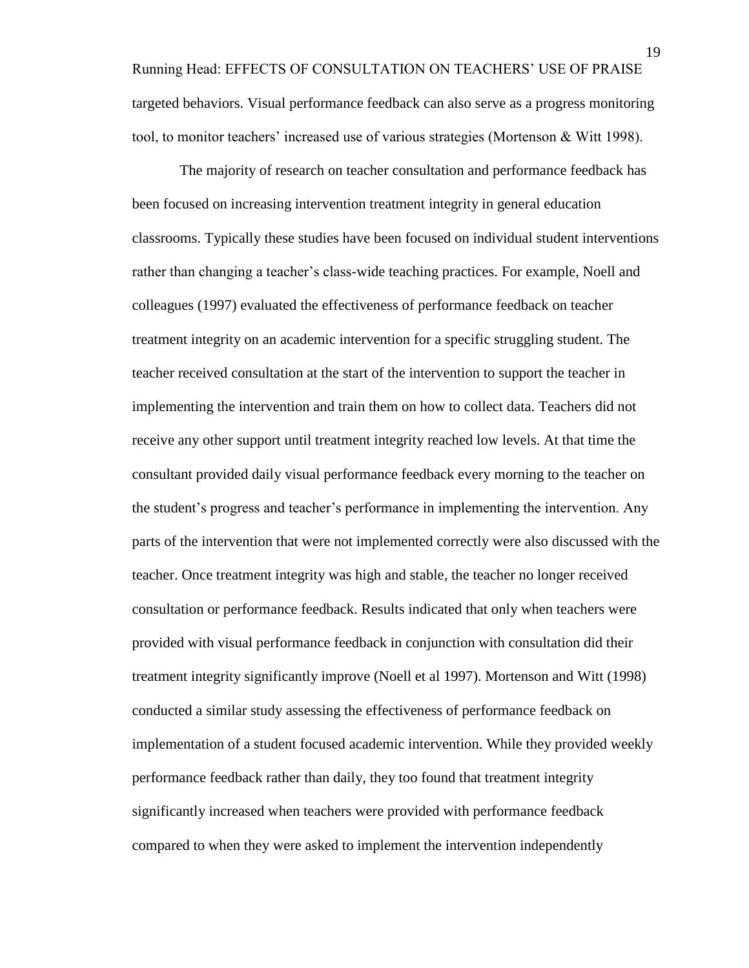Running Head: EFFECTS OF CONSULTATION ON TEACHERS' USE OF PRAISE targeted behaviors. Visual performance feedback can also serve as a progress monitoring tool, to monitor teachers' increased use of various strategies (Mortenson & Witt 1998).

The majority of research on teacher consultation and performance feedback has been focused on increasing intervention treatment integrity in general education classrooms. Typically these studies have been focused on individual student interventions rather than changing a teacher's class-wide teaching practices. For example, Noell and colleagues (1997) evaluated the effectiveness of performance feedback on teacher treatment integrity on an academic intervention for a specific struggling student. The teacher received consultation at the start of the intervention to support the teacher in implementing the intervention and train them on how to collect data. Teachers did not receive any other support until treatment integrity reached low levels. At that time the consultant provided daily visual performance feedback every morning to the teacher on the student's progress and teacher's performance in implementing the intervention. Any parts of the intervention that were not implemented correctly were also discussed with the teacher. Once treatment integrity was high and stable, the teacher no longer received consultation or performance feedback. Results indicated that only when teachers were provided with visual performance feedback in conjunction with consultation did their treatment integrity significantly improve (Noell et al 1997). Mortenson and Witt (1998) conducted a similar study assessing the effectiveness of performance feedback on implementation of a student focused academic intervention. While they provided weekly performance feedback rather than daily, they too found that treatment integrity significantly increased when teachers were provided with performance feedback compared to when they were asked to implement the intervention independently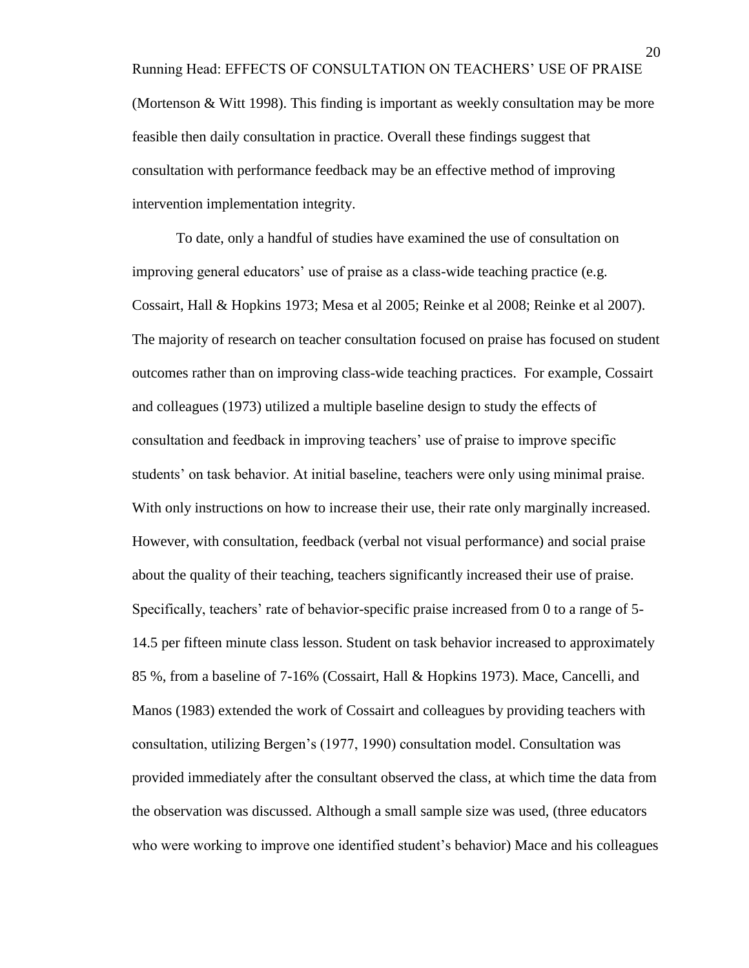Running Head: EFFECTS OF CONSULTATION ON TEACHERS' USE OF PRAISE (Mortenson & Witt 1998). This finding is important as weekly consultation may be more feasible then daily consultation in practice. Overall these findings suggest that consultation with performance feedback may be an effective method of improving intervention implementation integrity.

To date, only a handful of studies have examined the use of consultation on improving general educators' use of praise as a class-wide teaching practice (e.g. Cossairt, Hall & Hopkins 1973; Mesa et al 2005; Reinke et al 2008; Reinke et al 2007). The majority of research on teacher consultation focused on praise has focused on student outcomes rather than on improving class-wide teaching practices. For example, Cossairt and colleagues (1973) utilized a multiple baseline design to study the effects of consultation and feedback in improving teachers' use of praise to improve specific students' on task behavior. At initial baseline, teachers were only using minimal praise. With only instructions on how to increase their use, their rate only marginally increased. However, with consultation, feedback (verbal not visual performance) and social praise about the quality of their teaching, teachers significantly increased their use of praise. Specifically, teachers' rate of behavior-specific praise increased from 0 to a range of 5- 14.5 per fifteen minute class lesson. Student on task behavior increased to approximately 85 %, from a baseline of 7-16% (Cossairt, Hall & Hopkins 1973). Mace, Cancelli, and Manos (1983) extended the work of Cossairt and colleagues by providing teachers with consultation, utilizing Bergen's (1977, 1990) consultation model. Consultation was provided immediately after the consultant observed the class, at which time the data from the observation was discussed. Although a small sample size was used, (three educators who were working to improve one identified student's behavior) Mace and his colleagues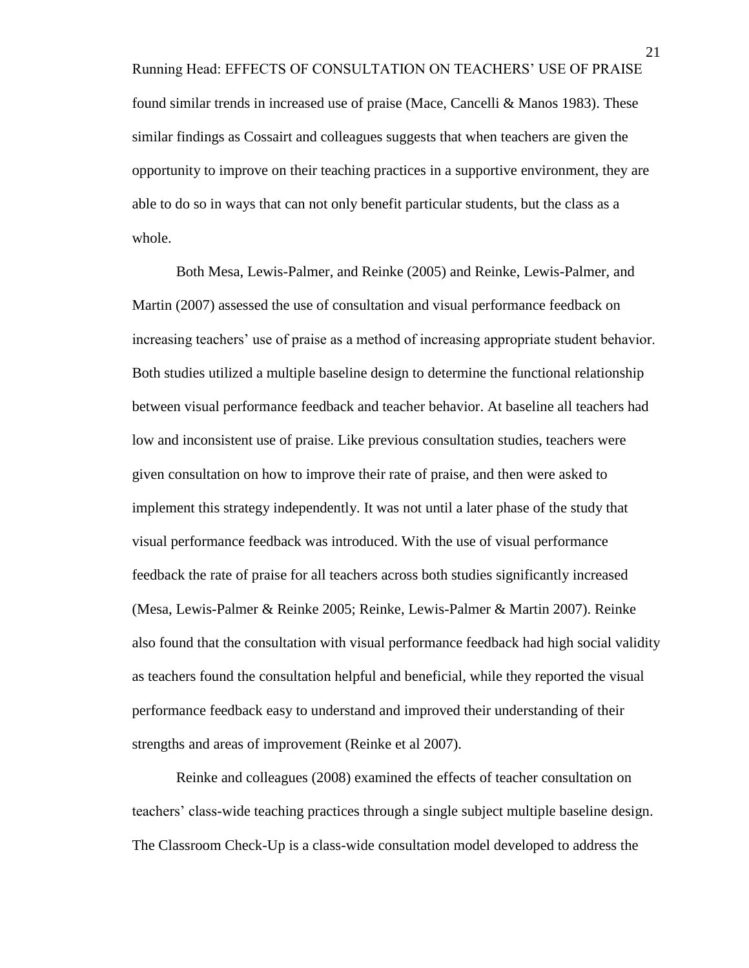Running Head: EFFECTS OF CONSULTATION ON TEACHERS' USE OF PRAISE found similar trends in increased use of praise (Mace, Cancelli & Manos 1983). These similar findings as Cossairt and colleagues suggests that when teachers are given the opportunity to improve on their teaching practices in a supportive environment, they are able to do so in ways that can not only benefit particular students, but the class as a whole.

Both Mesa, Lewis-Palmer, and Reinke (2005) and Reinke, Lewis-Palmer, and Martin (2007) assessed the use of consultation and visual performance feedback on increasing teachers' use of praise as a method of increasing appropriate student behavior. Both studies utilized a multiple baseline design to determine the functional relationship between visual performance feedback and teacher behavior. At baseline all teachers had low and inconsistent use of praise. Like previous consultation studies, teachers were given consultation on how to improve their rate of praise, and then were asked to implement this strategy independently. It was not until a later phase of the study that visual performance feedback was introduced. With the use of visual performance feedback the rate of praise for all teachers across both studies significantly increased (Mesa, Lewis-Palmer & Reinke 2005; Reinke, Lewis-Palmer & Martin 2007). Reinke also found that the consultation with visual performance feedback had high social validity as teachers found the consultation helpful and beneficial, while they reported the visual performance feedback easy to understand and improved their understanding of their strengths and areas of improvement (Reinke et al 2007).

Reinke and colleagues (2008) examined the effects of teacher consultation on teachers' class-wide teaching practices through a single subject multiple baseline design. The Classroom Check-Up is a class-wide consultation model developed to address the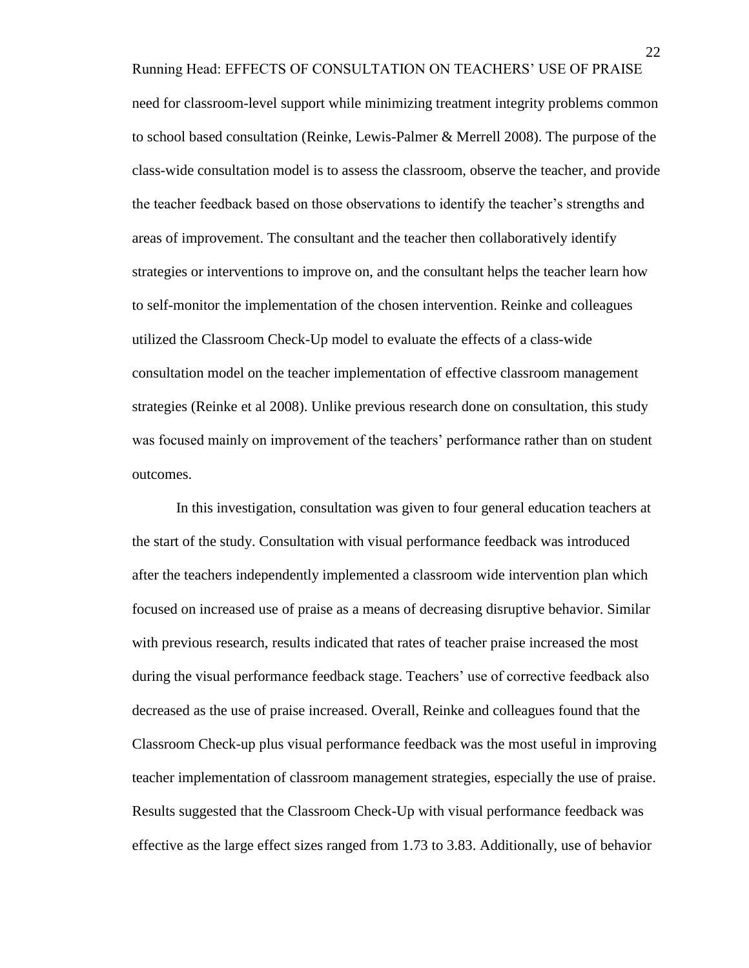Running Head: EFFECTS OF CONSULTATION ON TEACHERS' USE OF PRAISE need for classroom-level support while minimizing treatment integrity problems common to school based consultation (Reinke, Lewis-Palmer & Merrell 2008). The purpose of the class-wide consultation model is to assess the classroom, observe the teacher, and provide the teacher feedback based on those observations to identify the teacher's strengths and areas of improvement. The consultant and the teacher then collaboratively identify strategies or interventions to improve on, and the consultant helps the teacher learn how to self-monitor the implementation of the chosen intervention. Reinke and colleagues utilized the Classroom Check-Up model to evaluate the effects of a class-wide consultation model on the teacher implementation of effective classroom management strategies (Reinke et al 2008). Unlike previous research done on consultation, this study was focused mainly on improvement of the teachers' performance rather than on student outcomes.

In this investigation, consultation was given to four general education teachers at the start of the study. Consultation with visual performance feedback was introduced after the teachers independently implemented a classroom wide intervention plan which focused on increased use of praise as a means of decreasing disruptive behavior. Similar with previous research, results indicated that rates of teacher praise increased the most during the visual performance feedback stage. Teachers' use of corrective feedback also decreased as the use of praise increased. Overall, Reinke and colleagues found that the Classroom Check-up plus visual performance feedback was the most useful in improving teacher implementation of classroom management strategies, especially the use of praise. Results suggested that the Classroom Check-Up with visual performance feedback was effective as the large effect sizes ranged from 1.73 to 3.83. Additionally, use of behavior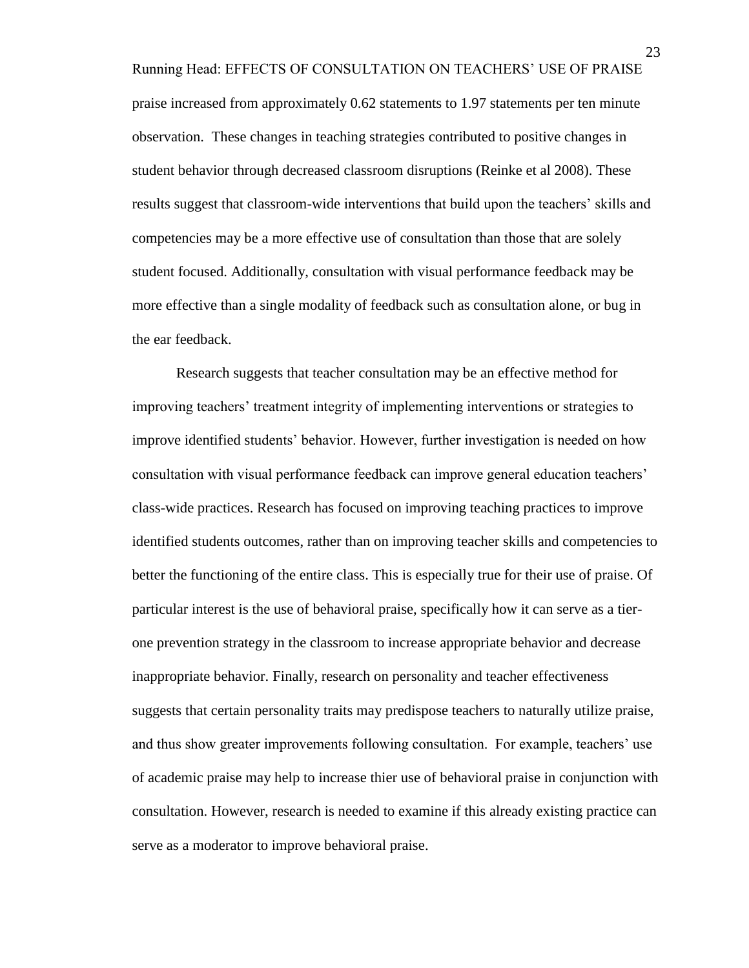Running Head: EFFECTS OF CONSULTATION ON TEACHERS' USE OF PRAISE praise increased from approximately 0.62 statements to 1.97 statements per ten minute observation. These changes in teaching strategies contributed to positive changes in student behavior through decreased classroom disruptions (Reinke et al 2008). These results suggest that classroom-wide interventions that build upon the teachers' skills and competencies may be a more effective use of consultation than those that are solely student focused. Additionally, consultation with visual performance feedback may be more effective than a single modality of feedback such as consultation alone, or bug in the ear feedback.

Research suggests that teacher consultation may be an effective method for improving teachers' treatment integrity of implementing interventions or strategies to improve identified students' behavior. However, further investigation is needed on how consultation with visual performance feedback can improve general education teachers' class-wide practices. Research has focused on improving teaching practices to improve identified students outcomes, rather than on improving teacher skills and competencies to better the functioning of the entire class. This is especially true for their use of praise. Of particular interest is the use of behavioral praise, specifically how it can serve as a tierone prevention strategy in the classroom to increase appropriate behavior and decrease inappropriate behavior. Finally, research on personality and teacher effectiveness suggests that certain personality traits may predispose teachers to naturally utilize praise, and thus show greater improvements following consultation. For example, teachers' use of academic praise may help to increase thier use of behavioral praise in conjunction with consultation. However, research is needed to examine if this already existing practice can serve as a moderator to improve behavioral praise.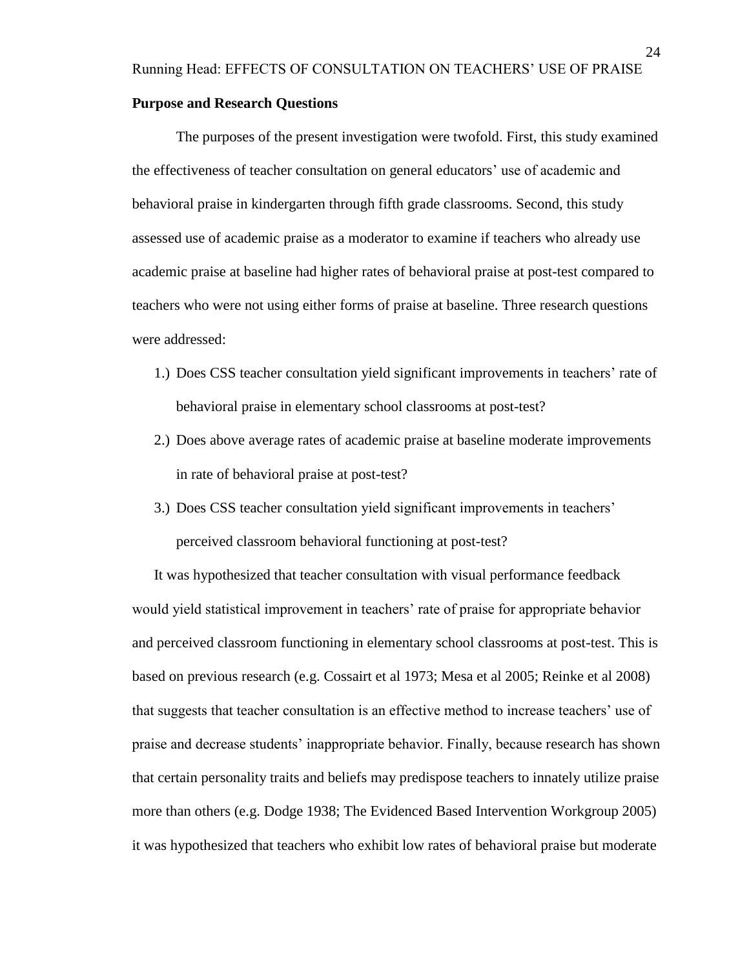#### **Purpose and Research Questions**

The purposes of the present investigation were twofold. First, this study examined the effectiveness of teacher consultation on general educators' use of academic and behavioral praise in kindergarten through fifth grade classrooms. Second, this study assessed use of academic praise as a moderator to examine if teachers who already use academic praise at baseline had higher rates of behavioral praise at post-test compared to teachers who were not using either forms of praise at baseline. Three research questions were addressed:

- 1.) Does CSS teacher consultation yield significant improvements in teachers' rate of behavioral praise in elementary school classrooms at post-test?
- 2.) Does above average rates of academic praise at baseline moderate improvements in rate of behavioral praise at post-test?
- 3.) Does CSS teacher consultation yield significant improvements in teachers' perceived classroom behavioral functioning at post-test?

It was hypothesized that teacher consultation with visual performance feedback would yield statistical improvement in teachers' rate of praise for appropriate behavior and perceived classroom functioning in elementary school classrooms at post-test. This is based on previous research (e.g. Cossairt et al 1973; Mesa et al 2005; Reinke et al 2008) that suggests that teacher consultation is an effective method to increase teachers' use of praise and decrease students' inappropriate behavior. Finally, because research has shown that certain personality traits and beliefs may predispose teachers to innately utilize praise more than others (e.g. Dodge 1938; The Evidenced Based Intervention Workgroup 2005) it was hypothesized that teachers who exhibit low rates of behavioral praise but moderate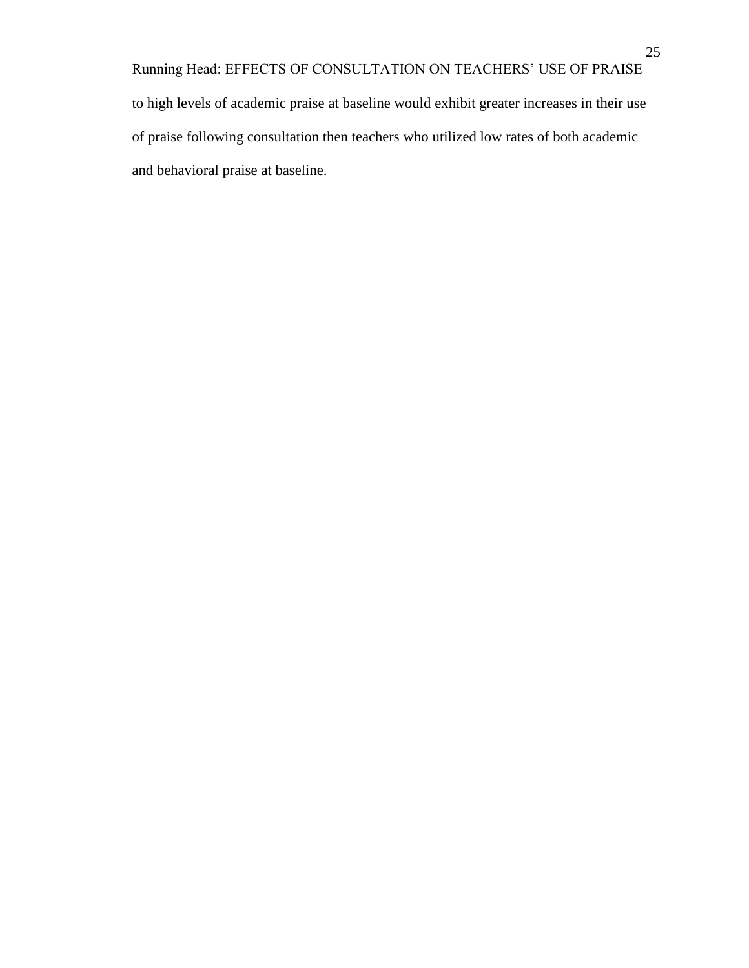Running Head: EFFECTS OF CONSULTATION ON TEACHERS' USE OF PRAISE to high levels of academic praise at baseline would exhibit greater increases in their use of praise following consultation then teachers who utilized low rates of both academic and behavioral praise at baseline.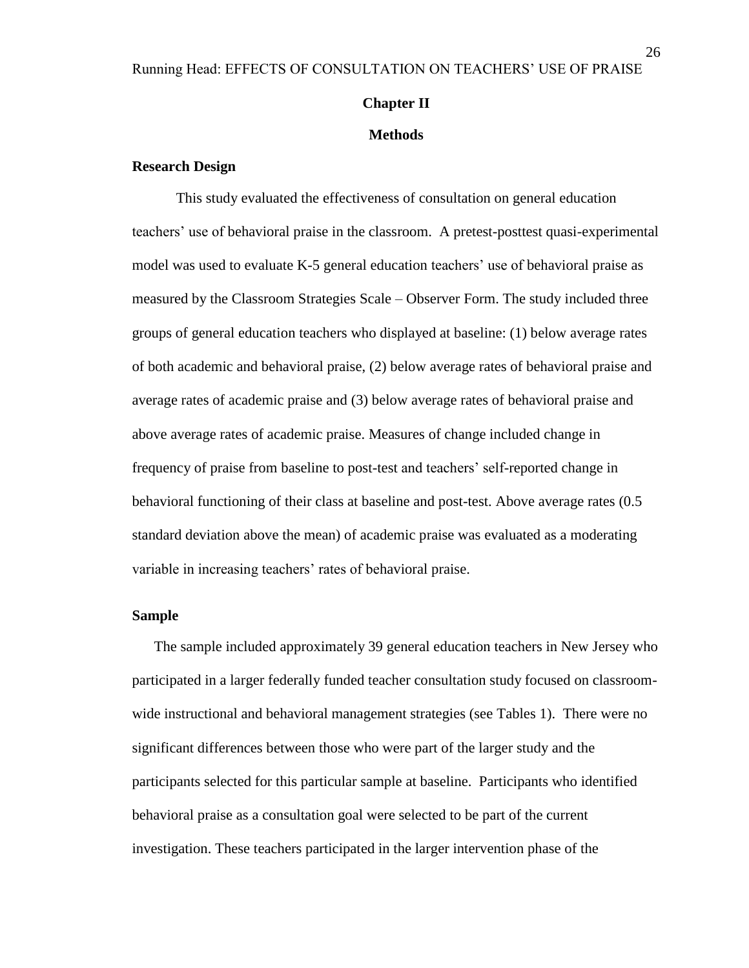### **Chapter II**

#### **Methods**

### **Research Design**

This study evaluated the effectiveness of consultation on general education teachers' use of behavioral praise in the classroom. A pretest-posttest quasi-experimental model was used to evaluate K-5 general education teachers' use of behavioral praise as measured by the Classroom Strategies Scale – Observer Form. The study included three groups of general education teachers who displayed at baseline: (1) below average rates of both academic and behavioral praise, (2) below average rates of behavioral praise and average rates of academic praise and (3) below average rates of behavioral praise and above average rates of academic praise. Measures of change included change in frequency of praise from baseline to post-test and teachers' self-reported change in behavioral functioning of their class at baseline and post-test. Above average rates (0.5 standard deviation above the mean) of academic praise was evaluated as a moderating variable in increasing teachers' rates of behavioral praise.

### **Sample**

The sample included approximately 39 general education teachers in New Jersey who participated in a larger federally funded teacher consultation study focused on classroomwide instructional and behavioral management strategies (see Tables 1). There were no significant differences between those who were part of the larger study and the participants selected for this particular sample at baseline. Participants who identified behavioral praise as a consultation goal were selected to be part of the current investigation. These teachers participated in the larger intervention phase of the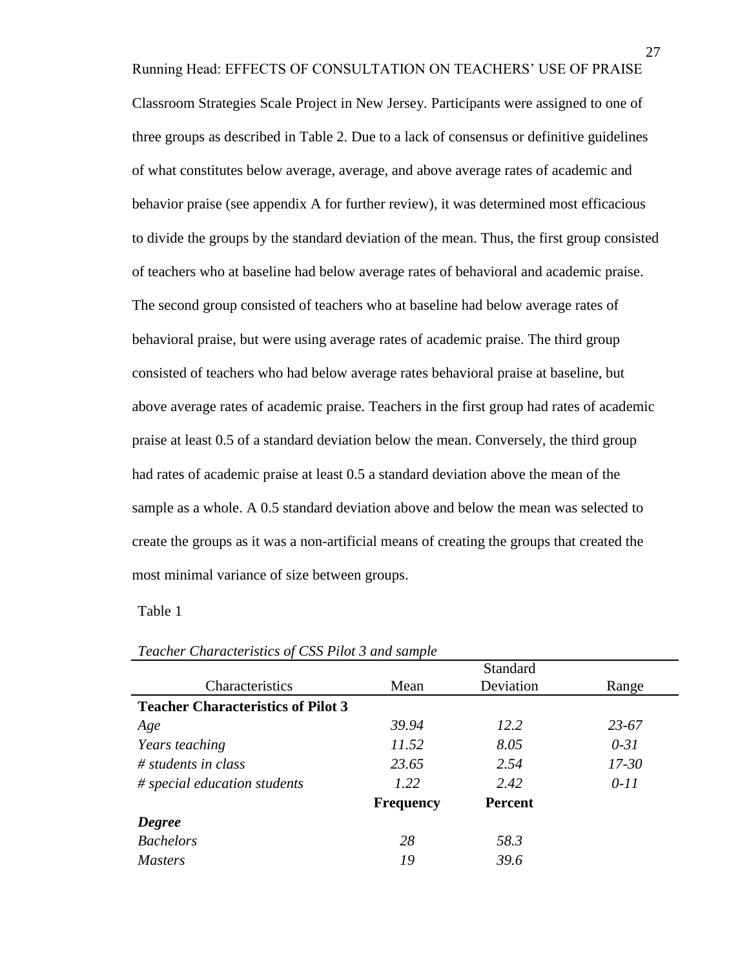Running Head: EFFECTS OF CONSULTATION ON TEACHERS' USE OF PRAISE

Classroom Strategies Scale Project in New Jersey. Participants were assigned to one of three groups as described in Table 2. Due to a lack of consensus or definitive guidelines of what constitutes below average, average, and above average rates of academic and behavior praise (see appendix A for further review), it was determined most efficacious to divide the groups by the standard deviation of the mean. Thus, the first group consisted of teachers who at baseline had below average rates of behavioral and academic praise. The second group consisted of teachers who at baseline had below average rates of behavioral praise, but were using average rates of academic praise. The third group consisted of teachers who had below average rates behavioral praise at baseline, but above average rates of academic praise. Teachers in the first group had rates of academic praise at least 0.5 of a standard deviation below the mean. Conversely, the third group had rates of academic praise at least 0.5 a standard deviation above the mean of the sample as a whole. A 0.5 standard deviation above and below the mean was selected to create the groups as it was a non-artificial means of creating the groups that created the most minimal variance of size between groups.

Table 1

|                                           | Standard         |           |           |
|-------------------------------------------|------------------|-----------|-----------|
| Characteristics                           | Mean             | Deviation | Range     |
| <b>Teacher Characteristics of Pilot 3</b> |                  |           |           |
| Age                                       | 39.94            | 12.2      | $23 - 67$ |
| <i>Years teaching</i>                     | 11.52            | 8.05      | $0 - 31$  |
| $#$ students in class                     | 23.65            | 2.54      | $17 - 30$ |
| # special education students              | 1.22             | 2.42      | $0 - 11$  |
|                                           | <b>Frequency</b> | Percent   |           |
| <b>Degree</b>                             |                  |           |           |
| <b>Bachelors</b>                          | 28               | 58.3      |           |
| <b>Masters</b>                            | 19               | 39.6      |           |

*Teacher Characteristics of CSS Pilot 3 and sample*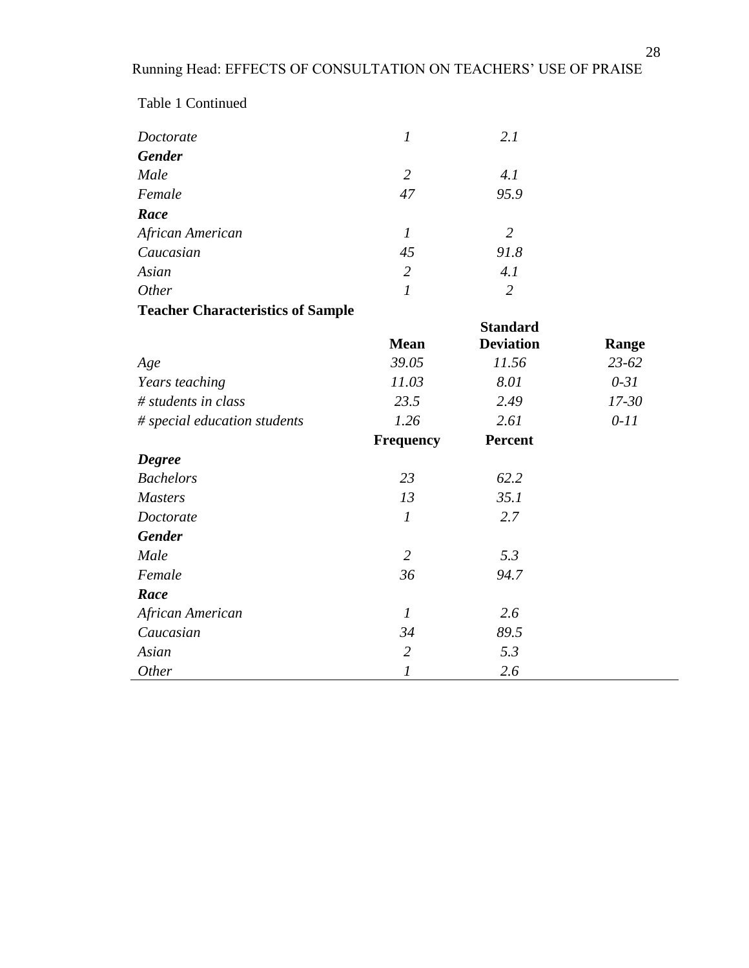| Doctorate                                | $\boldsymbol{l}$            | 2.1              |           |
|------------------------------------------|-----------------------------|------------------|-----------|
| <b>Gender</b>                            |                             |                  |           |
| Male                                     | $\overline{2}$              | 4.1              |           |
| Female                                   | 47                          | 95.9             |           |
| Race                                     |                             |                  |           |
| African American                         | $\mathfrak{1}$              | $\overline{2}$   |           |
| Caucasian                                | 45                          | 91.8             |           |
| Asian                                    | $\overline{2}$              | 4.1              |           |
| Other                                    | $\mathcal{I}_{\mathcal{I}}$ | $\overline{2}$   |           |
| <b>Teacher Characteristics of Sample</b> |                             |                  |           |
|                                          |                             | <b>Standard</b>  |           |
|                                          | <b>Mean</b>                 | <b>Deviation</b> | Range     |
| Age                                      | 39.05                       | 11.56            | 23-62     |
| Years teaching                           | 11.03                       | 8.01             | $0 - 31$  |
| $#$ students in class                    | 23.5                        | 2.49             | $17 - 30$ |
| # special education students             | 1.26                        | 2.61             | $0 - 11$  |
|                                          | <b>Frequency</b>            | Percent          |           |
| <b>Degree</b>                            |                             |                  |           |
| <b>Bachelors</b>                         | 23                          | 62.2             |           |
| <b>Masters</b>                           | 13                          | 35.1             |           |
| Doctorate                                | $\boldsymbol{l}$            | 2.7              |           |
| <b>Gender</b>                            |                             |                  |           |
| Male                                     | $\overline{2}$              | 5.3              |           |
| Female                                   | 36                          | 94.7             |           |
| Race                                     |                             |                  |           |
| African American                         | $\mathcal{I}_{\mathcal{I}}$ | 2.6              |           |
| Caucasian                                | 34                          | 89.5             |           |
| Asian                                    | $\overline{2}$              | 5.3              |           |
| Other                                    | $\mathfrak l$               | 2.6              |           |

Table 1 Continued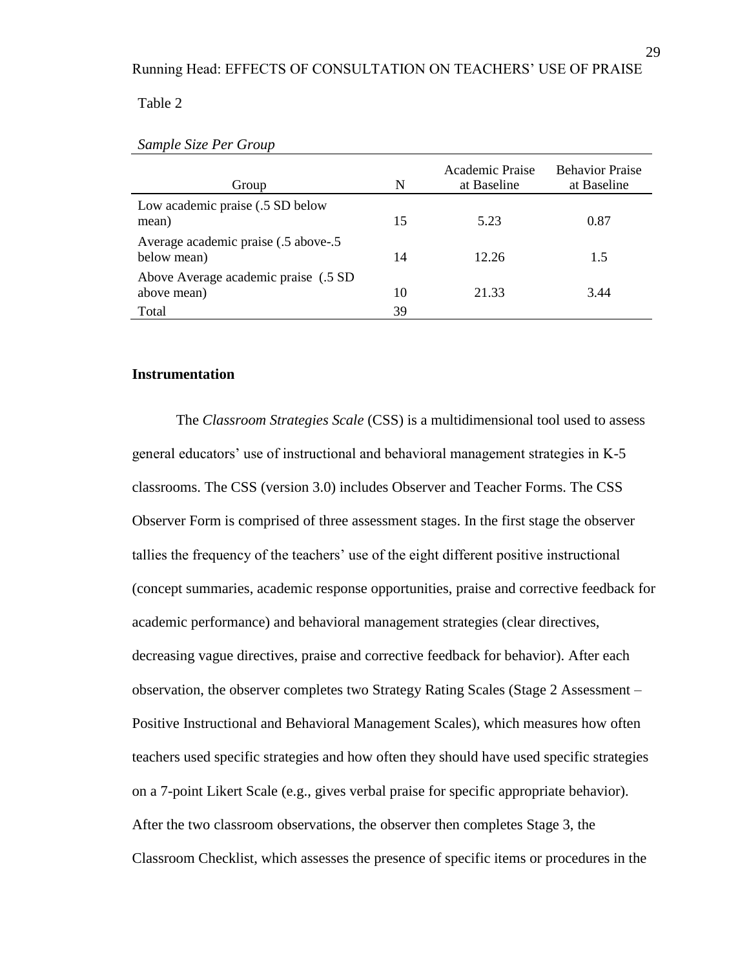#### Table 2

| Group                                                | N  | Academic Praise<br>at Baseline | <b>Behavior Praise</b><br>at Baseline |
|------------------------------------------------------|----|--------------------------------|---------------------------------------|
| Low academic praise (.5 SD below<br>mean)            | 15 | 5.23                           | 0.87                                  |
| Average academic praise (.5 above-.5)<br>below mean) | 14 | 12.26                          | 1.5                                   |
| Above Average academic praise (.5 SD)<br>above mean) | 10 | 21.33                          | 3.44                                  |
| Total                                                | 39 |                                |                                       |

#### *Sample Size Per Group*

## **Instrumentation**

The *Classroom Strategies Scale* (CSS) is a multidimensional tool used to assess general educators' use of instructional and behavioral management strategies in K-5 classrooms. The CSS (version 3.0) includes Observer and Teacher Forms. The CSS Observer Form is comprised of three assessment stages. In the first stage the observer tallies the frequency of the teachers' use of the eight different positive instructional (concept summaries, academic response opportunities, praise and corrective feedback for academic performance) and behavioral management strategies (clear directives, decreasing vague directives, praise and corrective feedback for behavior). After each observation, the observer completes two Strategy Rating Scales (Stage 2 Assessment – Positive Instructional and Behavioral Management Scales), which measures how often teachers used specific strategies and how often they should have used specific strategies on a 7-point Likert Scale (e.g., gives verbal praise for specific appropriate behavior). After the two classroom observations, the observer then completes Stage 3, the Classroom Checklist, which assesses the presence of specific items or procedures in the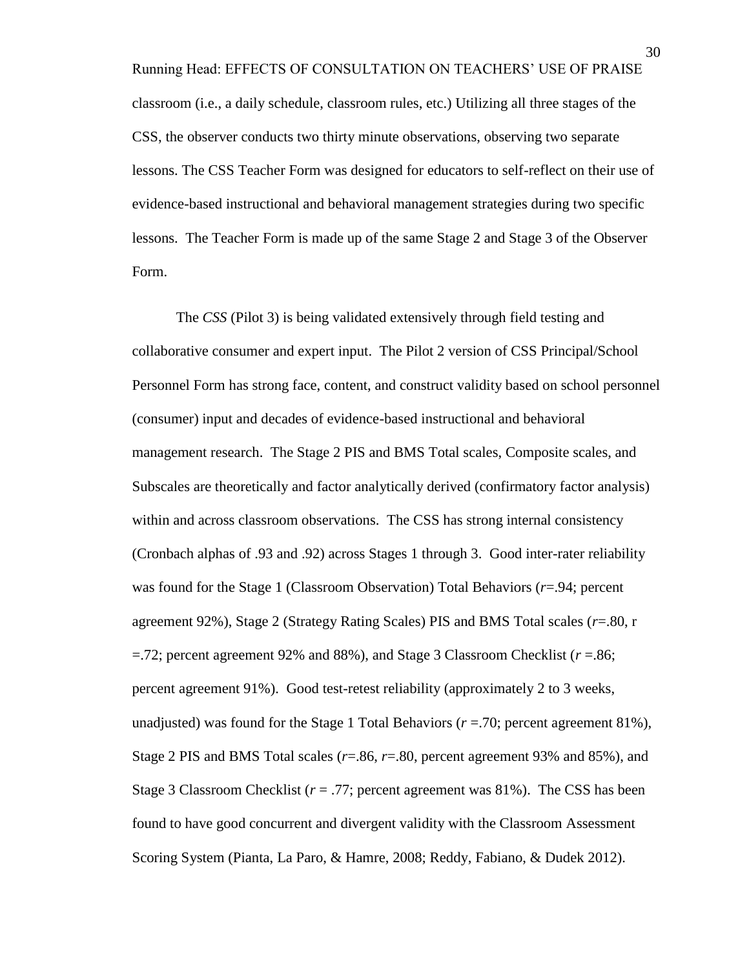Running Head: EFFECTS OF CONSULTATION ON TEACHERS' USE OF PRAISE classroom (i.e., a daily schedule, classroom rules, etc.) Utilizing all three stages of the CSS, the observer conducts two thirty minute observations, observing two separate lessons. The CSS Teacher Form was designed for educators to self-reflect on their use of evidence-based instructional and behavioral management strategies during two specific lessons. The Teacher Form is made up of the same Stage 2 and Stage 3 of the Observer Form.

The *CSS* (Pilot 3) is being validated extensively through field testing and collaborative consumer and expert input. The Pilot 2 version of CSS Principal/School Personnel Form has strong face, content, and construct validity based on school personnel (consumer) input and decades of evidence-based instructional and behavioral management research. The Stage 2 PIS and BMS Total scales, Composite scales, and Subscales are theoretically and factor analytically derived (confirmatory factor analysis) within and across classroom observations. The CSS has strong internal consistency (Cronbach alphas of .93 and .92) across Stages 1 through 3. Good inter-rater reliability was found for the Stage 1 (Classroom Observation) Total Behaviors (*r*=.94; percent agreement 92%), Stage 2 (Strategy Rating Scales) PIS and BMS Total scales (*r*=.80, r =.72; percent agreement 92% and 88%), and Stage 3 Classroom Checklist (*r* =.86; percent agreement 91%). Good test-retest reliability (approximately 2 to 3 weeks, unadjusted) was found for the Stage 1 Total Behaviors  $(r = .70)$ ; percent agreement 81%), Stage 2 PIS and BMS Total scales (*r*=.86, *r*=.80, percent agreement 93% and 85%), and Stage 3 Classroom Checklist (*r* = .77; percent agreement was 81%). The CSS has been found to have good concurrent and divergent validity with the Classroom Assessment Scoring System (Pianta, La Paro, & Hamre, 2008; Reddy, Fabiano, & Dudek 2012).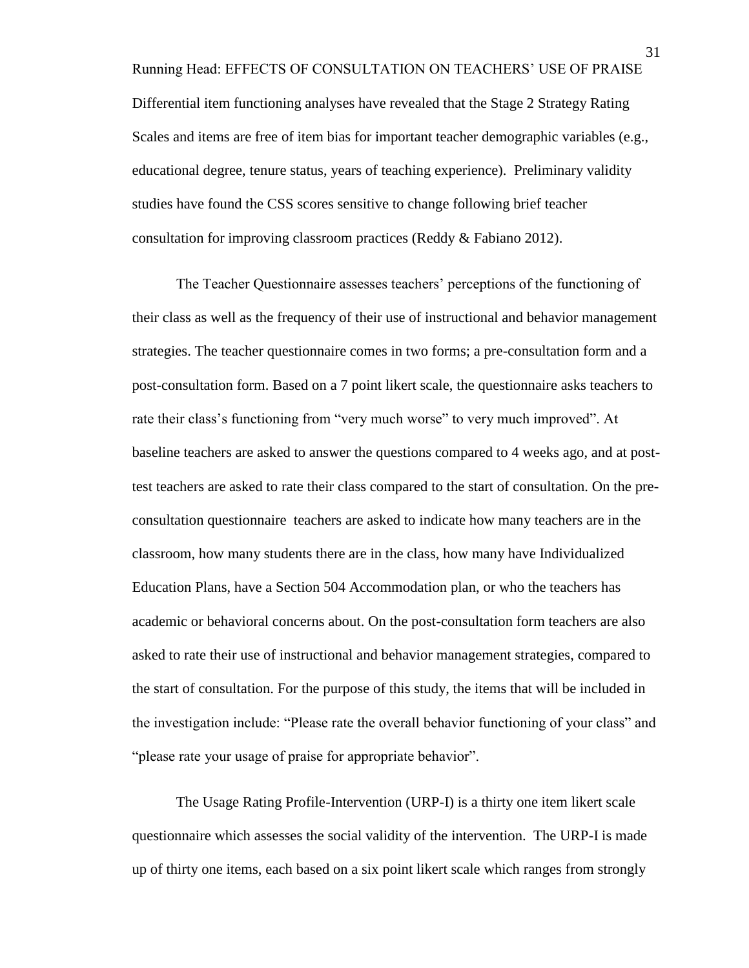Running Head: EFFECTS OF CONSULTATION ON TEACHERS' USE OF PRAISE Differential item functioning analyses have revealed that the Stage 2 Strategy Rating Scales and items are free of item bias for important teacher demographic variables (e.g., educational degree, tenure status, years of teaching experience). Preliminary validity studies have found the CSS scores sensitive to change following brief teacher consultation for improving classroom practices (Reddy & Fabiano 2012).

The Teacher Questionnaire assesses teachers' perceptions of the functioning of their class as well as the frequency of their use of instructional and behavior management strategies. The teacher questionnaire comes in two forms; a pre-consultation form and a post-consultation form. Based on a 7 point likert scale, the questionnaire asks teachers to rate their class's functioning from "very much worse" to very much improved". At baseline teachers are asked to answer the questions compared to 4 weeks ago, and at posttest teachers are asked to rate their class compared to the start of consultation. On the preconsultation questionnaire teachers are asked to indicate how many teachers are in the classroom, how many students there are in the class, how many have Individualized Education Plans, have a Section 504 Accommodation plan, or who the teachers has academic or behavioral concerns about. On the post-consultation form teachers are also asked to rate their use of instructional and behavior management strategies, compared to the start of consultation. For the purpose of this study, the items that will be included in the investigation include: "Please rate the overall behavior functioning of your class" and "please rate your usage of praise for appropriate behavior".

The Usage Rating Profile-Intervention (URP-I) is a thirty one item likert scale questionnaire which assesses the social validity of the intervention. The URP-I is made up of thirty one items, each based on a six point likert scale which ranges from strongly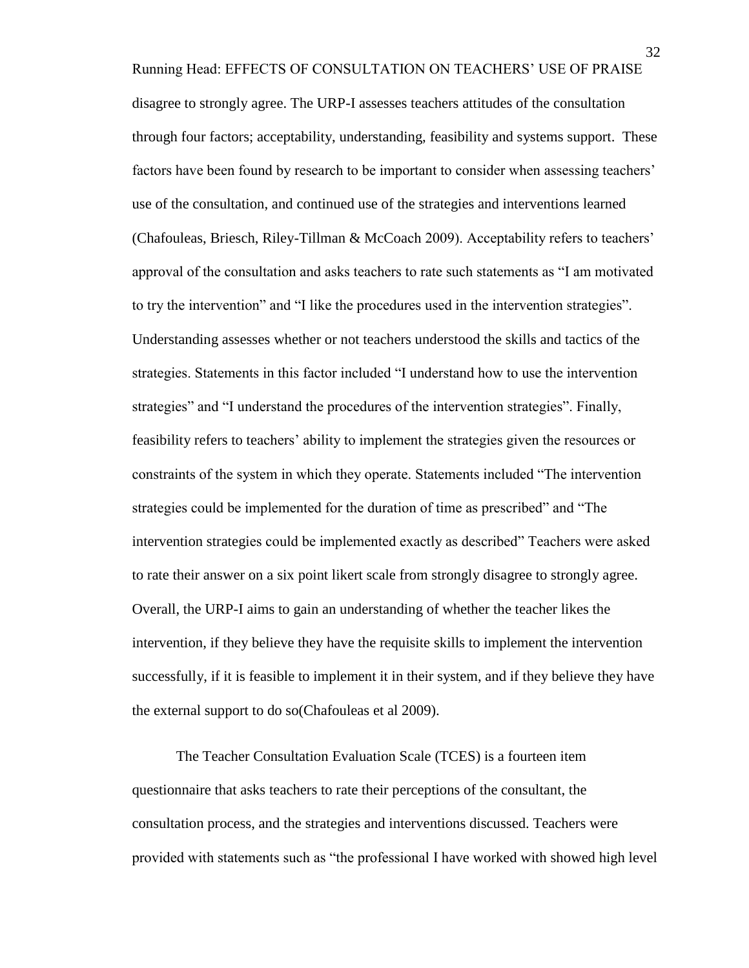Running Head: EFFECTS OF CONSULTATION ON TEACHERS' USE OF PRAISE disagree to strongly agree. The URP-I assesses teachers attitudes of the consultation through four factors; acceptability, understanding, feasibility and systems support. These factors have been found by research to be important to consider when assessing teachers' use of the consultation, and continued use of the strategies and interventions learned (Chafouleas, Briesch, Riley-Tillman & McCoach 2009). Acceptability refers to teachers' approval of the consultation and asks teachers to rate such statements as "I am motivated to try the intervention" and "I like the procedures used in the intervention strategies". Understanding assesses whether or not teachers understood the skills and tactics of the strategies. Statements in this factor included "I understand how to use the intervention strategies" and "I understand the procedures of the intervention strategies". Finally, feasibility refers to teachers' ability to implement the strategies given the resources or

constraints of the system in which they operate. Statements included "The intervention strategies could be implemented for the duration of time as prescribed" and "The intervention strategies could be implemented exactly as described" Teachers were asked to rate their answer on a six point likert scale from strongly disagree to strongly agree. Overall, the URP-I aims to gain an understanding of whether the teacher likes the intervention, if they believe they have the requisite skills to implement the intervention successfully, if it is feasible to implement it in their system, and if they believe they have the external support to do so(Chafouleas et al 2009).

The Teacher Consultation Evaluation Scale (TCES) is a fourteen item questionnaire that asks teachers to rate their perceptions of the consultant, the consultation process, and the strategies and interventions discussed. Teachers were provided with statements such as "the professional I have worked with showed high level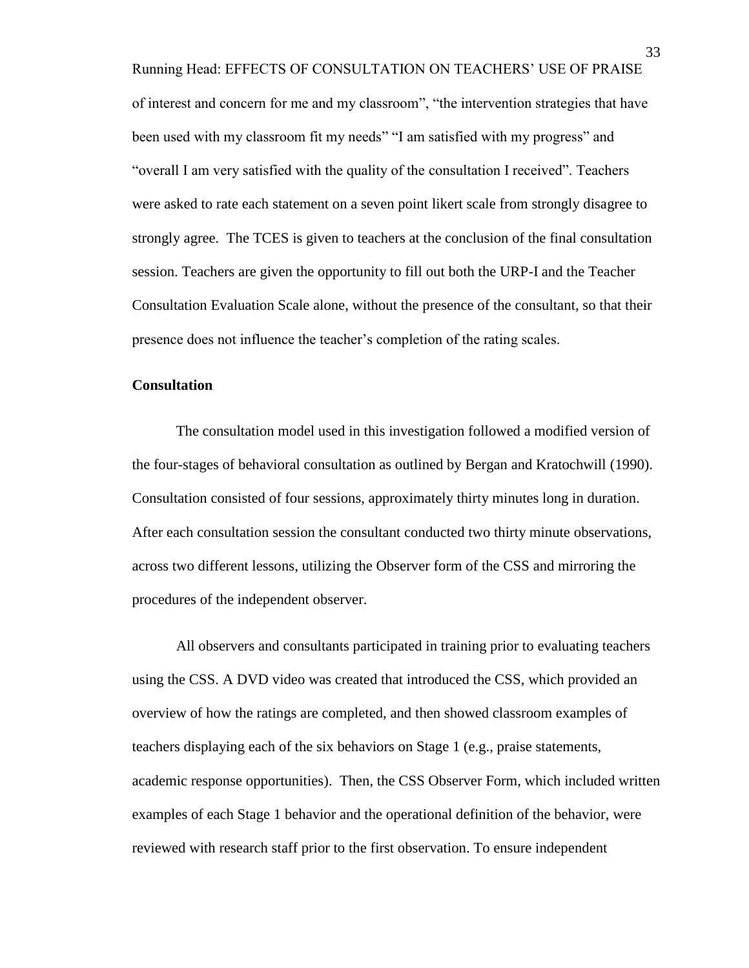Running Head: EFFECTS OF CONSULTATION ON TEACHERS' USE OF PRAISE of interest and concern for me and my classroom", "the intervention strategies that have been used with my classroom fit my needs" "I am satisfied with my progress" and "overall I am very satisfied with the quality of the consultation I received". Teachers were asked to rate each statement on a seven point likert scale from strongly disagree to strongly agree. The TCES is given to teachers at the conclusion of the final consultation session. Teachers are given the opportunity to fill out both the URP-I and the Teacher Consultation Evaluation Scale alone, without the presence of the consultant, so that their presence does not influence the teacher's completion of the rating scales.

## **Consultation**

The consultation model used in this investigation followed a modified version of the four-stages of behavioral consultation as outlined by Bergan and Kratochwill (1990). Consultation consisted of four sessions, approximately thirty minutes long in duration. After each consultation session the consultant conducted two thirty minute observations, across two different lessons, utilizing the Observer form of the CSS and mirroring the procedures of the independent observer.

All observers and consultants participated in training prior to evaluating teachers using the CSS. A DVD video was created that introduced the CSS, which provided an overview of how the ratings are completed, and then showed classroom examples of teachers displaying each of the six behaviors on Stage 1 (e.g., praise statements, academic response opportunities). Then, the CSS Observer Form, which included written examples of each Stage 1 behavior and the operational definition of the behavior, were reviewed with research staff prior to the first observation. To ensure independent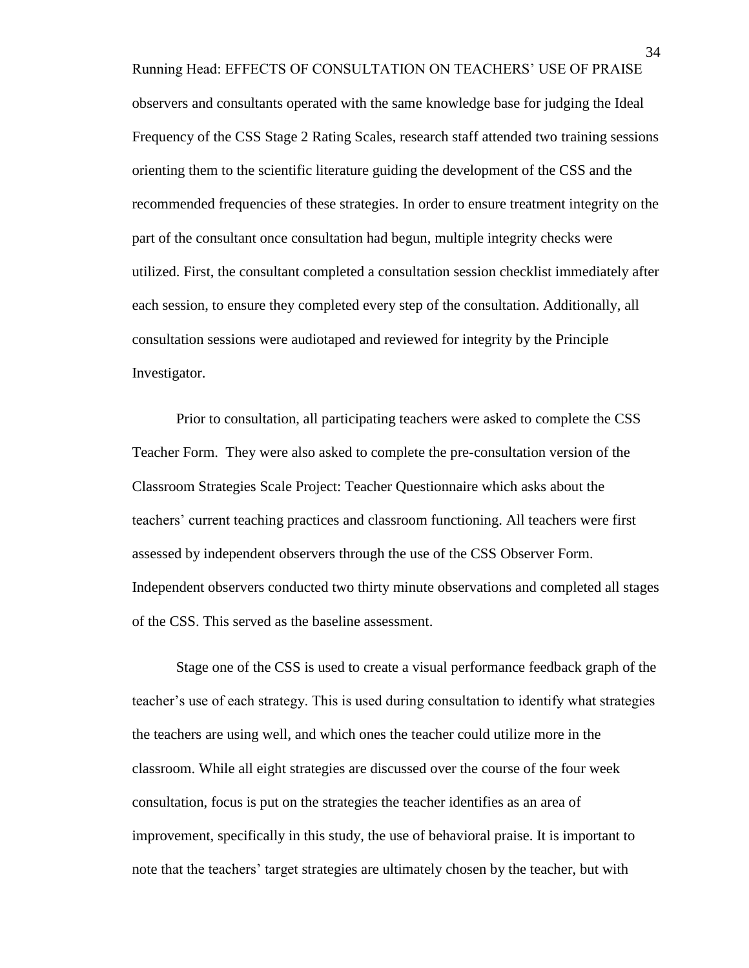Running Head: EFFECTS OF CONSULTATION ON TEACHERS' USE OF PRAISE observers and consultants operated with the same knowledge base for judging the Ideal Frequency of the CSS Stage 2 Rating Scales, research staff attended two training sessions orienting them to the scientific literature guiding the development of the CSS and the recommended frequencies of these strategies. In order to ensure treatment integrity on the part of the consultant once consultation had begun, multiple integrity checks were utilized. First, the consultant completed a consultation session checklist immediately after each session, to ensure they completed every step of the consultation. Additionally, all consultation sessions were audiotaped and reviewed for integrity by the Principle Investigator.

Prior to consultation, all participating teachers were asked to complete the CSS Teacher Form. They were also asked to complete the pre-consultation version of the Classroom Strategies Scale Project: Teacher Questionnaire which asks about the teachers' current teaching practices and classroom functioning. All teachers were first assessed by independent observers through the use of the CSS Observer Form. Independent observers conducted two thirty minute observations and completed all stages of the CSS. This served as the baseline assessment.

Stage one of the CSS is used to create a visual performance feedback graph of the teacher's use of each strategy. This is used during consultation to identify what strategies the teachers are using well, and which ones the teacher could utilize more in the classroom. While all eight strategies are discussed over the course of the four week consultation, focus is put on the strategies the teacher identifies as an area of improvement, specifically in this study, the use of behavioral praise. It is important to note that the teachers' target strategies are ultimately chosen by the teacher, but with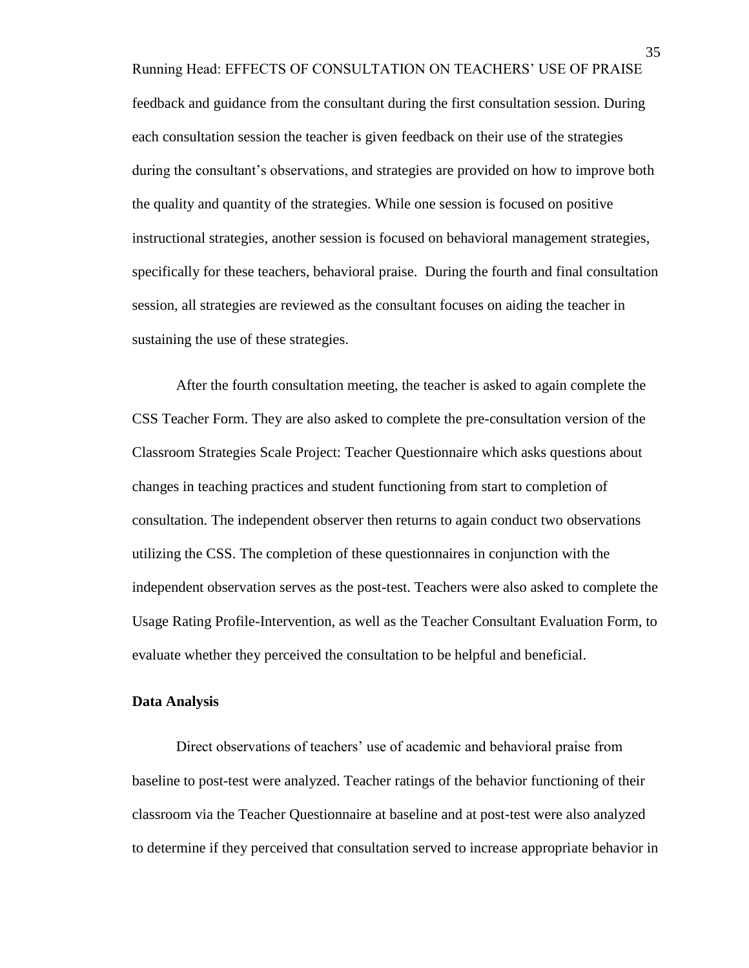Running Head: EFFECTS OF CONSULTATION ON TEACHERS' USE OF PRAISE feedback and guidance from the consultant during the first consultation session. During each consultation session the teacher is given feedback on their use of the strategies during the consultant's observations, and strategies are provided on how to improve both the quality and quantity of the strategies. While one session is focused on positive instructional strategies, another session is focused on behavioral management strategies, specifically for these teachers, behavioral praise. During the fourth and final consultation session, all strategies are reviewed as the consultant focuses on aiding the teacher in sustaining the use of these strategies.

After the fourth consultation meeting, the teacher is asked to again complete the CSS Teacher Form. They are also asked to complete the pre-consultation version of the Classroom Strategies Scale Project: Teacher Questionnaire which asks questions about changes in teaching practices and student functioning from start to completion of consultation. The independent observer then returns to again conduct two observations utilizing the CSS. The completion of these questionnaires in conjunction with the independent observation serves as the post-test. Teachers were also asked to complete the Usage Rating Profile-Intervention, as well as the Teacher Consultant Evaluation Form, to evaluate whether they perceived the consultation to be helpful and beneficial.

#### **Data Analysis**

Direct observations of teachers' use of academic and behavioral praise from baseline to post-test were analyzed. Teacher ratings of the behavior functioning of their classroom via the Teacher Questionnaire at baseline and at post-test were also analyzed to determine if they perceived that consultation served to increase appropriate behavior in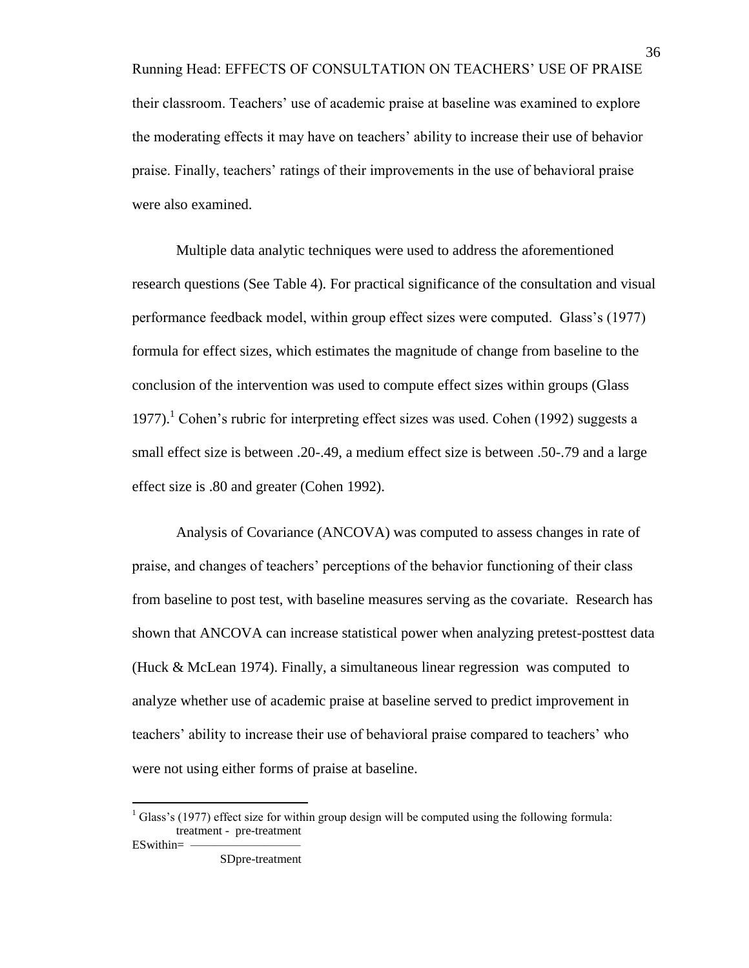Running Head: EFFECTS OF CONSULTATION ON TEACHERS' USE OF PRAISE their classroom. Teachers' use of academic praise at baseline was examined to explore the moderating effects it may have on teachers' ability to increase their use of behavior praise. Finally, teachers' ratings of their improvements in the use of behavioral praise were also examined.

Multiple data analytic techniques were used to address the aforementioned research questions (See Table 4). For practical significance of the consultation and visual performance feedback model, within group effect sizes were computed. Glass's (1977) formula for effect sizes, which estimates the magnitude of change from baseline to the conclusion of the intervention was used to compute effect sizes within groups (Glass 1977).<sup>1</sup> Cohen's rubric for interpreting effect sizes was used. Cohen (1992) suggests a small effect size is between .20-.49, a medium effect size is between .50-.79 and a large effect size is .80 and greater (Cohen 1992).

 Analysis of Covariance (ANCOVA) was computed to assess changes in rate of praise, and changes of teachers' perceptions of the behavior functioning of their class from baseline to post test, with baseline measures serving as the covariate. Research has shown that ANCOVA can increase statistical power when analyzing pretest-posttest data (Huck & McLean 1974). Finally, a simultaneous linear regression was computed to analyze whether use of academic praise at baseline served to predict improvement in teachers' ability to increase their use of behavioral praise compared to teachers' who were not using either forms of praise at baseline.

 $\overline{a}$ 

 $1$  Glass's (1977) effect size for within group design will be computed using the following formula: treatment - pre-treatment ESwithin=

SDpre-treatment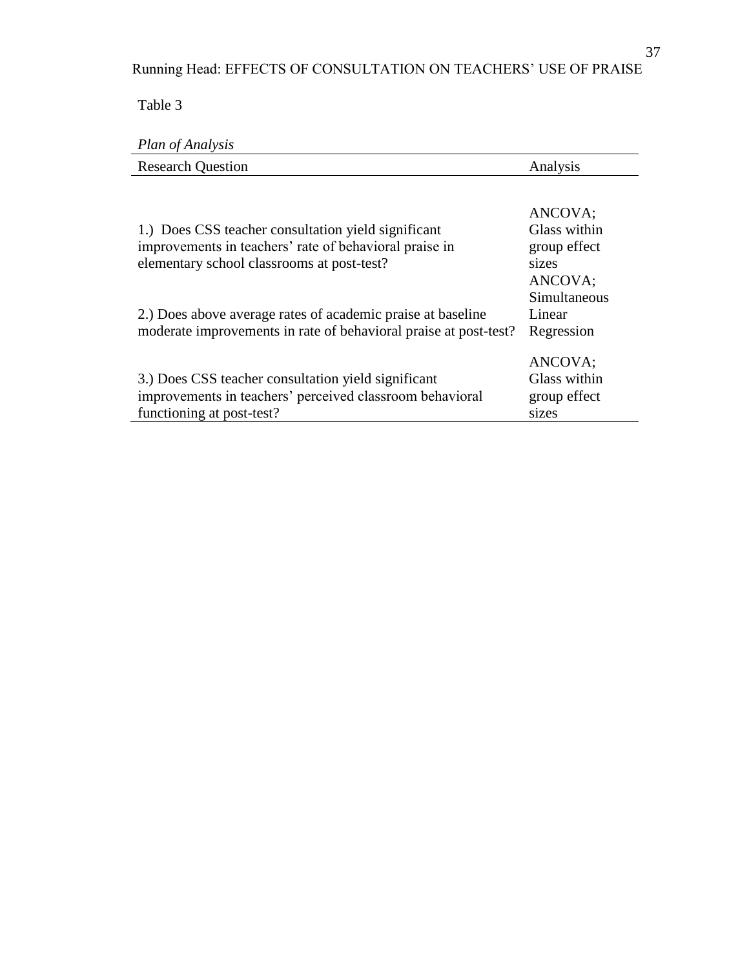Table 3

## *Plan of Analysis*

| <b>Research Question</b>                                                                                                                                    | Analysis                                                    |
|-------------------------------------------------------------------------------------------------------------------------------------------------------------|-------------------------------------------------------------|
| 1.) Does CSS teacher consultation yield significant<br>improvements in teachers' rate of behavioral praise in<br>elementary school classrooms at post-test? | ANCOVA;<br>Glass within<br>group effect<br>sizes<br>ANCOVA; |
| 2.) Does above average rates of academic praise at baseline<br>moderate improvements in rate of behavioral praise at post-test?                             | Simultaneous<br>Linear<br>Regression                        |
| 3.) Does CSS teacher consultation yield significant<br>improvements in teachers' perceived classroom behavioral<br>functioning at post-test?                | ANCOVA;<br>Glass within<br>group effect<br>sizes            |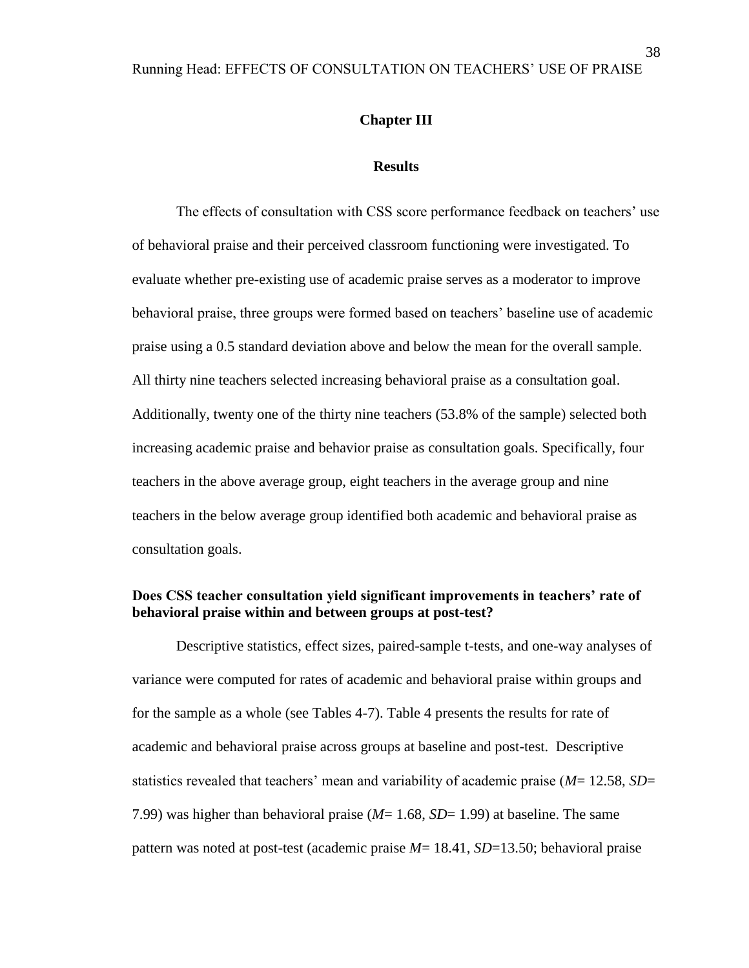#### **Chapter III**

#### **Results**

The effects of consultation with CSS score performance feedback on teachers' use of behavioral praise and their perceived classroom functioning were investigated. To evaluate whether pre-existing use of academic praise serves as a moderator to improve behavioral praise, three groups were formed based on teachers' baseline use of academic praise using a 0.5 standard deviation above and below the mean for the overall sample. All thirty nine teachers selected increasing behavioral praise as a consultation goal. Additionally, twenty one of the thirty nine teachers (53.8% of the sample) selected both increasing academic praise and behavior praise as consultation goals. Specifically, four teachers in the above average group, eight teachers in the average group and nine teachers in the below average group identified both academic and behavioral praise as consultation goals.

## **Does CSS teacher consultation yield significant improvements in teachers' rate of behavioral praise within and between groups at post-test?**

Descriptive statistics, effect sizes, paired-sample t-tests, and one-way analyses of variance were computed for rates of academic and behavioral praise within groups and for the sample as a whole (see Tables 4-7). Table 4 presents the results for rate of academic and behavioral praise across groups at baseline and post-test. Descriptive statistics revealed that teachers' mean and variability of academic praise (*M*= 12.58, *SD*= 7.99) was higher than behavioral praise (*M*= 1.68, *SD*= 1.99) at baseline. The same pattern was noted at post-test (academic praise *M*= 18.41, *SD*=13.50; behavioral praise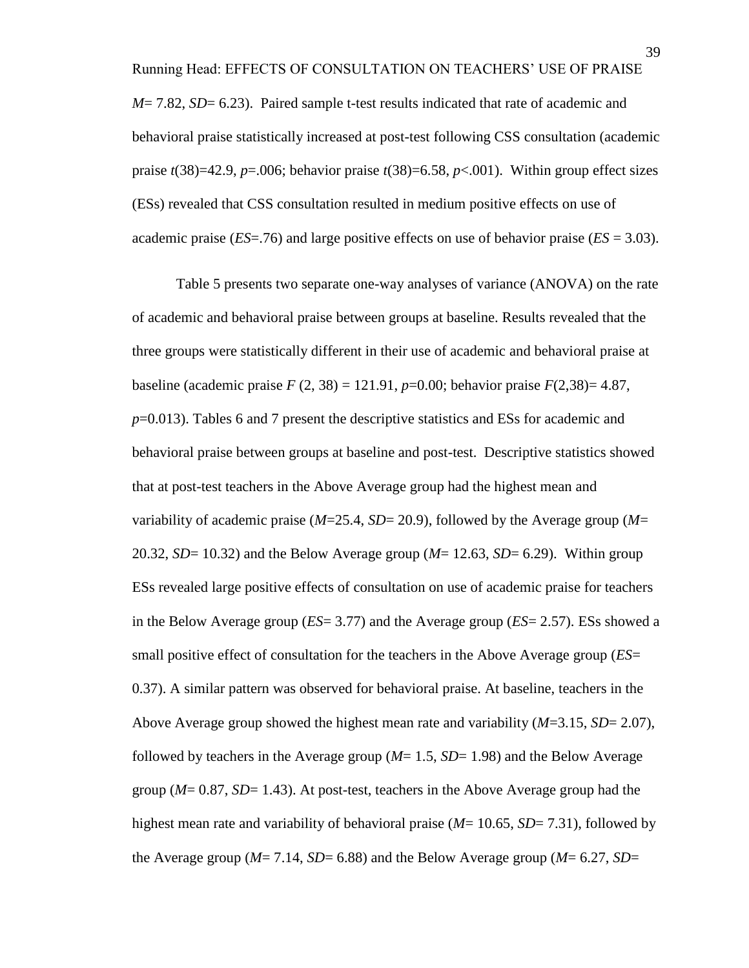*M*= 7.82, *SD*= 6.23). Paired sample t-test results indicated that rate of academic and behavioral praise statistically increased at post-test following CSS consultation (academic praise  $t(38)=42.9$ ,  $p=.006$ ; behavior praise  $t(38)=6.58$ ,  $p<.001$ ). Within group effect sizes (ESs) revealed that CSS consultation resulted in medium positive effects on use of academic praise  $(ES = .76)$  and large positive effects on use of behavior praise  $(ES = 3.03)$ .

Table 5 presents two separate one-way analyses of variance (ANOVA) on the rate of academic and behavioral praise between groups at baseline. Results revealed that the three groups were statistically different in their use of academic and behavioral praise at baseline (academic praise  $F(2, 38) = 121.91$ ,  $p=0.00$ ; behavior praise  $F(2,38)=4.87$ , *p*=0.013). Tables 6 and 7 present the descriptive statistics and ESs for academic and behavioral praise between groups at baseline and post-test. Descriptive statistics showed that at post-test teachers in the Above Average group had the highest mean and variability of academic praise (*M*=25.4, *SD*= 20.9), followed by the Average group (*M*= 20.32, *SD*= 10.32) and the Below Average group (*M*= 12.63, *SD*= 6.29). Within group ESs revealed large positive effects of consultation on use of academic praise for teachers in the Below Average group (*ES*= 3.77) and the Average group (*ES*= 2.57). ESs showed a small positive effect of consultation for the teachers in the Above Average group (*ES*= 0.37). A similar pattern was observed for behavioral praise. At baseline, teachers in the Above Average group showed the highest mean rate and variability (*M*=3.15, *SD*= 2.07), followed by teachers in the Average group (*M*= 1.5, *SD*= 1.98) and the Below Average group (*M*= 0.87, *SD*= 1.43). At post-test, teachers in the Above Average group had the highest mean rate and variability of behavioral praise (*M*= 10.65, *SD*= 7.31), followed by the Average group (*M*= 7.14, *SD*= 6.88) and the Below Average group (*M*= 6.27, *SD*=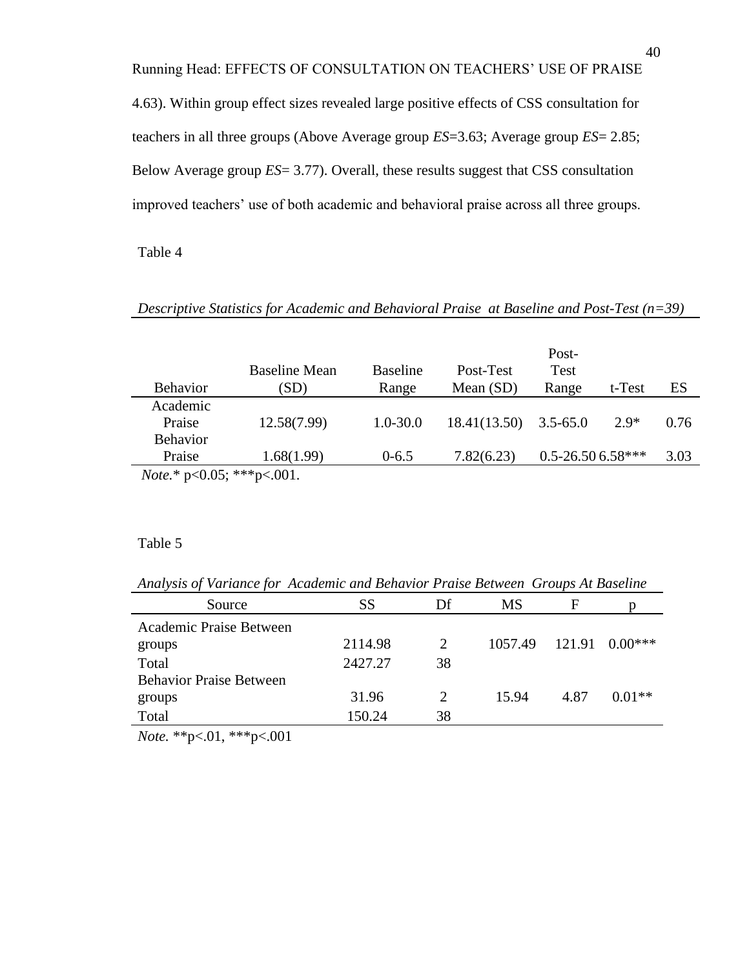Running Head: EFFECTS OF CONSULTATION ON TEACHERS' USE OF PRAISE

4.63). Within group effect sizes revealed large positive effects of CSS consultation for teachers in all three groups (Above Average group *ES*=3.63; Average group *ES*= 2.85; Below Average group *ES*= 3.77). Overall, these results suggest that CSS consultation improved teachers' use of both academic and behavioral praise across all three groups.

#### Table 4

## *Descriptive Statistics for Academic and Behavioral Praise at Baseline and Post-Test (n=39)*

| <b>Behavior</b>                          | Baseline Mean<br>(SD) | <b>Baseline</b><br>Range | Post-Test<br>Mean $(SD)$ | Post-<br><b>Test</b><br>Range | t-Test | ES   |
|------------------------------------------|-----------------------|--------------------------|--------------------------|-------------------------------|--------|------|
| Academic<br>Praise                       | 12.58(7.99)           | $1.0 - 30.0$             | 18.41(13.50)             | $3.5 - 65.0$                  | $2.9*$ | 0.76 |
| <b>Behavior</b><br>Praise                | 1.68(1.99)            | $0 - 6.5$                | 7.82(6.23)               | $0.5 - 26.50658$ ***          |        | 3.03 |
| <i>Note</i> .* $p<0.05$ ; *** $p<0.01$ . |                       |                          |                          |                               |        |      |

## Table 5

*Analysis of Variance for Academic and Behavior Praise Between Groups At Baseline*

| Source                         | SS      | Df | MS      | F    |                        |
|--------------------------------|---------|----|---------|------|------------------------|
| Academic Praise Between        |         |    |         |      |                        |
| groups                         | 2114.98 | 2  | 1057.49 |      | $121.91 \quad 0.00***$ |
| Total                          | 2427.27 | 38 |         |      |                        |
| <b>Behavior Praise Between</b> |         |    |         |      |                        |
| groups                         | 31.96   |    | 15.94   | 4.87 | $0.01**$               |
| Total                          | 150.24  | 38 |         |      |                        |

*Note.* \*\*p<.01, \*\*\*p<.001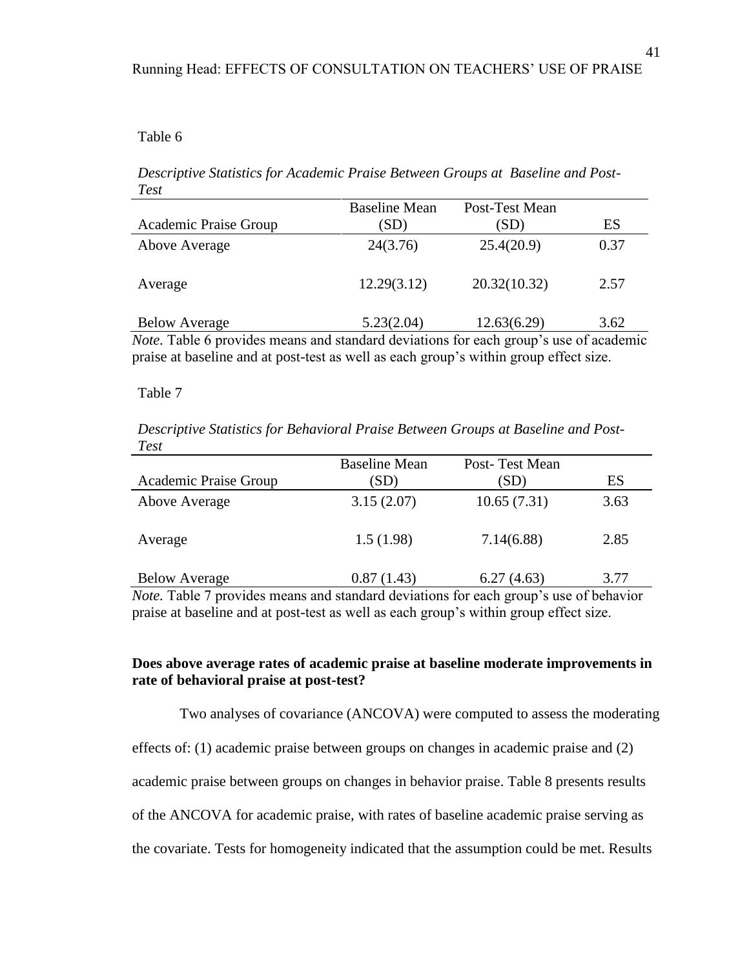## Table 6

*Descriptive Statistics for Academic Praise Between Groups at Baseline and Post-Test* 

|                                                                                      | <b>Baseline Mean</b> | Post-Test Mean |      |
|--------------------------------------------------------------------------------------|----------------------|----------------|------|
| Academic Praise Group                                                                | (SD)                 | (SD)           | ES   |
| Above Average                                                                        | 24(3.76)             | 25.4(20.9)     | 0.37 |
| Average                                                                              | 12.29(3.12)          | 20.32(10.32)   | 2.57 |
| <b>Below Average</b>                                                                 | 5.23(2.04)           | 12.63(6.29)    | 3.62 |
| Nata Table 6 provides means and standard deviations for each group's use of eacdemic |                      |                |      |

*Note.* Table 6 provides means and standard deviations for each group's use of academic praise at baseline and at post-test as well as each group's within group effect size.

#### Table 7

*Descriptive Statistics for Behavioral Praise Between Groups at Baseline and Post-Test*

|                              | <b>Baseline Mean</b> | Post-Test Mean |      |
|------------------------------|----------------------|----------------|------|
| <b>Academic Praise Group</b> | (SD)                 | (SD)           | ES   |
| Above Average                | 3.15(2.07)           | 10.65(7.31)    | 3.63 |
| Average                      | 1.5(1.98)            | 7.14(6.88)     | 2.85 |
| <b>Below Average</b>         | 0.87(1.43)           | 6.27(4.63)     | 3.77 |

*Note.* Table 7 provides means and standard deviations for each group's use of behavior praise at baseline and at post-test as well as each group's within group effect size.

## **Does above average rates of academic praise at baseline moderate improvements in rate of behavioral praise at post-test?**

Two analyses of covariance (ANCOVA) were computed to assess the moderating effects of: (1) academic praise between groups on changes in academic praise and (2) academic praise between groups on changes in behavior praise. Table 8 presents results of the ANCOVA for academic praise, with rates of baseline academic praise serving as the covariate. Tests for homogeneity indicated that the assumption could be met. Results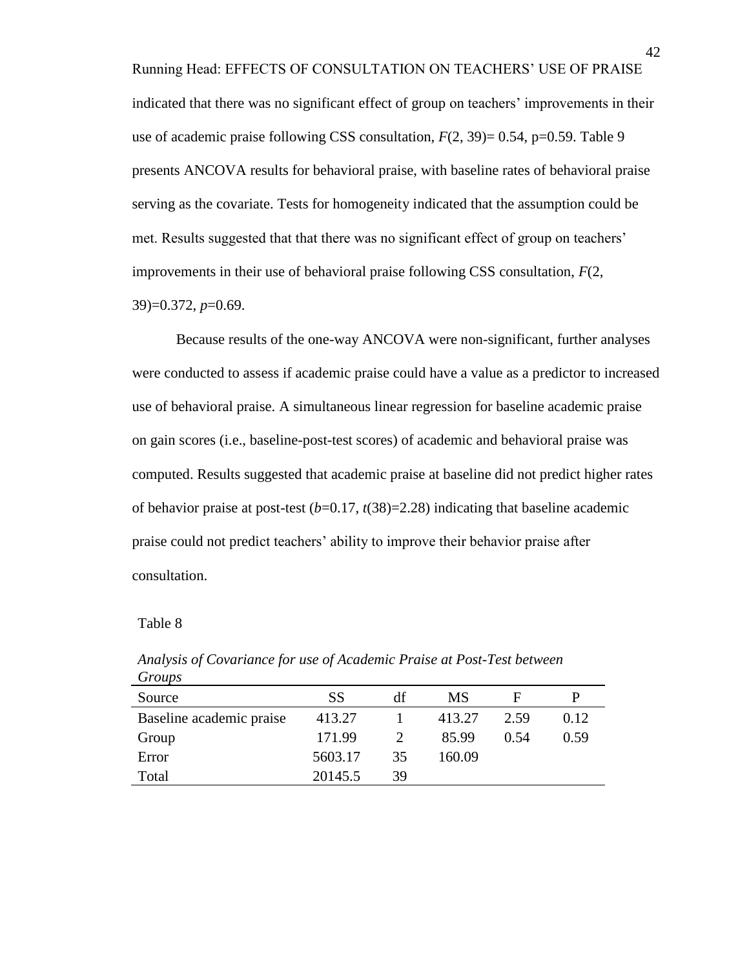Running Head: EFFECTS OF CONSULTATION ON TEACHERS' USE OF PRAISE indicated that there was no significant effect of group on teachers' improvements in their use of academic praise following CSS consultation,  $F(2, 39) = 0.54$ , p=0.59. Table 9 presents ANCOVA results for behavioral praise, with baseline rates of behavioral praise serving as the covariate. Tests for homogeneity indicated that the assumption could be met. Results suggested that that there was no significant effect of group on teachers' improvements in their use of behavioral praise following CSS consultation, *F*(2, 39)=0.372, *p*=0.69.

Because results of the one-way ANCOVA were non-significant, further analyses were conducted to assess if academic praise could have a value as a predictor to increased use of behavioral praise. A simultaneous linear regression for baseline academic praise on gain scores (i.e., baseline-post-test scores) of academic and behavioral praise was computed. Results suggested that academic praise at baseline did not predict higher rates of behavior praise at post-test  $(b=0.17, t(38)=2.28)$  indicating that baseline academic praise could not predict teachers' ability to improve their behavior praise after consultation.

| SS      | df | MS     | Е    | P    |
|---------|----|--------|------|------|
| 413.27  |    | 413.27 | 2.59 | 0.12 |
| 171.99  | 2  | 85.99  | 0.54 | 0.59 |
| 5603.17 | 35 | 160.09 |      |      |
| 20145.5 | 39 |        |      |      |
|         |    |        |      |      |

*Analysis of Covariance for use of Academic Praise at Post-Test between Groups*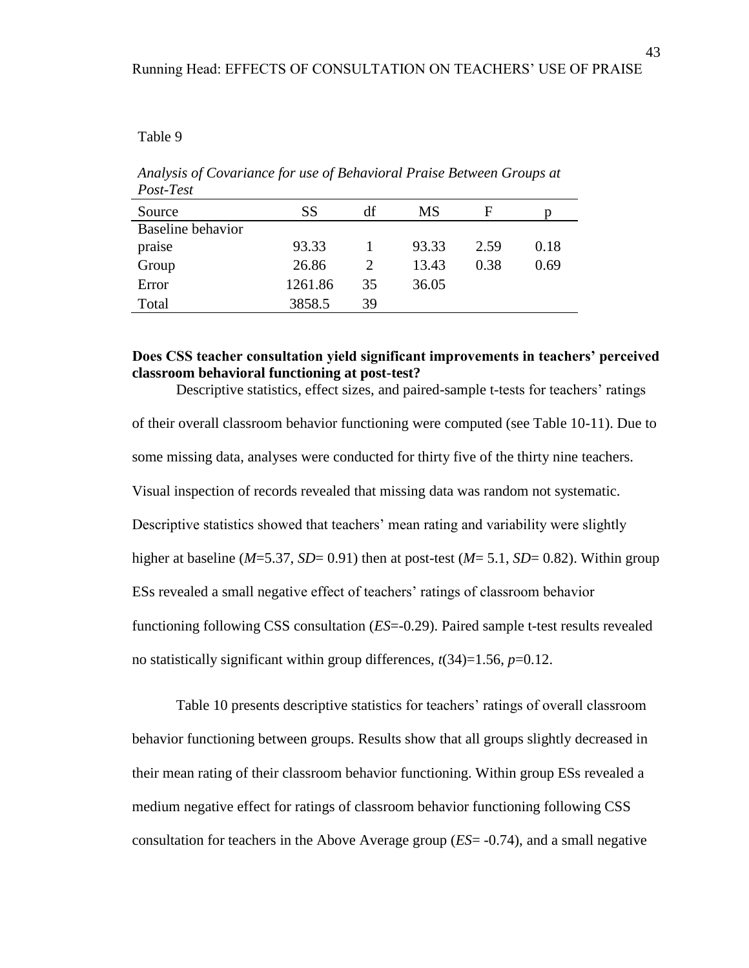#### Table 9

*Analysis of Covariance for use of Behavioral Praise Between Groups at Post-Test* 

| Source                   | <b>SS</b> | df | MS    | F    |      |
|--------------------------|-----------|----|-------|------|------|
| <b>Baseline</b> behavior |           |    |       |      |      |
| praise                   | 93.33     |    | 93.33 | 2.59 | 0.18 |
| Group                    | 26.86     |    | 13.43 | 0.38 | 0.69 |
| Error                    | 1261.86   | 35 | 36.05 |      |      |
| Total                    | 3858.5    | 39 |       |      |      |

## **Does CSS teacher consultation yield significant improvements in teachers' perceived classroom behavioral functioning at post-test?**

Descriptive statistics, effect sizes, and paired-sample t-tests for teachers' ratings of their overall classroom behavior functioning were computed (see Table 10-11). Due to some missing data, analyses were conducted for thirty five of the thirty nine teachers. Visual inspection of records revealed that missing data was random not systematic. Descriptive statistics showed that teachers' mean rating and variability were slightly higher at baseline (*M*=5.37, *SD*= 0.91) then at post-test (*M*= 5.1, *SD*= 0.82). Within group ESs revealed a small negative effect of teachers' ratings of classroom behavior functioning following CSS consultation (*ES*=-0.29). Paired sample t-test results revealed no statistically significant within group differences,  $t(34)=1.56$ ,  $p=0.12$ .

Table 10 presents descriptive statistics for teachers' ratings of overall classroom behavior functioning between groups. Results show that all groups slightly decreased in their mean rating of their classroom behavior functioning. Within group ESs revealed a medium negative effect for ratings of classroom behavior functioning following CSS consultation for teachers in the Above Average group (*ES*= -0.74), and a small negative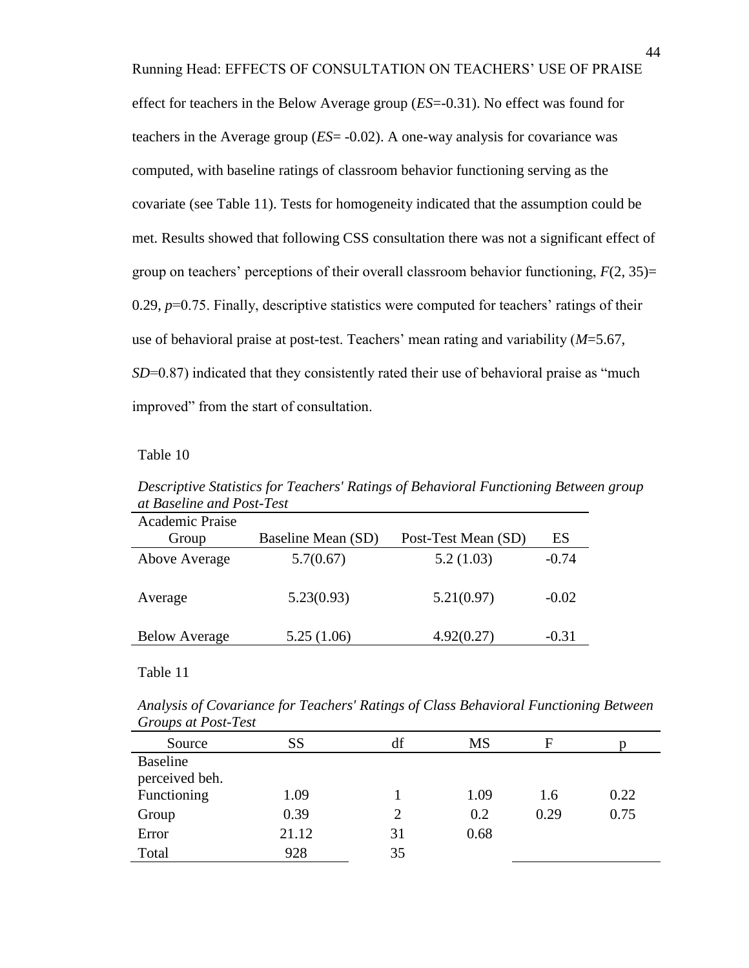Running Head: EFFECTS OF CONSULTATION ON TEACHERS' USE OF PRAISE effect for teachers in the Below Average group (*ES*=-0.31). No effect was found for teachers in the Average group (*ES*= -0.02). A one-way analysis for covariance was computed, with baseline ratings of classroom behavior functioning serving as the covariate (see Table 11). Tests for homogeneity indicated that the assumption could be met. Results showed that following CSS consultation there was not a significant effect of group on teachers' perceptions of their overall classroom behavior functioning, *F*(2, 35)= 0.29,  $p=0.75$ . Finally, descriptive statistics were computed for teachers' ratings of their use of behavioral praise at post-test. Teachers' mean rating and variability (*M*=5.67, *SD*=0.87) indicated that they consistently rated their use of behavioral praise as "much" improved" from the start of consultation.

#### Table 10

| Academic Praise      |                    |                     |         |
|----------------------|--------------------|---------------------|---------|
| Group                | Baseline Mean (SD) | Post-Test Mean (SD) | ES      |
| Above Average        | 5.7(0.67)          | 5.2(1.03)           | $-0.74$ |
| Average              | 5.23(0.93)         | 5.21(0.97)          | $-0.02$ |
| <b>Below Average</b> | 5.25(1.06)         | 4.92(0.27)          | $-0.31$ |

*Descriptive Statistics for Teachers' Ratings of Behavioral Functioning Between group at Baseline and Post-Test* 

*Analysis of Covariance for Teachers' Ratings of Class Behavioral Functioning Between Groups at Post-Test* 

| Source          | SS    | df | <b>MS</b> | F    |      |
|-----------------|-------|----|-----------|------|------|
| <b>Baseline</b> |       |    |           |      |      |
| perceived beh.  |       |    |           |      |      |
| Functioning     | 1.09  |    | 1.09      | 1.6  | 0.22 |
| Group           | 0.39  | 2  | 0.2       | 0.29 | 0.75 |
| Error           | 21.12 | 31 | 0.68      |      |      |
| Total           | 928   | 35 |           |      |      |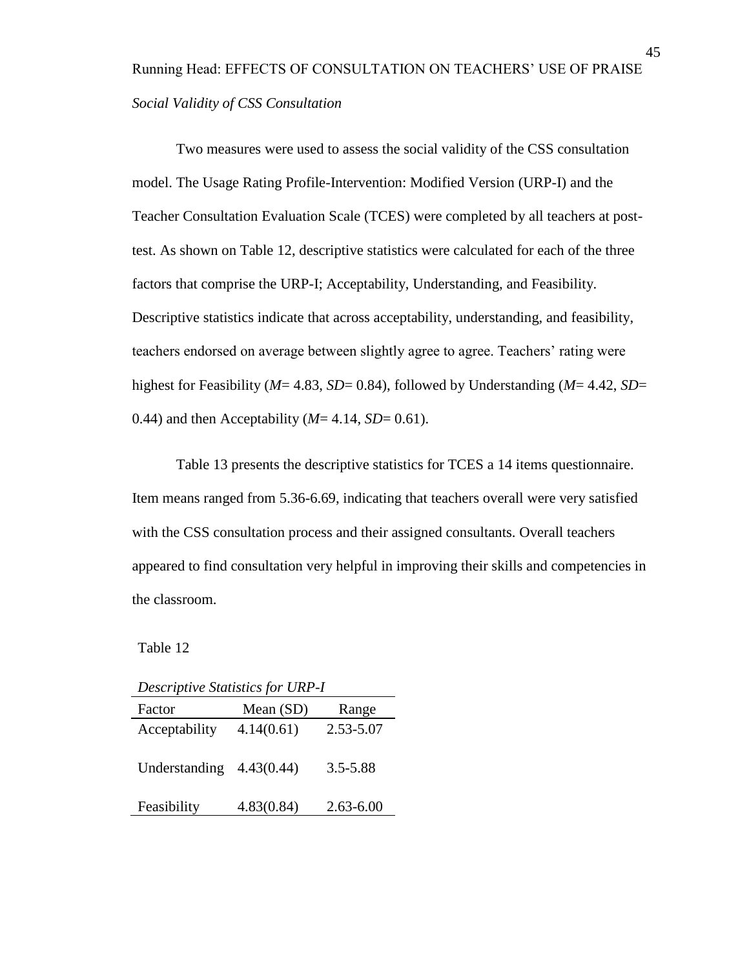# Running Head: EFFECTS OF CONSULTATION ON TEACHERS' USE OF PRAISE *Social Validity of CSS Consultation*

Two measures were used to assess the social validity of the CSS consultation model. The Usage Rating Profile-Intervention: Modified Version (URP-I) and the Teacher Consultation Evaluation Scale (TCES) were completed by all teachers at posttest. As shown on Table 12, descriptive statistics were calculated for each of the three factors that comprise the URP-I; Acceptability, Understanding, and Feasibility. Descriptive statistics indicate that across acceptability, understanding, and feasibility, teachers endorsed on average between slightly agree to agree. Teachers' rating were highest for Feasibility (*M*= 4.83, *SD*= 0.84), followed by Understanding (*M*= 4.42, *SD*= 0.44) and then Acceptability  $(M = 4.14, SD = 0.61)$ .

Table 13 presents the descriptive statistics for TCES a 14 items questionnaire. Item means ranged from 5.36-6.69, indicating that teachers overall were very satisfied with the CSS consultation process and their assigned consultants. Overall teachers appeared to find consultation very helpful in improving their skills and competencies in the classroom.

| <b>Descriptive Statistics for URP-I</b> |             |               |  |  |
|-----------------------------------------|-------------|---------------|--|--|
| Factor                                  | Mean $(SD)$ | Range         |  |  |
| Acceptability                           | 4.14(0.61)  | 2.53-5.07     |  |  |
| Understanding $4.43(0.44)$              |             | $3.5 - 5.88$  |  |  |
| Feasibility                             | 4.83(0.84)  | $2.63 - 6.00$ |  |  |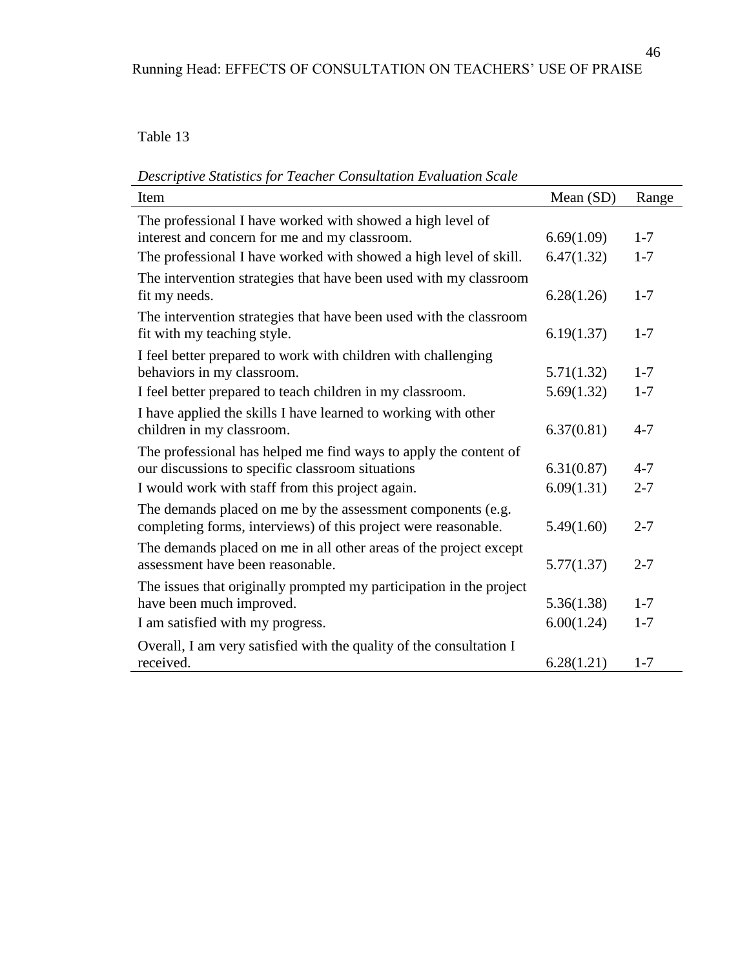*Descriptive Statistics for Teacher Consultation Evaluation Scale* 

| Item                                                                | Mean (SD)  | Range   |
|---------------------------------------------------------------------|------------|---------|
| The professional I have worked with showed a high level of          |            |         |
| interest and concern for me and my classroom.                       | 6.69(1.09) | $1 - 7$ |
| The professional I have worked with showed a high level of skill.   | 6.47(1.32) | $1 - 7$ |
| The intervention strategies that have been used with my classroom   |            |         |
| fit my needs.                                                       | 6.28(1.26) | $1 - 7$ |
| The intervention strategies that have been used with the classroom  |            |         |
| fit with my teaching style.                                         | 6.19(1.37) | $1 - 7$ |
| I feel better prepared to work with children with challenging       |            |         |
| behaviors in my classroom.                                          | 5.71(1.32) | $1 - 7$ |
| I feel better prepared to teach children in my classroom.           | 5.69(1.32) | $1 - 7$ |
| I have applied the skills I have learned to working with other      |            |         |
| children in my classroom.                                           | 6.37(0.81) | $4 - 7$ |
| The professional has helped me find ways to apply the content of    |            |         |
| our discussions to specific classroom situations                    | 6.31(0.87) | $4 - 7$ |
| I would work with staff from this project again.                    | 6.09(1.31) | $2 - 7$ |
| The demands placed on me by the assessment components (e.g.         |            |         |
| completing forms, interviews) of this project were reasonable.      | 5.49(1.60) | $2 - 7$ |
| The demands placed on me in all other areas of the project except   |            |         |
| assessment have been reasonable.                                    | 5.77(1.37) | $2 - 7$ |
| The issues that originally prompted my participation in the project |            |         |
| have been much improved.                                            | 5.36(1.38) | $1 - 7$ |
| I am satisfied with my progress.                                    | 6.00(1.24) | $1 - 7$ |
| Overall, I am very satisfied with the quality of the consultation I |            |         |
| received.                                                           | 6.28(1.21) | $1 - 7$ |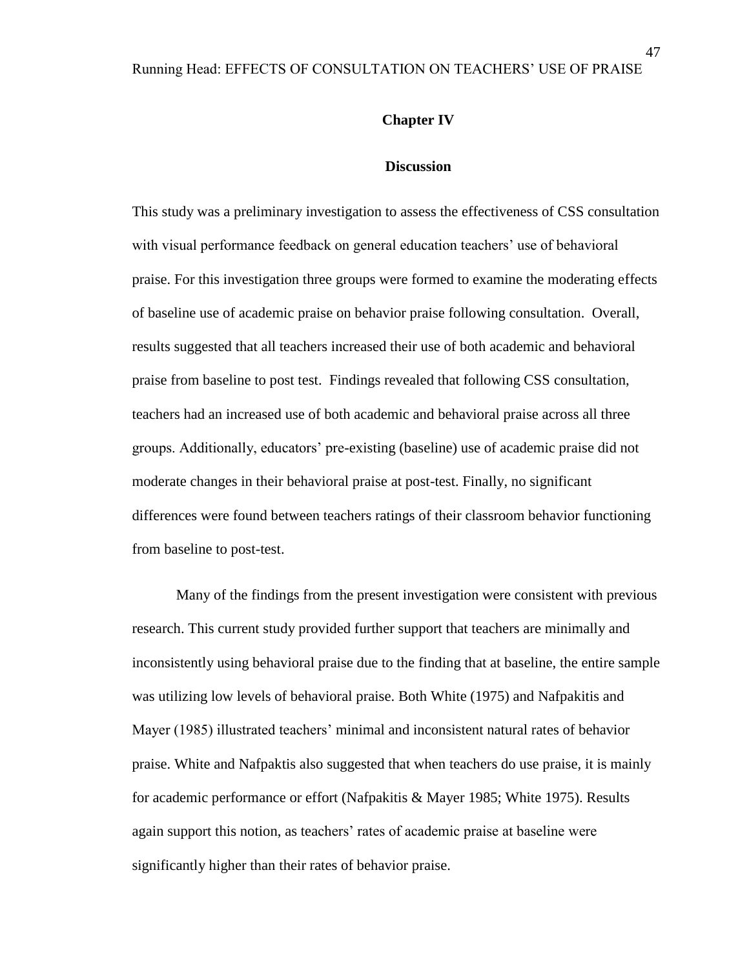#### **Chapter IV**

#### **Discussion**

This study was a preliminary investigation to assess the effectiveness of CSS consultation with visual performance feedback on general education teachers' use of behavioral praise. For this investigation three groups were formed to examine the moderating effects of baseline use of academic praise on behavior praise following consultation. Overall, results suggested that all teachers increased their use of both academic and behavioral praise from baseline to post test. Findings revealed that following CSS consultation, teachers had an increased use of both academic and behavioral praise across all three groups. Additionally, educators' pre-existing (baseline) use of academic praise did not moderate changes in their behavioral praise at post-test. Finally, no significant differences were found between teachers ratings of their classroom behavior functioning from baseline to post-test.

Many of the findings from the present investigation were consistent with previous research. This current study provided further support that teachers are minimally and inconsistently using behavioral praise due to the finding that at baseline, the entire sample was utilizing low levels of behavioral praise. Both White (1975) and Nafpakitis and Mayer (1985) illustrated teachers' minimal and inconsistent natural rates of behavior praise. White and Nafpaktis also suggested that when teachers do use praise, it is mainly for academic performance or effort (Nafpakitis & Mayer 1985; White 1975). Results again support this notion, as teachers' rates of academic praise at baseline were significantly higher than their rates of behavior praise.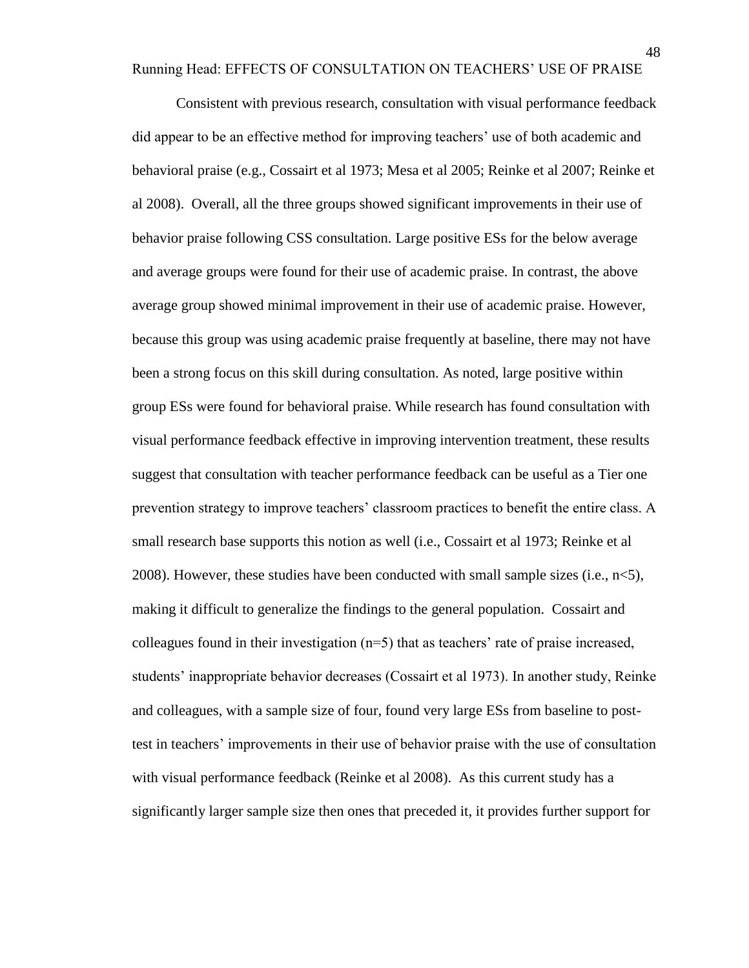Running Head: EFFECTS OF CONSULTATION ON TEACHERS' USE OF PRAISE

Consistent with previous research, consultation with visual performance feedback did appear to be an effective method for improving teachers' use of both academic and behavioral praise (e.g., Cossairt et al 1973; Mesa et al 2005; Reinke et al 2007; Reinke et al 2008). Overall, all the three groups showed significant improvements in their use of behavior praise following CSS consultation. Large positive ESs for the below average and average groups were found for their use of academic praise. In contrast, the above average group showed minimal improvement in their use of academic praise. However, because this group was using academic praise frequently at baseline, there may not have been a strong focus on this skill during consultation. As noted, large positive within group ESs were found for behavioral praise. While research has found consultation with visual performance feedback effective in improving intervention treatment, these results suggest that consultation with teacher performance feedback can be useful as a Tier one prevention strategy to improve teachers' classroom practices to benefit the entire class. A small research base supports this notion as well (i.e., Cossairt et al 1973; Reinke et al 2008). However, these studies have been conducted with small sample sizes (i.e., n<5), making it difficult to generalize the findings to the general population. Cossairt and colleagues found in their investigation  $(n=5)$  that as teachers' rate of praise increased, students' inappropriate behavior decreases (Cossairt et al 1973). In another study, Reinke and colleagues, with a sample size of four, found very large ESs from baseline to posttest in teachers' improvements in their use of behavior praise with the use of consultation with visual performance feedback (Reinke et al 2008). As this current study has a significantly larger sample size then ones that preceded it, it provides further support for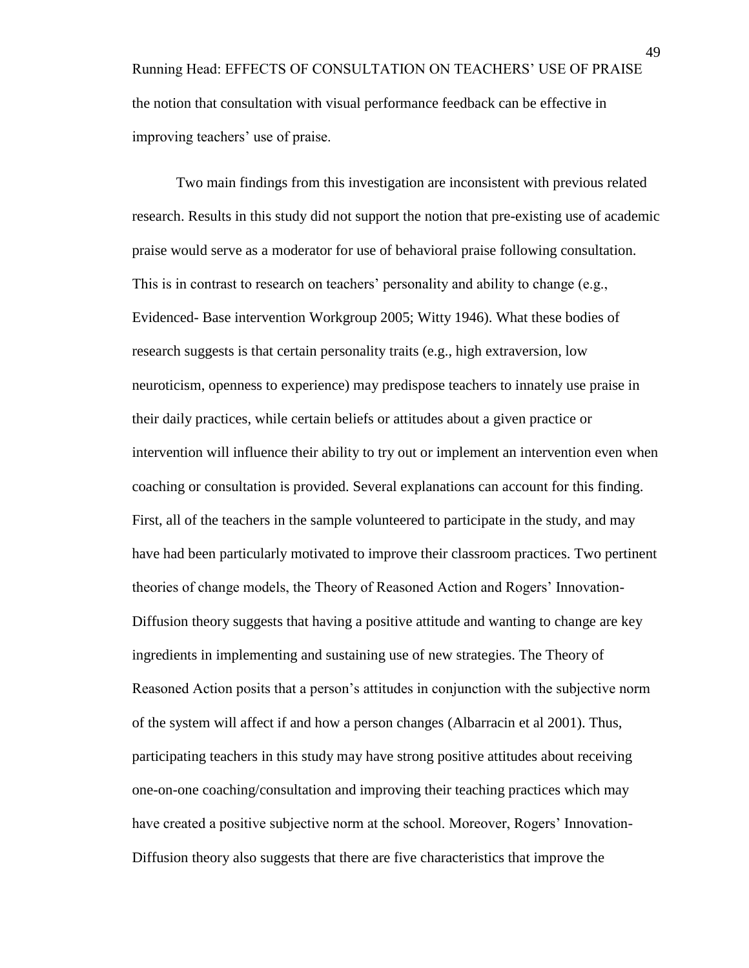Running Head: EFFECTS OF CONSULTATION ON TEACHERS' USE OF PRAISE the notion that consultation with visual performance feedback can be effective in improving teachers' use of praise.

Two main findings from this investigation are inconsistent with previous related research. Results in this study did not support the notion that pre-existing use of academic praise would serve as a moderator for use of behavioral praise following consultation. This is in contrast to research on teachers' personality and ability to change (e.g., Evidenced- Base intervention Workgroup 2005; Witty 1946). What these bodies of research suggests is that certain personality traits (e.g., high extraversion, low neuroticism, openness to experience) may predispose teachers to innately use praise in their daily practices, while certain beliefs or attitudes about a given practice or intervention will influence their ability to try out or implement an intervention even when coaching or consultation is provided. Several explanations can account for this finding. First, all of the teachers in the sample volunteered to participate in the study, and may have had been particularly motivated to improve their classroom practices. Two pertinent theories of change models, the Theory of Reasoned Action and Rogers' Innovation-Diffusion theory suggests that having a positive attitude and wanting to change are key ingredients in implementing and sustaining use of new strategies. The Theory of Reasoned Action posits that a person's attitudes in conjunction with the subjective norm of the system will affect if and how a person changes (Albarracin et al 2001). Thus, participating teachers in this study may have strong positive attitudes about receiving one-on-one coaching/consultation and improving their teaching practices which may have created a positive subjective norm at the school. Moreover, Rogers' Innovation-Diffusion theory also suggests that there are five characteristics that improve the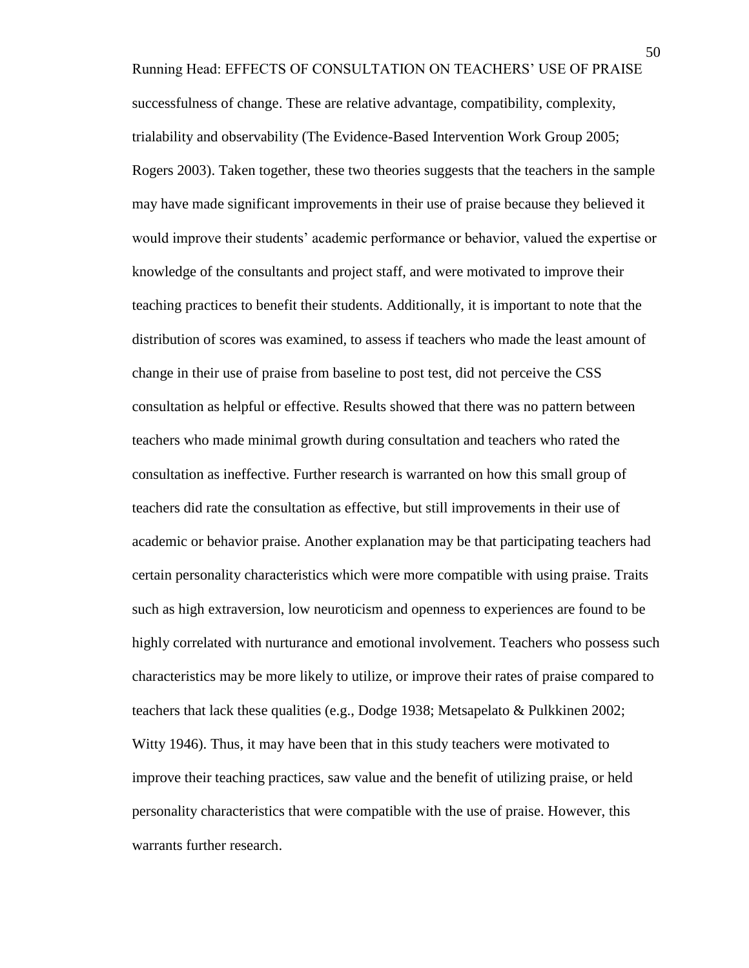Running Head: EFFECTS OF CONSULTATION ON TEACHERS' USE OF PRAISE successfulness of change. These are relative advantage, compatibility, complexity, trialability and observability (The Evidence-Based Intervention Work Group 2005; Rogers 2003). Taken together, these two theories suggests that the teachers in the sample may have made significant improvements in their use of praise because they believed it would improve their students' academic performance or behavior, valued the expertise or knowledge of the consultants and project staff, and were motivated to improve their teaching practices to benefit their students. Additionally, it is important to note that the distribution of scores was examined, to assess if teachers who made the least amount of change in their use of praise from baseline to post test, did not perceive the CSS consultation as helpful or effective. Results showed that there was no pattern between teachers who made minimal growth during consultation and teachers who rated the consultation as ineffective. Further research is warranted on how this small group of teachers did rate the consultation as effective, but still improvements in their use of academic or behavior praise. Another explanation may be that participating teachers had certain personality characteristics which were more compatible with using praise. Traits such as high extraversion, low neuroticism and openness to experiences are found to be highly correlated with nurturance and emotional involvement. Teachers who possess such characteristics may be more likely to utilize, or improve their rates of praise compared to teachers that lack these qualities (e.g., Dodge 1938; Metsapelato & Pulkkinen 2002; Witty 1946). Thus, it may have been that in this study teachers were motivated to improve their teaching practices, saw value and the benefit of utilizing praise, or held personality characteristics that were compatible with the use of praise. However, this warrants further research.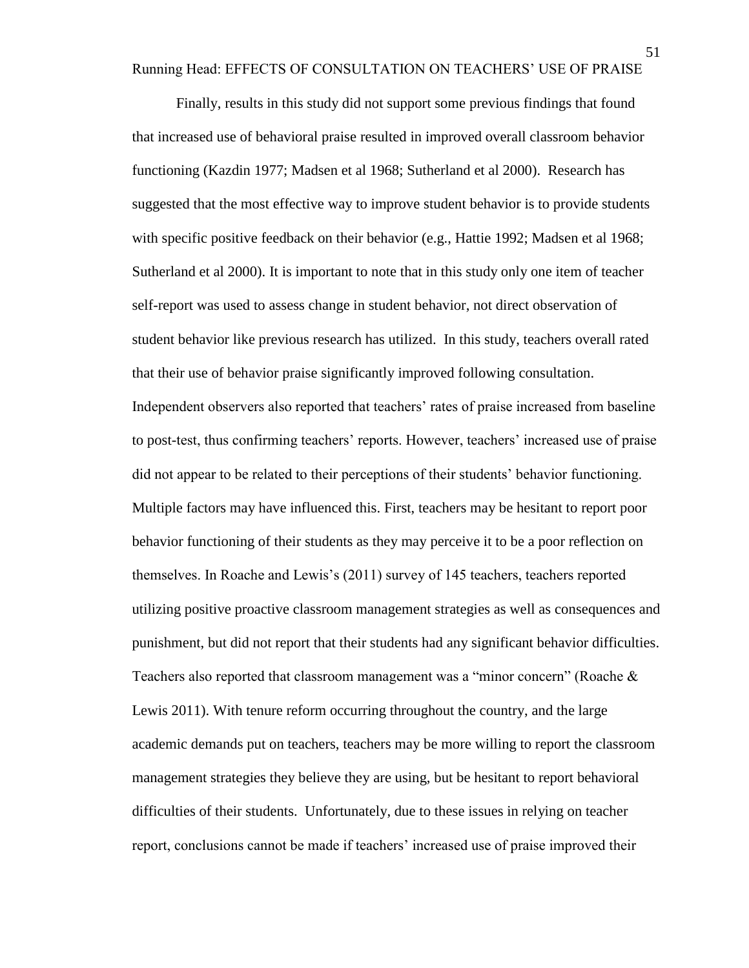Running Head: EFFECTS OF CONSULTATION ON TEACHERS' USE OF PRAISE

Finally, results in this study did not support some previous findings that found that increased use of behavioral praise resulted in improved overall classroom behavior functioning (Kazdin 1977; Madsen et al 1968; Sutherland et al 2000). Research has suggested that the most effective way to improve student behavior is to provide students with specific positive feedback on their behavior (e.g., Hattie 1992; Madsen et al 1968; Sutherland et al 2000). It is important to note that in this study only one item of teacher self-report was used to assess change in student behavior, not direct observation of student behavior like previous research has utilized. In this study, teachers overall rated that their use of behavior praise significantly improved following consultation. Independent observers also reported that teachers' rates of praise increased from baseline to post-test, thus confirming teachers' reports. However, teachers' increased use of praise did not appear to be related to their perceptions of their students' behavior functioning. Multiple factors may have influenced this. First, teachers may be hesitant to report poor behavior functioning of their students as they may perceive it to be a poor reflection on themselves. In Roache and Lewis's (2011) survey of 145 teachers, teachers reported utilizing positive proactive classroom management strategies as well as consequences and punishment, but did not report that their students had any significant behavior difficulties. Teachers also reported that classroom management was a "minor concern" (Roache & Lewis 2011). With tenure reform occurring throughout the country, and the large academic demands put on teachers, teachers may be more willing to report the classroom management strategies they believe they are using, but be hesitant to report behavioral difficulties of their students. Unfortunately, due to these issues in relying on teacher report, conclusions cannot be made if teachers' increased use of praise improved their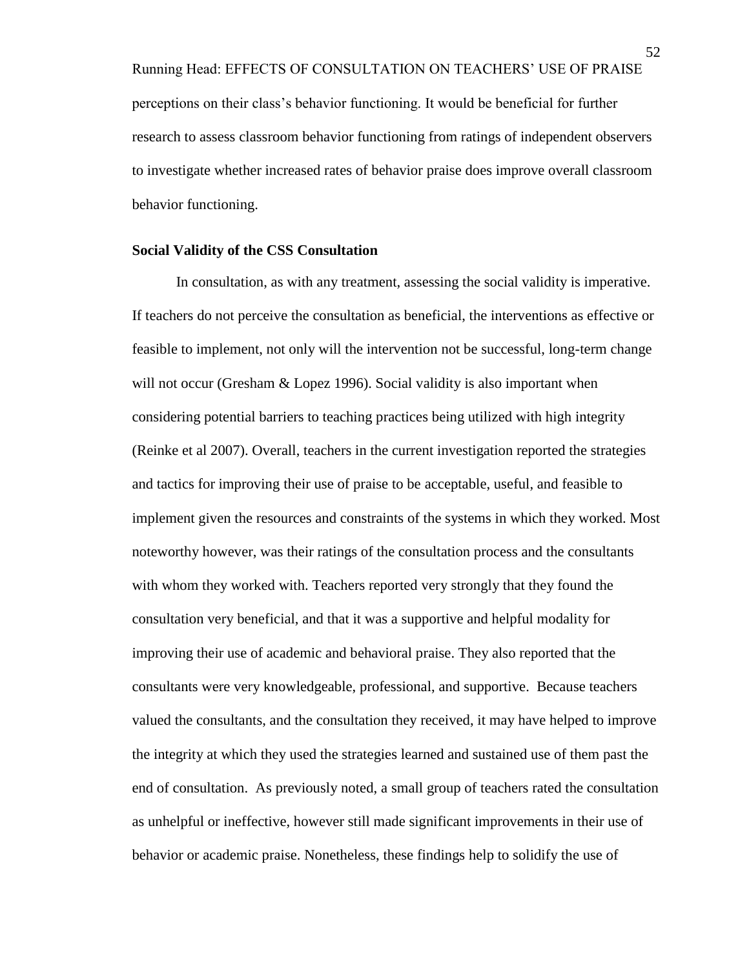Running Head: EFFECTS OF CONSULTATION ON TEACHERS' USE OF PRAISE perceptions on their class's behavior functioning. It would be beneficial for further research to assess classroom behavior functioning from ratings of independent observers to investigate whether increased rates of behavior praise does improve overall classroom behavior functioning.

## **Social Validity of the CSS Consultation**

In consultation, as with any treatment, assessing the social validity is imperative. If teachers do not perceive the consultation as beneficial, the interventions as effective or feasible to implement, not only will the intervention not be successful, long-term change will not occur (Gresham & Lopez 1996). Social validity is also important when considering potential barriers to teaching practices being utilized with high integrity (Reinke et al 2007). Overall, teachers in the current investigation reported the strategies and tactics for improving their use of praise to be acceptable, useful, and feasible to implement given the resources and constraints of the systems in which they worked. Most noteworthy however, was their ratings of the consultation process and the consultants with whom they worked with. Teachers reported very strongly that they found the consultation very beneficial, and that it was a supportive and helpful modality for improving their use of academic and behavioral praise. They also reported that the consultants were very knowledgeable, professional, and supportive. Because teachers valued the consultants, and the consultation they received, it may have helped to improve the integrity at which they used the strategies learned and sustained use of them past the end of consultation. As previously noted, a small group of teachers rated the consultation as unhelpful or ineffective, however still made significant improvements in their use of behavior or academic praise. Nonetheless, these findings help to solidify the use of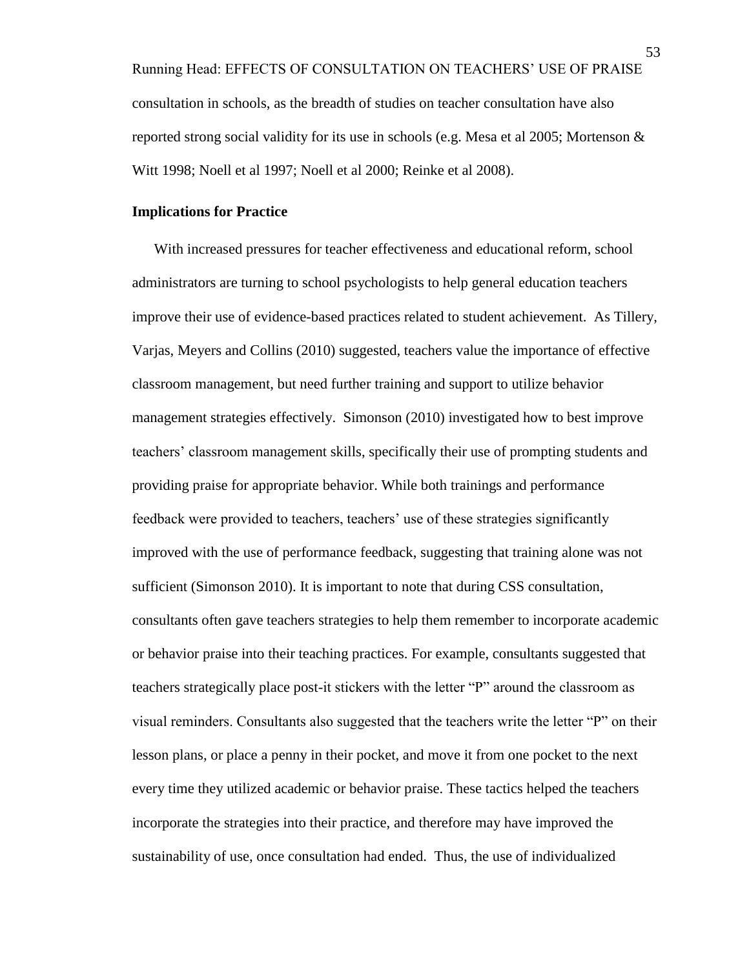Running Head: EFFECTS OF CONSULTATION ON TEACHERS' USE OF PRAISE consultation in schools, as the breadth of studies on teacher consultation have also reported strong social validity for its use in schools (e.g. Mesa et al 2005; Mortenson & Witt 1998; Noell et al 1997; Noell et al 2000; Reinke et al 2008).

## **Implications for Practice**

With increased pressures for teacher effectiveness and educational reform, school administrators are turning to school psychologists to help general education teachers improve their use of evidence-based practices related to student achievement. As Tillery, Varjas, Meyers and Collins (2010) suggested, teachers value the importance of effective classroom management, but need further training and support to utilize behavior management strategies effectively. Simonson (2010) investigated how to best improve teachers' classroom management skills, specifically their use of prompting students and providing praise for appropriate behavior. While both trainings and performance feedback were provided to teachers, teachers' use of these strategies significantly improved with the use of performance feedback, suggesting that training alone was not sufficient (Simonson 2010). It is important to note that during CSS consultation, consultants often gave teachers strategies to help them remember to incorporate academic or behavior praise into their teaching practices. For example, consultants suggested that teachers strategically place post-it stickers with the letter "P" around the classroom as visual reminders. Consultants also suggested that the teachers write the letter "P" on their lesson plans, or place a penny in their pocket, and move it from one pocket to the next every time they utilized academic or behavior praise. These tactics helped the teachers incorporate the strategies into their practice, and therefore may have improved the sustainability of use, once consultation had ended. Thus, the use of individualized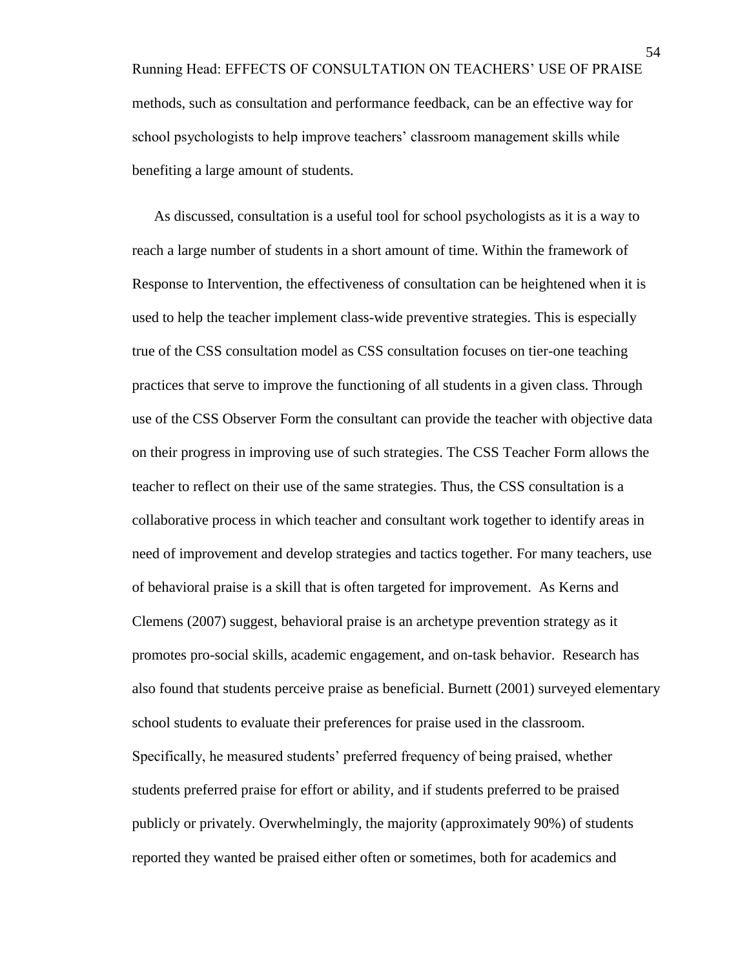Running Head: EFFECTS OF CONSULTATION ON TEACHERS' USE OF PRAISE methods, such as consultation and performance feedback, can be an effective way for school psychologists to help improve teachers' classroom management skills while benefiting a large amount of students.

As discussed, consultation is a useful tool for school psychologists as it is a way to reach a large number of students in a short amount of time. Within the framework of Response to Intervention, the effectiveness of consultation can be heightened when it is used to help the teacher implement class-wide preventive strategies. This is especially true of the CSS consultation model as CSS consultation focuses on tier-one teaching practices that serve to improve the functioning of all students in a given class. Through use of the CSS Observer Form the consultant can provide the teacher with objective data on their progress in improving use of such strategies. The CSS Teacher Form allows the teacher to reflect on their use of the same strategies. Thus, the CSS consultation is a collaborative process in which teacher and consultant work together to identify areas in need of improvement and develop strategies and tactics together. For many teachers, use of behavioral praise is a skill that is often targeted for improvement. As Kerns and Clemens (2007) suggest, behavioral praise is an archetype prevention strategy as it promotes pro-social skills, academic engagement, and on-task behavior. Research has also found that students perceive praise as beneficial. Burnett (2001) surveyed elementary school students to evaluate their preferences for praise used in the classroom. Specifically, he measured students' preferred frequency of being praised, whether students preferred praise for effort or ability, and if students preferred to be praised publicly or privately. Overwhelmingly, the majority (approximately 90%) of students reported they wanted be praised either often or sometimes, both for academics and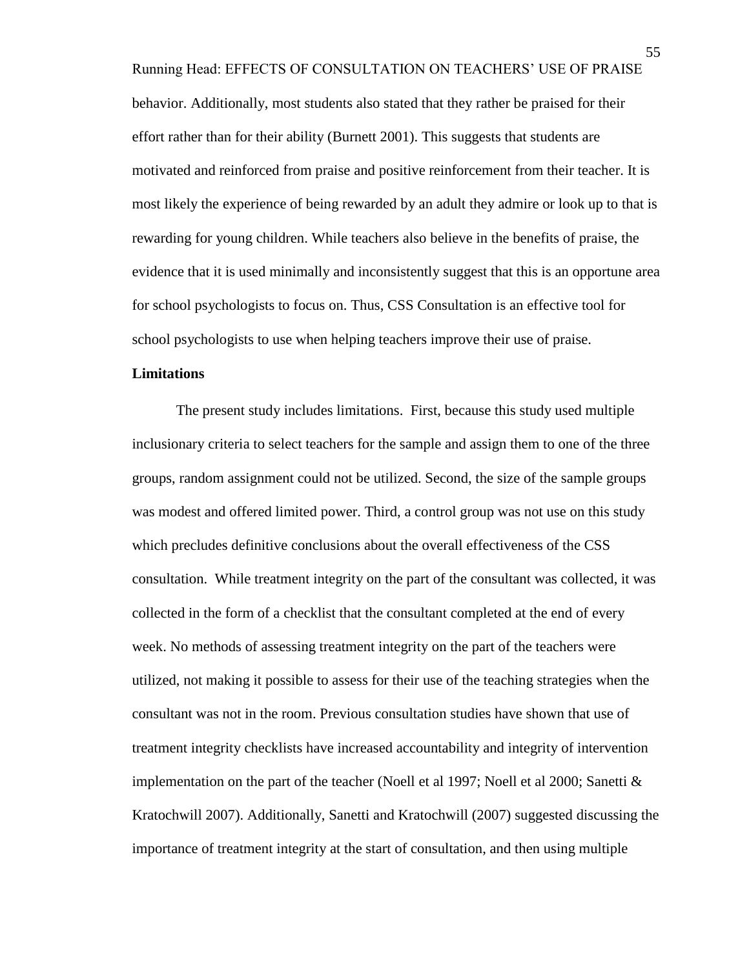Running Head: EFFECTS OF CONSULTATION ON TEACHERS' USE OF PRAISE behavior. Additionally, most students also stated that they rather be praised for their effort rather than for their ability (Burnett 2001). This suggests that students are motivated and reinforced from praise and positive reinforcement from their teacher. It is most likely the experience of being rewarded by an adult they admire or look up to that is rewarding for young children. While teachers also believe in the benefits of praise, the evidence that it is used minimally and inconsistently suggest that this is an opportune area for school psychologists to focus on. Thus, CSS Consultation is an effective tool for school psychologists to use when helping teachers improve their use of praise.

## **Limitations**

The present study includes limitations. First, because this study used multiple inclusionary criteria to select teachers for the sample and assign them to one of the three groups, random assignment could not be utilized. Second, the size of the sample groups was modest and offered limited power. Third, a control group was not use on this study which precludes definitive conclusions about the overall effectiveness of the CSS consultation. While treatment integrity on the part of the consultant was collected, it was collected in the form of a checklist that the consultant completed at the end of every week. No methods of assessing treatment integrity on the part of the teachers were utilized, not making it possible to assess for their use of the teaching strategies when the consultant was not in the room. Previous consultation studies have shown that use of treatment integrity checklists have increased accountability and integrity of intervention implementation on the part of the teacher (Noell et al 1997; Noell et al 2000; Sanetti  $\&$ Kratochwill 2007). Additionally, Sanetti and Kratochwill (2007) suggested discussing the importance of treatment integrity at the start of consultation, and then using multiple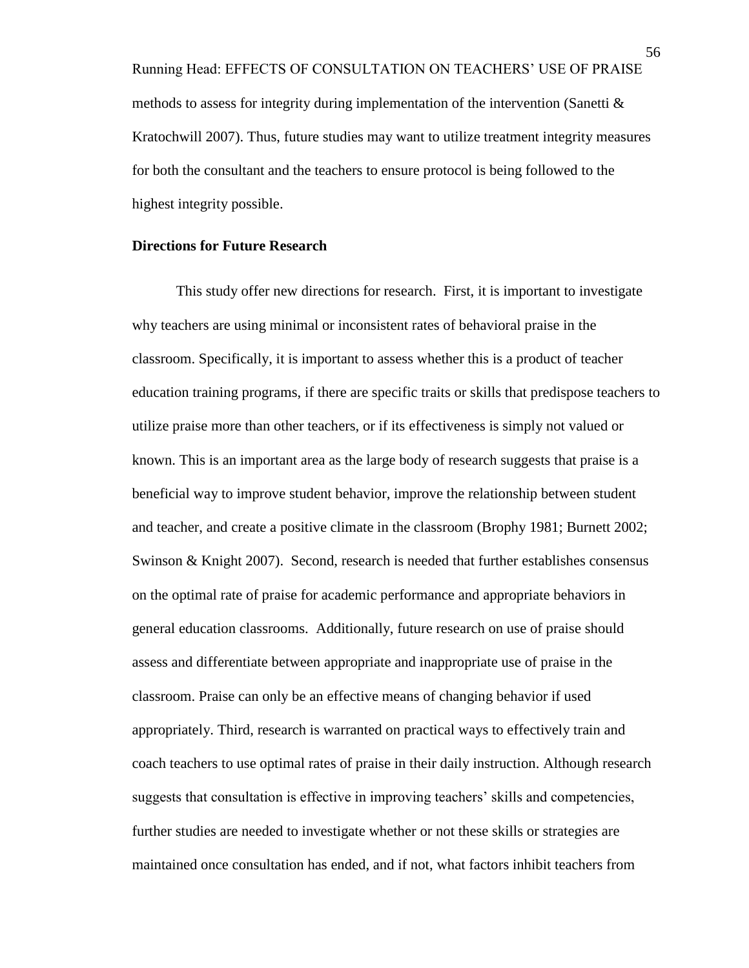Running Head: EFFECTS OF CONSULTATION ON TEACHERS' USE OF PRAISE methods to assess for integrity during implementation of the intervention (Sanetti  $\&$ Kratochwill 2007). Thus, future studies may want to utilize treatment integrity measures for both the consultant and the teachers to ensure protocol is being followed to the highest integrity possible.

#### **Directions for Future Research**

This study offer new directions for research. First, it is important to investigate why teachers are using minimal or inconsistent rates of behavioral praise in the classroom. Specifically, it is important to assess whether this is a product of teacher education training programs, if there are specific traits or skills that predispose teachers to utilize praise more than other teachers, or if its effectiveness is simply not valued or known. This is an important area as the large body of research suggests that praise is a beneficial way to improve student behavior, improve the relationship between student and teacher, and create a positive climate in the classroom (Brophy 1981; Burnett 2002; Swinson & Knight 2007). Second, research is needed that further establishes consensus on the optimal rate of praise for academic performance and appropriate behaviors in general education classrooms. Additionally, future research on use of praise should assess and differentiate between appropriate and inappropriate use of praise in the classroom. Praise can only be an effective means of changing behavior if used appropriately. Third, research is warranted on practical ways to effectively train and coach teachers to use optimal rates of praise in their daily instruction. Although research suggests that consultation is effective in improving teachers' skills and competencies, further studies are needed to investigate whether or not these skills or strategies are maintained once consultation has ended, and if not, what factors inhibit teachers from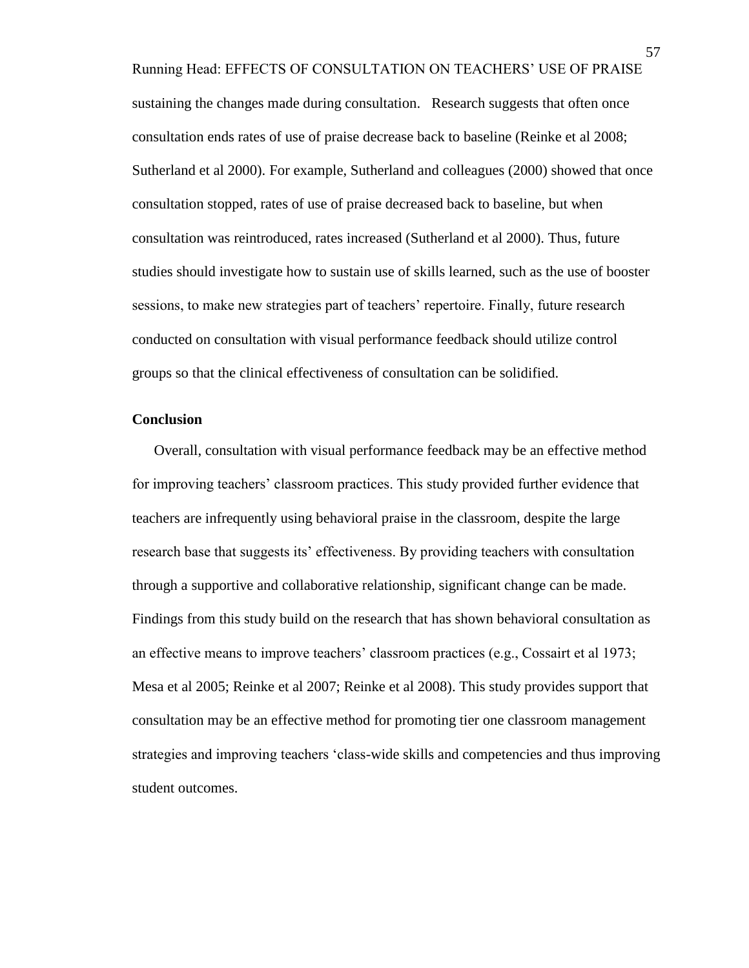Running Head: EFFECTS OF CONSULTATION ON TEACHERS' USE OF PRAISE sustaining the changes made during consultation. Research suggests that often once consultation ends rates of use of praise decrease back to baseline (Reinke et al 2008; Sutherland et al 2000). For example, Sutherland and colleagues (2000) showed that once consultation stopped, rates of use of praise decreased back to baseline, but when consultation was reintroduced, rates increased (Sutherland et al 2000). Thus, future studies should investigate how to sustain use of skills learned, such as the use of booster sessions, to make new strategies part of teachers' repertoire. Finally, future research conducted on consultation with visual performance feedback should utilize control groups so that the clinical effectiveness of consultation can be solidified.

#### **Conclusion**

Overall, consultation with visual performance feedback may be an effective method for improving teachers' classroom practices. This study provided further evidence that teachers are infrequently using behavioral praise in the classroom, despite the large research base that suggests its' effectiveness. By providing teachers with consultation through a supportive and collaborative relationship, significant change can be made. Findings from this study build on the research that has shown behavioral consultation as an effective means to improve teachers' classroom practices (e.g., Cossairt et al 1973; Mesa et al 2005; Reinke et al 2007; Reinke et al 2008). This study provides support that consultation may be an effective method for promoting tier one classroom management strategies and improving teachers 'class-wide skills and competencies and thus improving student outcomes.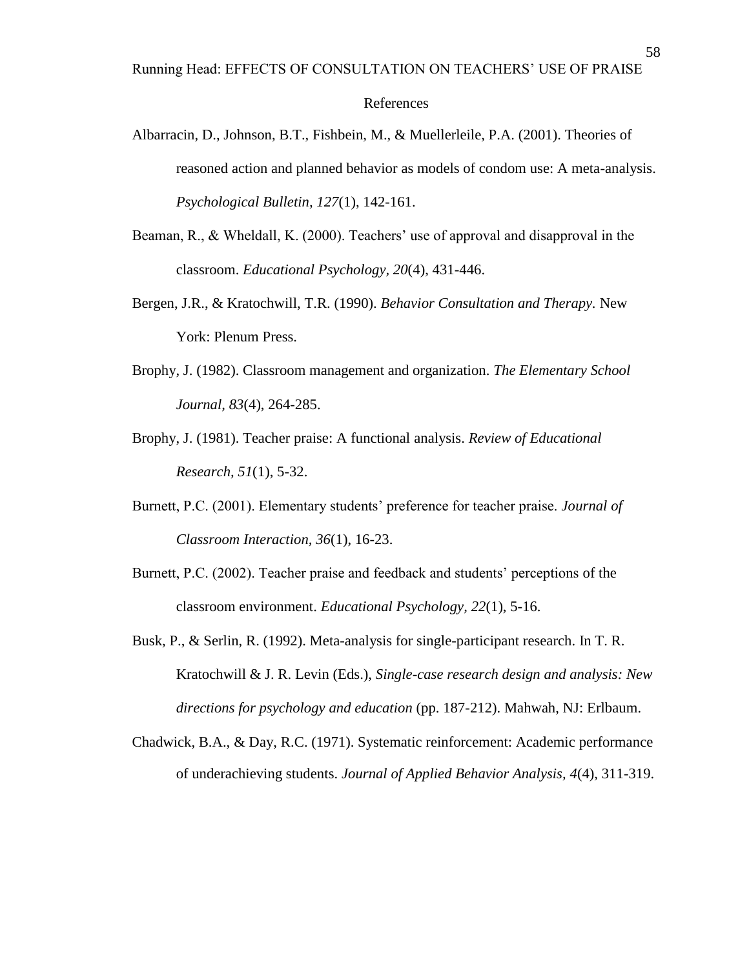#### References

- Albarracin, D., Johnson, B.T., Fishbein, M., & Muellerleile, P.A. (2001). Theories of reasoned action and planned behavior as models of condom use: A meta-analysis. *Psychological Bulletin, 127*(1), 142-161.
- Beaman, R., & Wheldall, K. (2000). Teachers' use of approval and disapproval in the classroom. *Educational Psychology, 20*(4), 431-446.
- Bergen, J.R., & Kratochwill, T.R. (1990). *Behavior Consultation and Therapy.* New York: Plenum Press.
- Brophy, J. (1982). Classroom management and organization. *The Elementary School Journal, 83*(4), 264-285.
- Brophy, J. (1981). Teacher praise: A functional analysis. *Review of Educational Research, 51*(1), 5-32.
- Burnett, P.C. (2001). Elementary students' preference for teacher praise. *Journal of Classroom Interaction, 36*(1), 16-23.
- Burnett, P.C. (2002). Teacher praise and feedback and students' perceptions of the classroom environment. *Educational Psychology, 22*(1), 5-16.
- Busk, P., & Serlin, R. (1992). Meta-analysis for single-participant research. In T. R. Kratochwill & J. R. Levin (Eds.), *Single-case research design and analysis: New directions for psychology and education* (pp. 187-212). Mahwah, NJ: Erlbaum.
- Chadwick, B.A., & Day, R.C. (1971). Systematic reinforcement: Academic performance of underachieving students. *Journal of Applied Behavior Analysis, 4*(4), 311-319.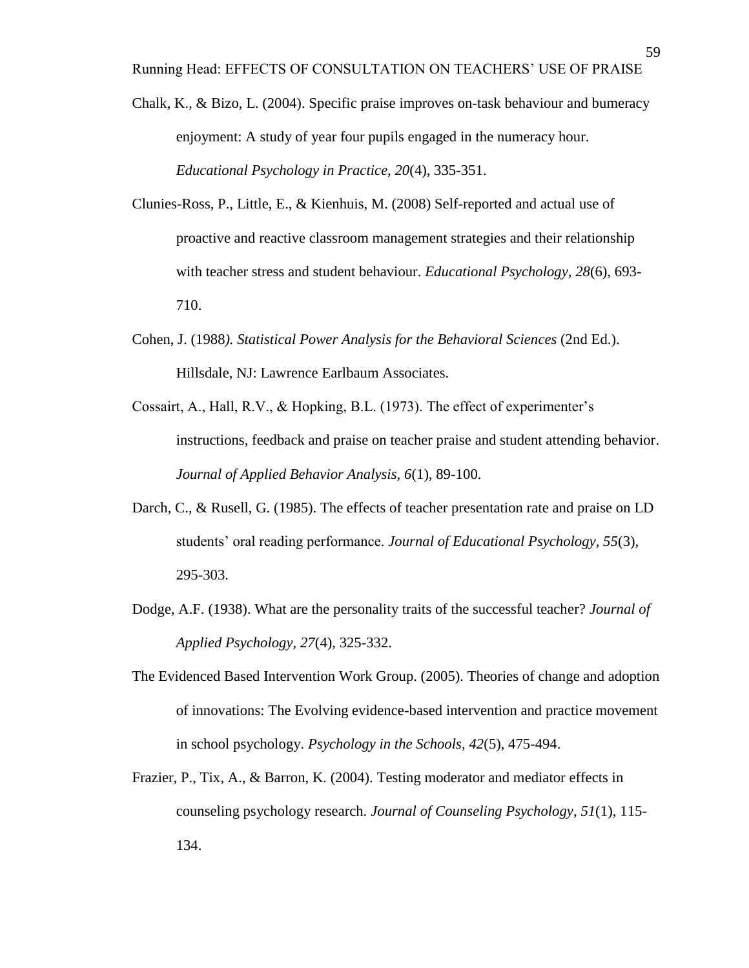- Chalk, K., & Bizo, L. (2004). Specific praise improves on-task behaviour and bumeracy enjoyment: A study of year four pupils engaged in the numeracy hour. *Educational Psychology in Practice, 20*(4), 335-351.
- Clunies-Ross, P., Little, E., & Kienhuis, M. (2008) Self-reported and actual use of proactive and reactive classroom management strategies and their relationship with teacher stress and student behaviour. *Educational Psychology, 28*(6), 693- 710.
- Cohen, J. (1988*). Statistical Power Analysis for the Behavioral Sciences* (2nd Ed.). Hillsdale, NJ: Lawrence Earlbaum Associates.
- Cossairt, A., Hall, R.V., & Hopking, B.L. (1973). The effect of experimenter's instructions, feedback and praise on teacher praise and student attending behavior. *Journal of Applied Behavior Analysis, 6*(1), 89-100.
- Darch, C., & Rusell, G. (1985). The effects of teacher presentation rate and praise on LD students' oral reading performance. *Journal of Educational Psychology, 55*(3), 295-303.
- Dodge, A.F. (1938). What are the personality traits of the successful teacher? *Journal of Applied Psychology, 27*(4), 325-332.
- The Evidenced Based Intervention Work Group. (2005). Theories of change and adoption of innovations: The Evolving evidence-based intervention and practice movement in school psychology. *Psychology in the Schools, 42*(5), 475-494.
- Frazier, P., Tix, A., & Barron, K. (2004). Testing moderator and mediator effects in counseling psychology research. *Journal of Counseling Psychology*, *51*(1), 115- 134.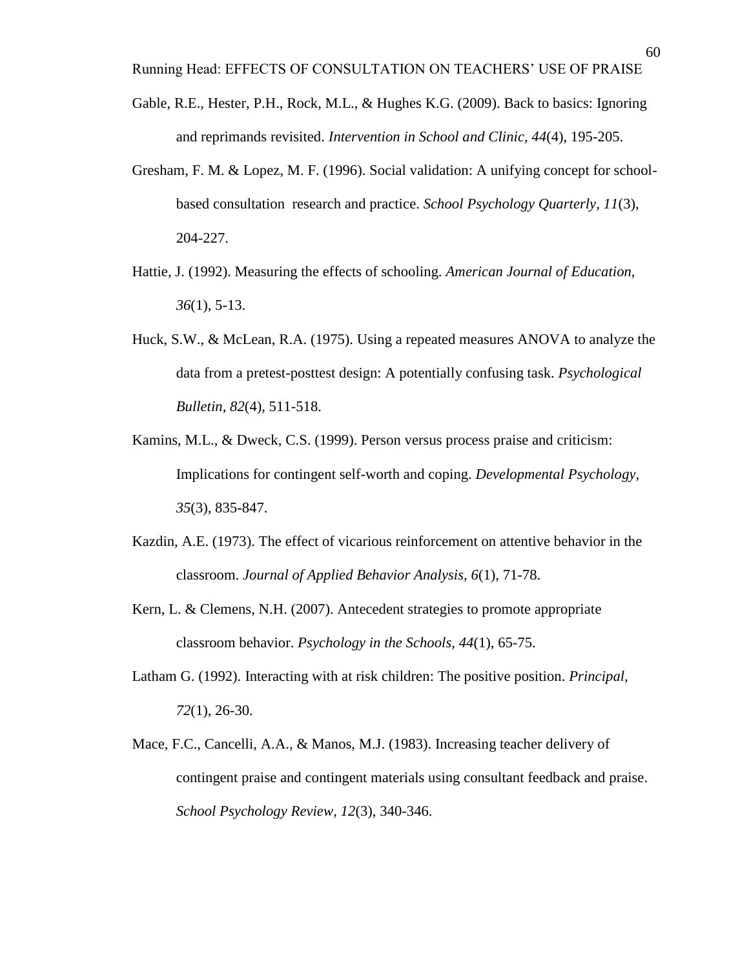- Gable, R.E., Hester, P.H., Rock, M.L., & Hughes K.G. (2009). Back to basics: Ignoring and reprimands revisited. *Intervention in School and Clinic, 44*(4), 195-205.
- Gresham, F. M. & Lopez, M. F. (1996). Social validation: A unifying concept for schoolbased consultation research and practice. *School Psychology Quarterly, 11*(3), 204-227.
- Hattie, J. (1992). Measuring the effects of schooling. *American Journal of Education, 36*(1), 5-13.
- Huck, S.W., & McLean, R.A. (1975). Using a repeated measures ANOVA to analyze the data from a pretest-posttest design: A potentially confusing task. *Psychological Bulletin, 82*(4), 511-518.
- Kamins, M.L., & Dweck, C.S. (1999). Person versus process praise and criticism: Implications for contingent self-worth and coping. *Developmental Psychology, 35*(3), 835-847.
- Kazdin, A.E. (1973). The effect of vicarious reinforcement on attentive behavior in the classroom. *Journal of Applied Behavior Analysis, 6*(1), 71-78.
- Kern, L. & Clemens, N.H. (2007). Antecedent strategies to promote appropriate classroom behavior. *Psychology in the Schools, 44*(1), 65-75.
- Latham G. (1992). Interacting with at risk children: The positive position. *Principal, 72*(1), 26-30.
- Mace, F.C., Cancelli, A.A., & Manos, M.J. (1983). Increasing teacher delivery of contingent praise and contingent materials using consultant feedback and praise. *School Psychology Review, 12*(3), 340-346.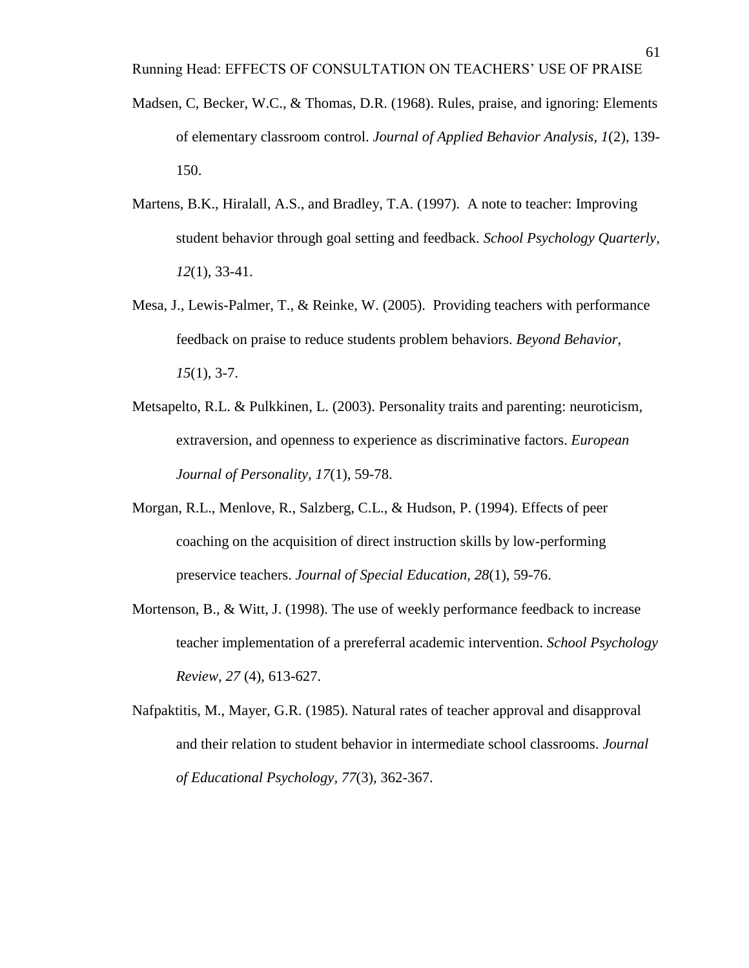- Madsen, C, Becker, W.C., & Thomas, D.R. (1968). Rules, praise, and ignoring: Elements of elementary classroom control. *Journal of Applied Behavior Analysis, 1*(2), 139- 150.
- Martens, B.K., Hiralall, A.S., and Bradley, T.A. (1997). A note to teacher: Improving student behavior through goal setting and feedback. *School Psychology Quarterly, 12*(1), 33-41.
- Mesa, J., Lewis-Palmer, T., & Reinke, W. (2005). Providing teachers with performance feedback on praise to reduce students problem behaviors. *Beyond Behavior, 15*(1), 3-7.
- Metsapelto, R.L. & Pulkkinen, L. (2003). Personality traits and parenting: neuroticism, extraversion, and openness to experience as discriminative factors. *European Journal of Personality, 17*(1), 59-78.
- Morgan, R.L., Menlove, R., Salzberg, C.L., & Hudson, P. (1994). Effects of peer coaching on the acquisition of direct instruction skills by low-performing preservice teachers. *Journal of Special Education, 28*(1), 59-76.
- Mortenson, B., & Witt, J. (1998). The use of weekly performance feedback to increase teacher implementation of a prereferral academic intervention. *School Psychology Review, 27* (4), 613-627.
- Nafpaktitis, M., Mayer, G.R. (1985). Natural rates of teacher approval and disapproval and their relation to student behavior in intermediate school classrooms. *Journal of Educational Psychology, 77*(3), 362-367.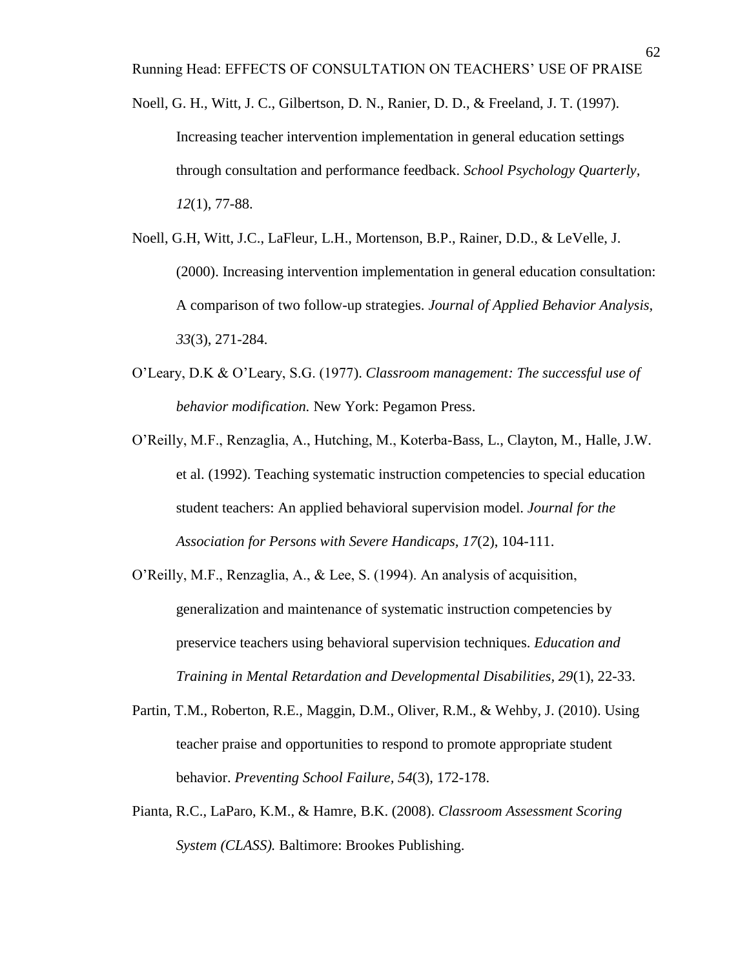- Noell, G. H., Witt, J. C., Gilbertson, D. N., Ranier, D. D., & Freeland, J. T. (1997). Increasing teacher intervention implementation in general education settings through consultation and performance feedback. *School Psychology Quarterly, 12*(1), 77-88.
- Noell, G.H, Witt, J.C., LaFleur, L.H., Mortenson, B.P., Rainer, D.D., & LeVelle, J. (2000). Increasing intervention implementation in general education consultation: A comparison of two follow-up strategies. *Journal of Applied Behavior Analysis, 33*(3), 271-284.
- O'Leary, D.K & O'Leary, S.G. (1977). *Classroom management: The successful use of behavior modification.* New York: Pegamon Press.
- O'Reilly, M.F., Renzaglia, A., Hutching, M., Koterba-Bass, L., Clayton, M., Halle, J.W. et al. (1992). Teaching systematic instruction competencies to special education student teachers: An applied behavioral supervision model. *Journal for the Association for Persons with Severe Handicaps, 17*(2), 104-111.
- O'Reilly, M.F., Renzaglia, A., & Lee, S. (1994). An analysis of acquisition, generalization and maintenance of systematic instruction competencies by preservice teachers using behavioral supervision techniques. *Education and Training in Mental Retardation and Developmental Disabilities, 29*(1), 22-33.
- Partin, T.M., Roberton, R.E., Maggin, D.M., Oliver, R.M., & Wehby, J. (2010). Using teacher praise and opportunities to respond to promote appropriate student behavior. *Preventing School Failure, 54*(3), 172-178.
- Pianta, R.C., LaParo, K.M., & Hamre, B.K. (2008). *Classroom Assessment Scoring System (CLASS).* Baltimore: Brookes Publishing.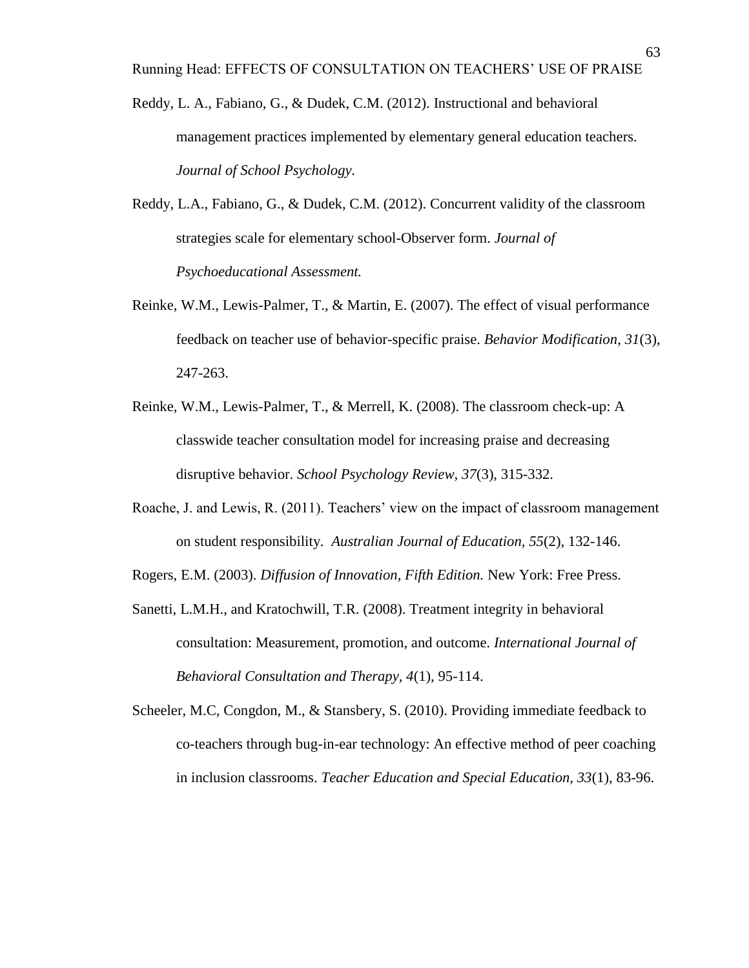- Reddy, L. A., Fabiano, G., & Dudek, C.M. (2012). Instructional and behavioral management practices implemented by elementary general education teachers. *Journal of School Psychology.*
- Reddy, L.A., Fabiano, G., & Dudek, C.M. (2012). Concurrent validity of the classroom strategies scale for elementary school-Observer form. *Journal of Psychoeducational Assessment.*
- Reinke, W.M., Lewis-Palmer, T., & Martin, E. (2007). The effect of visual performance feedback on teacher use of behavior-specific praise. *Behavior Modification, 31*(3), 247-263.
- Reinke, W.M., Lewis-Palmer, T., & Merrell, K. (2008). The classroom check-up: A classwide teacher consultation model for increasing praise and decreasing disruptive behavior. *School Psychology Review, 37*(3), 315-332.
- Roache, J. and Lewis, R. (2011). Teachers' view on the impact of classroom management on student responsibility. *Australian Journal of Education, 55*(2), 132-146.

Rogers, E.M. (2003). *Diffusion of Innovation, Fifth Edition.* New York: Free Press.

- Sanetti, L.M.H., and Kratochwill, T.R. (2008). Treatment integrity in behavioral consultation: Measurement, promotion, and outcome. *International Journal of Behavioral Consultation and Therapy, 4*(1), 95-114.
- Scheeler, M.C, Congdon, M., & Stansbery, S. (2010). Providing immediate feedback to co-teachers through bug-in-ear technology: An effective method of peer coaching in inclusion classrooms. *Teacher Education and Special Education, 33*(1), 83-96.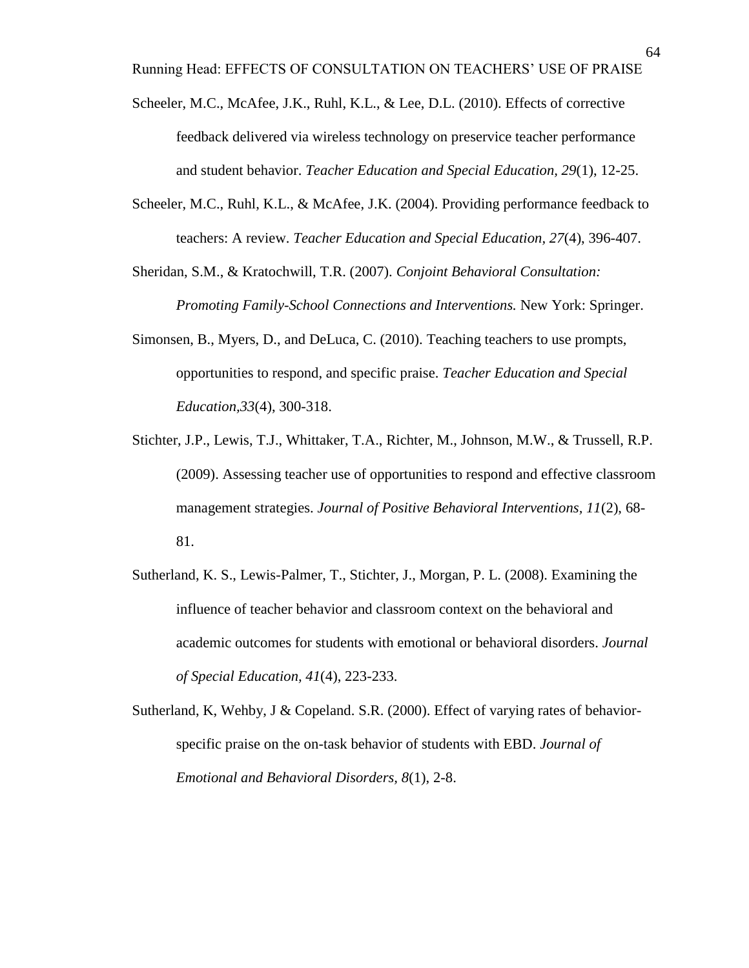Running Head: EFFECTS OF CONSULTATION ON TEACHERS' USE OF PRAISE

- Scheeler, M.C., McAfee, J.K., Ruhl, K.L., & Lee, D.L. (2010). Effects of corrective feedback delivered via wireless technology on preservice teacher performance and student behavior. *Teacher Education and Special Education, 29*(1), 12-25.
- Scheeler, M.C., Ruhl, K.L., & McAfee, J.K. (2004). Providing performance feedback to teachers: A review. *Teacher Education and Special Education, 27*(4), 396-407.

Sheridan, S.M., & Kratochwill, T.R. (2007). *Conjoint Behavioral Consultation: Promoting Family-School Connections and Interventions.* New York: Springer.

- Simonsen, B., Myers, D., and DeLuca, C. (2010). Teaching teachers to use prompts, opportunities to respond, and specific praise. *Teacher Education and Special Education,33*(4), 300-318.
- Stichter, J.P., Lewis, T.J., Whittaker, T.A., Richter, M., Johnson, M.W., & Trussell, R.P. (2009). Assessing teacher use of opportunities to respond and effective classroom management strategies. *Journal of Positive Behavioral Interventions, 11*(2), 68- 81.
- Sutherland, K. S., Lewis-Palmer, T., Stichter, J., Morgan, P. L. (2008). Examining the influence of teacher behavior and classroom context on the behavioral and academic outcomes for students with emotional or behavioral disorders. *Journal of Special Education, 41*(4), 223-233.
- Sutherland, K, Wehby, J & Copeland. S.R. (2000). Effect of varying rates of behaviorspecific praise on the on-task behavior of students with EBD. *Journal of Emotional and Behavioral Disorders, 8*(1), 2-8.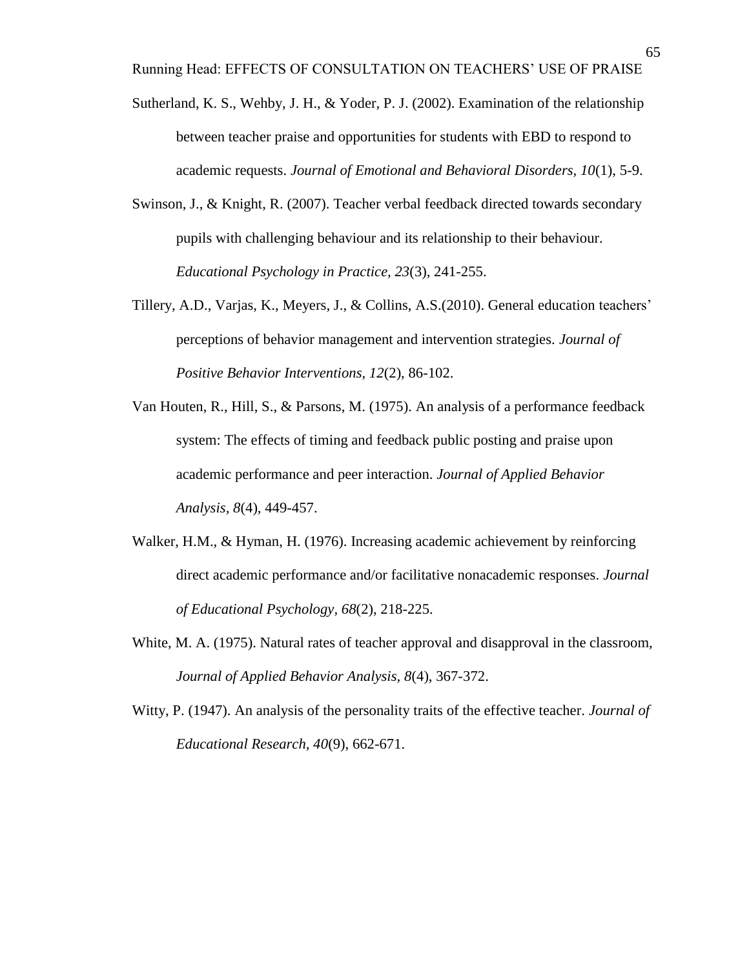- Sutherland, K. S., Wehby, J. H., & Yoder, P. J. (2002). Examination of the relationship between teacher praise and opportunities for students with EBD to respond to academic requests. *Journal of Emotional and Behavioral Disorders, 10*(1), 5-9.
- Swinson, J., & Knight, R. (2007). Teacher verbal feedback directed towards secondary pupils with challenging behaviour and its relationship to their behaviour. *Educational Psychology in Practice, 23*(3), 241-255.
- Tillery, A.D., Varjas, K., Meyers, J., & Collins, A.S.(2010). General education teachers' perceptions of behavior management and intervention strategies. *Journal of Positive Behavior Interventions, 12*(2), 86-102.
- Van Houten, R., Hill, S., & Parsons, M. (1975). An analysis of a performance feedback system: The effects of timing and feedback public posting and praise upon academic performance and peer interaction. *Journal of Applied Behavior Analysis, 8*(4), 449-457.
- Walker, H.M., & Hyman, H. (1976). Increasing academic achievement by reinforcing direct academic performance and/or facilitative nonacademic responses. *Journal of Educational Psychology, 68*(2), 218-225.
- White, M. A. (1975). Natural rates of teacher approval and disapproval in the classroom, *Journal of Applied Behavior Analysis, 8*(4), 367-372.
- Witty, P. (1947). An analysis of the personality traits of the effective teacher. *Journal of Educational Research, 40*(9), 662-671.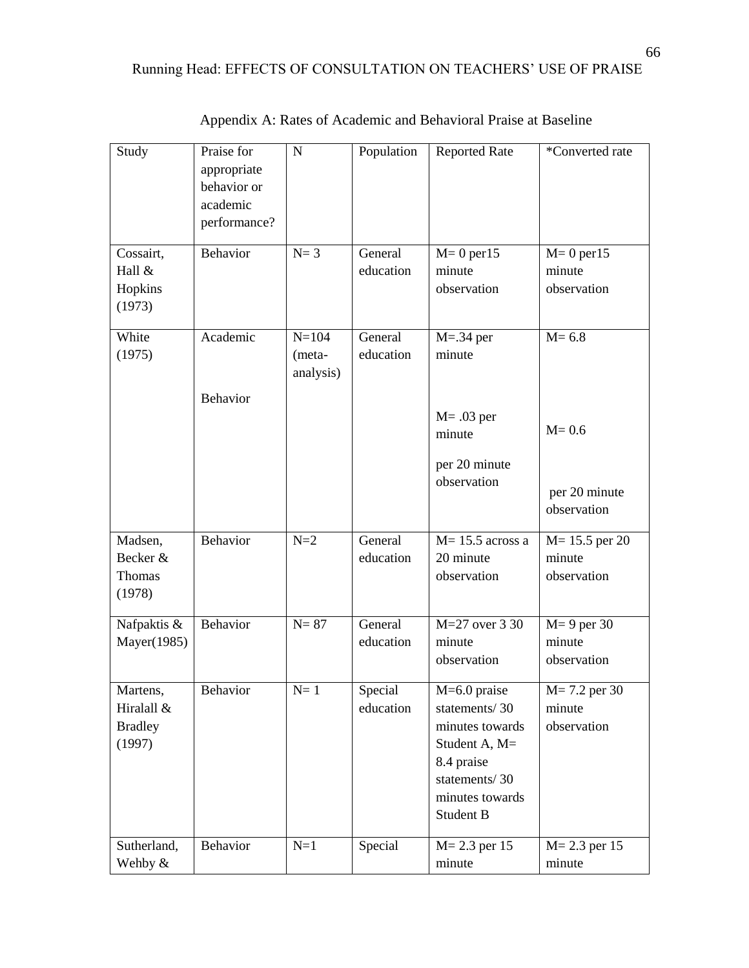| Study                                              | Praise for<br>appropriate<br>behavior or<br>academic<br>performance? | $\mathbf N$                      | Population           | <b>Reported Rate</b>                                                                                                               | *Converted rate                            |
|----------------------------------------------------|----------------------------------------------------------------------|----------------------------------|----------------------|------------------------------------------------------------------------------------------------------------------------------------|--------------------------------------------|
| Cossairt,<br>Hall &<br>Hopkins<br>(1973)           | Behavior                                                             | $N=3$                            | General<br>education | $M=0$ per $15$<br>minute<br>observation                                                                                            | $M=0$ per $15$<br>minute<br>observation    |
| White<br>(1975)                                    | Academic                                                             | $N = 104$<br>(meta-<br>analysis) | General<br>education | $M = .34$ per<br>minute                                                                                                            | $M = 6.8$                                  |
|                                                    | Behavior                                                             |                                  |                      | $M = .03$ per<br>minute<br>per 20 minute<br>observation                                                                            | $M = 0.6$<br>per 20 minute<br>observation  |
| Madsen,<br>Becker &<br>Thomas<br>(1978)            | Behavior                                                             | $N=2$                            | General<br>education | $M = 15.5$ across a<br>20 minute<br>observation                                                                                    | $M = 15.5$ per 20<br>minute<br>observation |
| Nafpaktis &<br>Mayer(1985)                         | Behavior                                                             | $N = 87$                         | General<br>education | M=27 over 3 30<br>minute<br>observation                                                                                            | $M = 9$ per 30<br>minute<br>observation    |
| Martens,<br>Hiralall &<br><b>Bradley</b><br>(1997) | Behavior                                                             | $N=1$                            | Special<br>education | $M=6.0$ praise<br>statements/30<br>minutes towards<br>Student A, M=<br>8.4 praise<br>statements/30<br>minutes towards<br>Student B | $M = 7.2$ per 30<br>minute<br>observation  |
| Sutherland,<br>Wehby &                             | Behavior                                                             | $N=1$                            | Special              | $M = 2.3$ per 15<br>minute                                                                                                         | $M = 2.3$ per 15<br>minute                 |

Appendix A: Rates of Academic and Behavioral Praise at Baseline